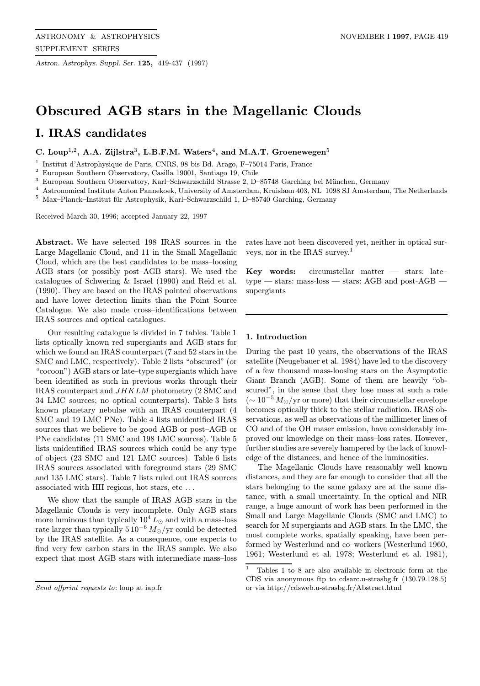Astron. Astrophys. Suppl. Ser. 125, 419-437 (1997)

# Obscured AGB stars in the Magellanic Clouds

# I. IRAS candidates

C. Loup<sup>1,2</sup>, A.A. Zijlstra<sup>3</sup>, L.B.F.M. Waters<sup>4</sup>, and M.A.T. Groenewegen<sup>5</sup>

<sup>1</sup> Institut d'Astrophysique de Paris, CNRS, 98 bis Bd. Arago, F-75014 Paris, France

 $^{\rm 2}$  European Southern Observatory, Casilla 19001, Santiago 19, Chile

 $^3\,$  European Southern Observatory, Karl–Schwarzschild Strasse 2, D–85748 Garching bei München, Germany

<sup>4</sup> Astronomical Institute Anton Pannekoek, University of Amsterdam, Kruislaan 403, NL–1098 SJ Amsterdam, The Netherlands

 $5$  Max–Planck–Institut für Astrophysik, Karl–Schwarzschild 1, D–85740 Garching, Germany

Received March 30, 1996; accepted January 22, 1997

Abstract. We have selected 198 IRAS sources in the Large Magellanic Cloud, and 11 in the Small Magellanic Cloud, which are the best candidates to be mass–loosing AGB stars (or possibly post–AGB stars). We used the catalogues of Schwering & Israel (1990) and Reid et al. (1990). They are based on the IRAS pointed observations and have lower detection limits than the Point Source Catalogue. We also made cross–identifications between IRAS sources and optical catalogues.

Our resulting catalogue is divided in 7 tables. Table 1 lists optically known red supergiants and AGB stars for which we found an IRAS counterpart (7 and 52 stars in the SMC and LMC, respectively). Table 2 lists "obscured" (or "cocoon") AGB stars or late–type supergiants which have been identified as such in previous works through their IRAS counterpart and JHKLM photometry (2 SMC and 34 LMC sources; no optical counterparts). Table 3 lists known planetary nebulae with an IRAS counterpart (4 SMC and 19 LMC PNe). Table 4 lists unidentified IRAS sources that we believe to be good AGB or post–AGB or PNe candidates (11 SMC and 198 LMC sources). Table 5 lists unidentified IRAS sources which could be any type of object (23 SMC and 121 LMC sources). Table 6 lists IRAS sources associated with foreground stars (29 SMC and 135 LMC stars). Table 7 lists ruled out IRAS sources associated with HII regions, hot stars, etc ...

We show that the sample of IRAS AGB stars in the Magellanic Clouds is very incomplete. Only AGB stars more luminous than typically  $10^4 L_{\odot}$  and with a mass-loss rate larger than typically  $510^{-6} M_{\odot}/yr$  could be detected by the IRAS satellite. As a consequence, one expects to find very few carbon stars in the IRAS sample. We also expect that most AGB stars with intermediate mass–loss rates have not been discovered yet, neither in optical surveys, nor in the IRAS survey.<sup>1</sup>

**Key words:** circumstellar matter  $-$  stars: latetype — stars: mass-loss — stars: AGB and post-AGB supergiants

# 1. Introduction

During the past 10 years, the observations of the IRAS satellite (Neugebauer et al. 1984) have led to the discovery of a few thousand mass-loosing stars on the Asymptotic Giant Branch (AGB). Some of them are heavily "obscured", in the sense that they lose mass at such a rate  $\sim 10^{-5} M_{\odot}/yr$  or more) that their circumstellar envelope becomes optically thick to the stellar radiation. IRAS observations, as well as observations of the millimeter lines of CO and of the OH maser emission, have considerably improved our knowledge on their mass–loss rates. However, further studies are severely hampered by the lack of knowledge of the distances, and hence of the luminosities.

The Magellanic Clouds have reasonably well known distances, and they are far enough to consider that all the stars belonging to the same galaxy are at the same distance, with a small uncertainty. In the optical and NIR range, a huge amount of work has been performed in the Small and Large Magellanic Clouds (SMC and LMC) to search for M supergiants and AGB stars. In the LMC, the most complete works, spatially speaking, have been performed by Westerlund and co–workers (Westerlund 1960, 1961; Westerlund et al. 1978; Westerlund et al. 1981),

Send offprint requests to: loup at iap.fr

<sup>1</sup> Tables 1 to 8 are also available in electronic form at the CDS via anonymous ftp to cdsarc.u-strasbg.fr (130.79.128.5) or via http://cdsweb.u-strasbg.fr/Abstract.html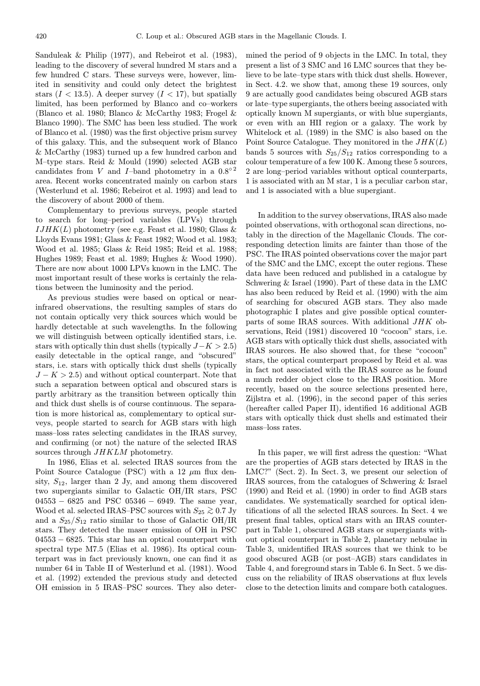Sanduleak & Philip (1977), and Rebeirot et al. (1983), leading to the discovery of several hundred M stars and a few hundred C stars. These surveys were, however, limited in sensitivity and could only detect the brightest stars  $(I < 13.5)$ . A deeper survey  $(I < 17)$ , but spatially limited, has been performed by Blanco and co–workers (Blanco et al. 1980; Blanco & McCarthy 1983; Frogel & Blanco 1990). The SMC has been less studied. The work of Blanco et al. (1980) was the first objective prism survey of this galaxy. This, and the subsequent work of Blanco & McCarthy (1983) turned up a few hundred carbon and M–type stars. Reid & Mould (1990) selected AGB star candidates from V and I–band photometry in a  $0.8°^2$ area. Recent works concentrated mainly on carbon stars (Westerlund et al. 1986; Rebeirot et al. 1993) and lead to the discovery of about 2000 of them.

Complementary to previous surveys, people started to search for long–period variables (LPVs) through  $IJIHK(L)$  photometry (see e.g. Feast et al. 1980; Glass & Lloyds Evans 1981; Glass & Feast 1982; Wood et al. 1983; Wood et al. 1985; Glass & Reid 1985; Reid et al. 1988; Hughes 1989; Feast et al. 1989; Hughes & Wood 1990). There are now about 1000 LPVs known in the LMC. The most important result of these works is certainly the relations between the luminosity and the period.

As previous studies were based on optical or nearinfrared observations, the resulting samples of stars do not contain optically very thick sources which would be hardly detectable at such wavelengths. In the following we will distinguish between optically identified stars, i.e. stars with optically thin dust shells (typically  $J-K > 2.5$ ) easily detectable in the optical range, and "obscured" stars, i.e. stars with optically thick dust shells (typically  $J - K > 2.5$ ) and without optical counterpart. Note that such a separation between optical and obscured stars is partly arbitrary as the transition between optically thin and thick dust shells is of course continuous. The separation is more historical as, complementary to optical surveys, people started to search for AGB stars with high mass–loss rates selecting candidates in the IRAS survey, and confirming (or not) the nature of the selected IRAS sources through  $JHKLM$  photometry.

In 1986, Elias et al. selected IRAS sources from the Point Source Catalogue (PSC) with a 12  $\mu$ m flux density,  $S_{12}$ , larger than 2 Jy, and among them discovered two supergiants similar to Galactic OH/IR stars, PSC 04553 − 6825 and PSC 05346 − 6949. The same year, Wood et al. selected IRAS–PSC sources with  $S_{25} \gtrsim 0.7$  Jy and a  $S_{25}/S_{12}$  ratio similar to those of Galactic OH/IR stars. They detected the maser emission of OH in PSC 04553 − 6825. This star has an optical counterpart with spectral type M7.5 (Elias et al. 1986). Its optical counterpart was in fact previously known, one can find it as number 64 in Table II of Westerlund et al. (1981). Wood et al. (1992) extended the previous study and detected OH emission in 5 IRAS–PSC sources. They also determined the period of 9 objects in the LMC. In total, they present a list of 3 SMC and 16 LMC sources that they believe to be late–type stars with thick dust shells. However, in Sect. 4.2. we show that, among these 19 sources, only 9 are actually good candidates being obscured AGB stars or late–type supergiants, the others beeing associated with optically known M supergiants, or with blue supergiants, or even with an HII region or a galaxy. The work by Whitelock et al. (1989) in the SMC is also based on the Point Source Catalogue. They monitored in the  $JHK(L)$ bands 5 sources with  $S_{25}/S_{12}$  ratios corresponding to a colour temperature of a few 100 K. Among these 5 sources, 2 are long–period variables without optical counterparts, 1 is associated with an M star, 1 is a peculiar carbon star, and 1 is associated with a blue supergiant.

In addition to the survey observations, IRAS also made pointed observations, with orthogonal scan directions, notably in the direction of the Magellanic Clouds. The corresponding detection limits are fainter than those of the PSC. The IRAS pointed observations cover the major part of the SMC and the LMC, except the outer regions. These data have been reduced and published in a catalogue by Schwering & Israel (1990). Part of these data in the LMC has also been reduced by Reid et al. (1990) with the aim of searching for obscured AGB stars. They also made photographic I plates and give possible optical counterparts of some IRAS sources. With additional JHK observations, Reid (1981) discovered 10 "cocoon" stars, i.e. AGB stars with optically thick dust shells, associated with IRAS sources. He also showed that, for these "cocoon" stars, the optical counterpart proposed by Reid et al. was in fact not associated with the IRAS source as he found a much redder object close to the IRAS position. More recently, based on the source selections presented here, Zijlstra et al. (1996), in the second paper of this series (hereafter called Paper II), identified 16 additional AGB stars with optically thick dust shells and estimated their mass–loss rates.

In this paper, we will first adress the question: "What are the properties of AGB stars detected by IRAS in the LMC?" (Sect. 2). In Sect. 3, we present our selection of IRAS sources, from the catalogues of Schwering & Israel (1990) and Reid et al. (1990) in order to find AGB stars candidates. We systematically searched for optical identifications of all the selected IRAS sources. In Sect. 4 we present final tables, optical stars with an IRAS counterpart in Table 1, obscured AGB stars or supergiants without optical counterpart in Table 2, planetary nebulae in Table 3, unidentified IRAS sources that we think to be good obscured AGB (or post–AGB) stars candidates in Table 4, and foreground stars in Table 6. In Sect. 5 we discuss on the reliability of IRAS observations at flux levels close to the detection limits and compare both catalogues.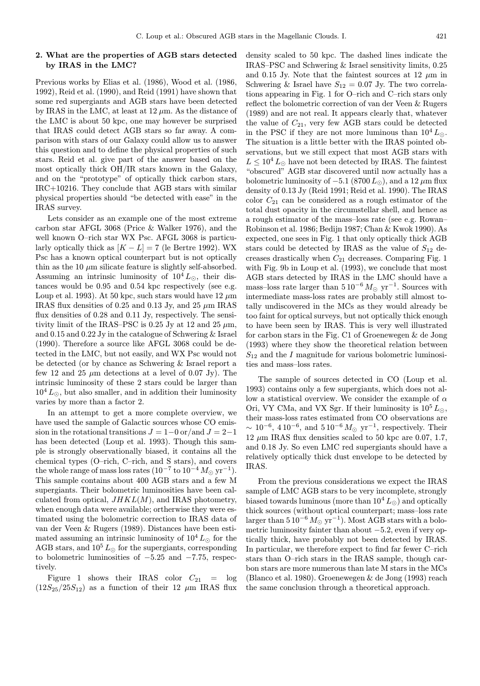# 2. What are the properties of AGB stars detected by IRAS in the LMC?

Previous works by Elias et al. (1986), Wood et al. (1986, 1992), Reid et al. (1990), and Reid (1991) have shown that some red supergiants and AGB stars have been detected by IRAS in the LMC, at least at  $12 \mu m$ . As the distance of the LMC is about 50 kpc, one may however be surprised that IRAS could detect AGB stars so far away. A comparison with stars of our Galaxy could allow us to answer this question and to define the physical properties of such stars. Reid et al. give part of the answer based on the most optically thick OH/IR stars known in the Galaxy, and on the "prototype" of optically thick carbon stars, IRC+10216. They conclude that AGB stars with similar physical properties should "be detected with ease" in the IRAS survey.

Lets consider as an example one of the most extreme carbon star AFGL 3068 (Price & Walker 1976), and the well known O–rich star WX Psc. AFGL 3068 is particularly optically thick as  $[K - L] = 7$  (le Bertre 1992). WX Psc has a known optical counterpart but is not optically thin as the 10  $\mu$ m silicate feature is slightly self-absorbed. Assuming an intrinsic luminosity of  $10^4 L_{\odot}$ , their distances would be 0.95 and 0.54 kpc respectively (see e.g. Loup et al. 1993). At 50 kpc, such stars would have 12  $\mu$ m IRAS flux densities of 0.25 and 0.13 Jy, and 25  $\mu$ m IRAS flux densities of 0.28 and 0.11 Jy, respectively. The sensitivity limit of the IRAS–PSC is 0.25 Jy at 12 and 25  $\mu$ m, and 0.15 and 0.22 Jy in the catalogue of Schwering & Israel (1990). Therefore a source like AFGL 3068 could be detected in the LMC, but not easily, and WX Psc would not be detected (or by chance as Schwering & Israel report a few 12 and 25  $\mu$ m detections at a level of 0.07 Jy). The intrinsic luminosity of these 2 stars could be larger than  $10^4 L_{\odot}$ , but also smaller, and in addition their luminosity varies by more than a factor 2.

In an attempt to get a more complete overview, we have used the sample of Galactic sources whose CO emission in the rotational transitions  $J = 1-0$  or/and  $J = 2-1$ has been detected (Loup et al. 1993). Though this sample is strongly observationally biased, it contains all the chemical types (O–rich, C–rich, and S stars), and covers the whole range of mass loss rates (10<sup>-7</sup> to 10<sup>-4</sup>  $M_{\odot}$  yr<sup>-1</sup>). This sample contains about 400 AGB stars and a few M supergiants. Their bolometric luminosities have been calculated from optical,  $JHKL(M)$ , and IRAS photometry, when enough data were available; ortherwise they were estimated using the bolometric correction to IRAS data of van der Veen & Rugers (1989). Distances have been estimated assuming an intrinsic luminosity of  $10^4 L_{\odot}$  for the AGB stars, and  $10^5 L_{\odot}$  for the supergiants, corresponding to bolometric luminosities of  $-5.25$  and  $-7.75$ , respectively.

Figure 1 shows their IRAS color  $C_{21}$  = log  $(12S_{25}/25S_{12})$  as a function of their 12  $\mu$ m IRAS flux density scaled to 50 kpc. The dashed lines indicate the IRAS–PSC and Schwering & Israel sensitivity limits, 0.25 and 0.15 Jy. Note that the faintest sources at 12  $\mu$ m in Schwering & Israel have  $S_{12} = 0.07$  Jy. The two correlations appearing in Fig. 1 for O–rich and C–rich stars only reflect the bolometric correction of van der Veen & Rugers (1989) and are not real. It appears clearly that, whatever the value of  $C_{21}$ , very few AGB stars could be detected in the PSC if they are not more luminous than  $10^4 L_{\odot}$ . The situation is a little better with the IRAS pointed observations, but we still expect that most AGB stars with  $L \leq 10^4 L_{\odot}$  have not been detected by IRAS. The faintest "obscured" AGB star discovered until now actually has a bolometric luminosity of  $-5.1$  (8700  $L_{\odot}$ ), and a 12  $\mu$ m flux density of 0.13 Jy (Reid 1991; Reid et al. 1990). The IRAS color  $C_{21}$  can be considered as a rough estimator of the total dust opacity in the circumstellar shell, and hence as a rough estimator of the mass–loss rate (see e.g. Rowan– Robinson et al. 1986; Bedijn 1987; Chan & Kwok 1990). As expected, one sees in Fig. 1 that only optically thick AGB stars could be detected by IRAS as the value of  $S_{12}$  decreases drastically when  $C_{21}$  decreases. Comparing Fig. 1 with Fig. 9b in Loup et al. (1993), we conclude that most AGB stars detected by IRAS in the LMC should have a mass–loss rate larger than  $5 10^{-6} M_{\odot}$  yr<sup>-1</sup>. Sources with intermediate mass-loss rates are probably still almost totally undiscovered in the MCs as they would already be too faint for optical surveys, but not optically thick enough to have been seen by IRAS. This is very well illustrated for carbon stars in the Fig. C1 of Groenewegen & de Jong (1993) where they show the theoretical relation between  $S_{12}$  and the I magnitude for various bolometric luminosities and mass–loss rates.

The sample of sources detected in CO (Loup et al. 1993) contains only a few supergiants, which does not allow a statistical overview. We consider the example of  $\alpha$ Ori, VY CMa, and VX Sgr. If their luminosity is  $10^5 L_{\odot}$ , their mass-loss rates estimated from CO observations are  $\sim 10^{-6}$ , 410<sup>-6</sup>, and 510<sup>-6</sup>  $M_{\odot}$  yr<sup>-1</sup>, respectively. Their  $12 \mu m$  IRAS flux densities scaled to 50 kpc are 0.07, 1.7, and 0.18 Jy. So even LMC red supergiants should have a relatively optically thick dust envelope to be detected by IRAS.

From the previous considerations we expect the IRAS sample of LMC AGB stars to be very incomplete, strongly biased towards luminous (more than  $10^4 L_{\odot}$ ) and optically thick sources (without optical counterpart; mass–loss rate larger than  $5 10^{-6} M_{\odot} \text{ yr}^{-1}$ ). Most AGB stars with a bolometric luminosity fainter than about −5.2, even if very optically thick, have probably not been detected by IRAS. In particular, we therefore expect to find far fewer C–rich stars than O–rich stars in the IRAS sample, though carbon stars are more numerous than late M stars in the MCs (Blanco et al. 1980). Groenewegen & de Jong (1993) reach the same conclusion through a theoretical approach.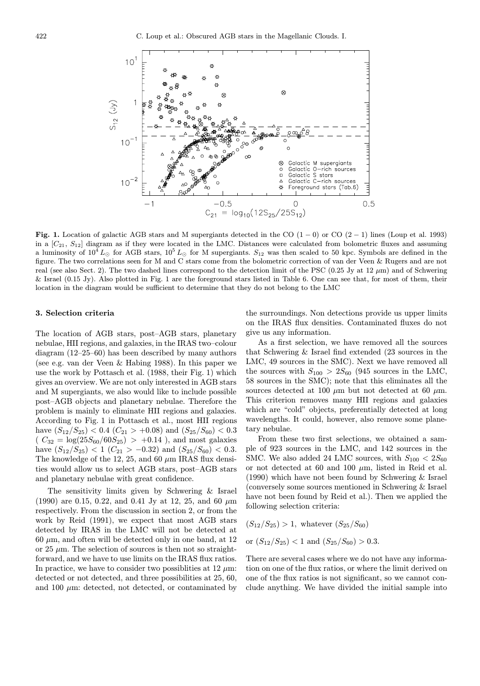

Fig. 1. Location of galactic AGB stars and M supergiants detected in the CO  $(1-0)$  or CO  $(2-1)$  lines (Loup et al. 1993) in a  $[C_{21}, S_{12}]$  diagram as if they were located in the LMC. Distances were calculated from bolometric fluxes and assuming a luminosity of  $10^4 L_{\odot}$  for AGB stars,  $10^5 L_{\odot}$  for M supergiants.  $S_{12}$  was then scaled to 50 kpc. Symbols are defined in the figure. The two correlations seen for M and C stars come from the bolometric correction of van der Veen & Rugers and are not real (see also Sect. 2). The two dashed lines correspond to the detection limit of the PSC (0.25 Jy at 12  $\mu$ m) and of Schwering  $\&$  Israel (0.15 Jy). Also plotted in Fig. 1 are the foreground stars listed in Table 6. One can see that, for most of them, their location in the diagram would be sufficient to determine that they do not belong to the LMC

#### 3. Selection criteria

The location of AGB stars, post–AGB stars, planetary nebulae, HII regions, and galaxies, in the IRAS two–colour diagram (12–25–60) has been described by many authors (see e.g. van der Veen & Habing 1988). In this paper we use the work by Pottasch et al. (1988, their Fig. 1) which gives an overview. We are not only interested in AGB stars and M supergiants, we also would like to include possible post–AGB objects and planetary nebulae. Therefore the problem is mainly to eliminate HII regions and galaxies. According to Fig. 1 in Pottasch et al., most HII regions have  $(S_{12}/S_{25})$  < 0.4  $(C_{21}$  > +0.08) and  $(S_{25}/S_{60})$  < 0.3  $(C_{32} = \log(25S_{60}/60S_{25}) > +0.14$ , and most galaxies have  $(S_{12}/S_{25}) < 1$   $(C_{21} > -0.32)$  and  $(S_{25}/S_{60}) < 0.3$ . The knowledge of the 12, 25, and 60  $\mu$ m IRAS flux densities would allow us to select AGB stars, post–AGB stars and planetary nebulae with great confidence.

The sensitivity limits given by Schwering & Israel (1990) are 0.15, 0.22, and 0.41 Jy at 12, 25, and 60  $\mu$ m respectively. From the discussion in section 2, or from the work by Reid (1991), we expect that most AGB stars detected by IRAS in the LMC will not be detected at  $60 \mu m$ , and often will be detected only in one band, at 12 or 25  $\mu$ m. The selection of sources is then not so straightforward, and we have to use limits on the IRAS flux ratios. In practice, we have to consider two possibilities at 12  $\mu$ m: detected or not detected, and three possibilities at 25, 60, and 100  $\mu$ m: detected, not detected, or contaminated by

the surroundings. Non detections provide us upper limits on the IRAS flux densities. Contaminated fluxes do not give us any information.

As a first selection, we have removed all the sources that Schwering & Israel find extended (23 sources in the LMC, 49 sources in the SMC). Next we have removed all the sources with  $S_{100} > 2S_{60}$  (945 sources in the LMC, 58 sources in the SMC); note that this eliminates all the sources detected at 100  $\mu$ m but not detected at 60  $\mu$ m. This criterion removes many HII regions and galaxies which are "cold" objects, preferentially detected at long wavelengths. It could, however, also remove some planetary nebulae.

From these two first selections, we obtained a sample of 923 sources in the LMC, and 142 sources in the SMC. We also added 24 LMC sources, with  $S_{100} < 2S_{60}$ or not detected at 60 and 100  $\mu$ m, listed in Reid et al. (1990) which have not been found by Schwering & Israel (conversely some sources mentioned in Schwering & Israel have not been found by Reid et al.). Then we applied the following selection criteria:

$$
(S_{12}/S_{25}) > 1
$$
, whatever  $(S_{25}/S_{60})$ 

or  $(S_{12}/S_{25})$  < 1 and  $(S_{25}/S_{60})$  > 0.3.

There are several cases where we do not have any information on one of the flux ratios, or where the limit derived on one of the flux ratios is not significant, so we cannot conclude anything. We have divided the initial sample into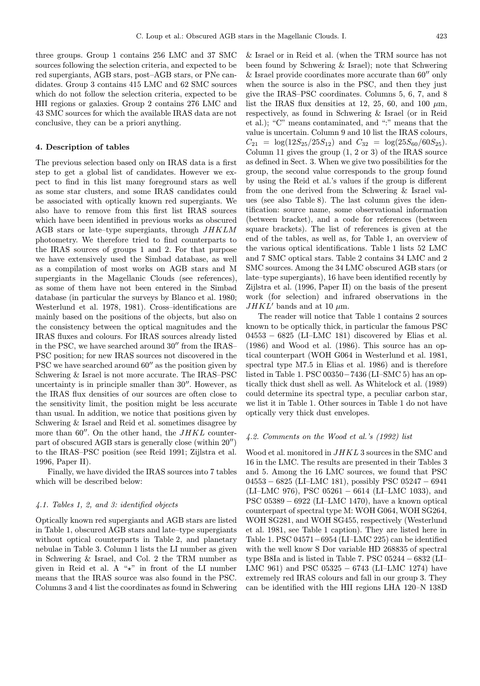three groups. Group 1 contains 256 LMC and 37 SMC sources following the selection criteria, and expected to be red supergiants, AGB stars, post–AGB stars, or PNe candidates. Group 3 contains 415 LMC and 62 SMC sources which do not follow the selection criteria, expected to be HII regions or galaxies. Group 2 contains 276 LMC and 43 SMC sources for which the available IRAS data are not conclusive, they can be a priori anything.

#### 4. Description of tables

The previous selection based only on IRAS data is a first step to get a global list of candidates. However we expect to find in this list many foreground stars as well as some star clusters, and some IRAS candidates could be associated with optically known red supergiants. We also have to remove from this first list IRAS sources which have been identified in previous works as obscured AGB stars or late–type supergiants, through JHKLM photometry. We therefore tried to find counterparts to the IRAS sources of groups 1 and 2. For that purpose we have extensively used the Simbad database, as well as a compilation of most works on AGB stars and M supergiants in the Magellanic Clouds (see references), as some of them have not been entered in the Simbad database (in particular the surveys by Blanco et al. 1980; Westerlund et al. 1978, 1981). Cross–identifications are mainly based on the positions of the objects, but also on the consistency between the optical magnitudes and the IRAS fluxes and colours. For IRAS sources already listed in the PSC, we have searched around  $30''$  from the IRAS– PSC position; for new IRAS sources not discovered in the PSC we have searched around  $60''$  as the position given by Schwering & Israel is not more accurate. The IRAS–PSC uncertainty is in principle smaller than  $30''$ . However, as the IRAS flux densities of our sources are often close to the sensitivity limit, the position might be less accurate than usual. In addition, we notice that positions given by Schwering & Israel and Reid et al. sometimes disagree by more than  $60''$ . On the other hand, the JHKL counterpart of obscured AGB stars is generally close (within  $20''$ ) to the IRAS–PSC position (see Reid 1991; Zijlstra et al. 1996, Paper II).

Finally, we have divided the IRAS sources into 7 tables which will be described below:

#### 4.1. Tables 1, 2, and 3: identified objects

Optically known red supergiants and AGB stars are listed in Table 1, obscured AGB stars and late–type supergiants without optical counterparts in Table 2, and planetary nebulae in Table 3. Column 1 lists the LI number as given in Schwering & Israel, and Col. 2 the TRM number as given in Reid et al. A " $x$ " in front of the LI number means that the IRAS source was also found in the PSC. Columns 3 and 4 list the coordinates as found in Schwering

& Israel or in Reid et al. (when the TRM source has not been found by Schwering & Israel); note that Schwering & Israel provide coordinates more accurate than  $60''$  only when the source is also in the PSC, and then they just give the IRAS–PSC coordinates. Columns 5, 6, 7, and 8 list the IRAS flux densities at 12, 25, 60, and 100  $\mu$ m, respectively, as found in Schwering & Israel (or in Reid et al.); "C" means contaminated, and ":" means that the value is uncertain. Column 9 and 10 list the IRAS colours,  $C_{21} = \log(12S_{25}/25S_{12})$  and  $C_{32} = \log(25S_{60}/60S_{25})$ . Column 11 gives the group  $(1, 2 \text{ or } 3)$  of the IRAS source as defined in Sect. 3. When we give two possibilities for the group, the second value corresponds to the group found by using the Reid et al.'s values if the group is different from the one derived from the Schwering & Israel values (see also Table 8). The last column gives the identification: source name, some observational information (between bracket), and a code for references (between square brackets). The list of references is given at the end of the tables, as well as, for Table 1, an overview of the various optical identifications. Table 1 lists 52 LMC and 7 SMC optical stars. Table 2 contains 34 LMC and 2 SMC sources. Among the 34 LMC obscured AGB stars (or late–type supergiants), 16 have been identified recently by Zijlstra et al. (1996, Paper II) on the basis of the present work (for selection) and infrared observations in the  $JHKL'$  bands and at 10  $\mu$ m.

The reader will notice that Table 1 contains 2 sources known to be optically thick, in particular the famous PSC 04553 − 6825 (LI–LMC 181) discovered by Elias et al. (1986) and Wood et al. (1986). This source has an optical counterpart (WOH G064 in Westerlund et al. 1981, spectral type M7.5 in Elias et al. 1986) and is therefore listed in Table 1. PSC 00350−7436 (LI–SMC 5) has an optically thick dust shell as well. As Whitelock et al. (1989) could determine its spectral type, a peculiar carbon star, we list it in Table 1. Other sources in Table 1 do not have optically very thick dust envelopes.

#### 4.2. Comments on the Wood et al.'s (1992) list

Wood et al. monitored in JHKL 3 sources in the SMC and 16 in the LMC. The results are presented in their Tables 3 and 5. Among the 16 LMC sources, we found that PSC 04553 − 6825 (LI–LMC 181), possibly PSC 05247 − 6941 (LI–LMC 976), PSC 05261 − 6614 (LI–LMC 1033), and PSC 05389 − 6922 (LI–LMC 1470), have a known optical counterpart of spectral type M: WOH G064, WOH SG264, WOH SG281, and WOH SG455, respectively (Westerlund et al. 1981, see Table 1 caption). They are listed here in Table 1. PSC 04571−6954 (LI–LMC 225) can be identified with the well know S Dor variable HD 268835 of spectral type B8Ia and is listed in Table 7. PSC 05244 − 6832 (LI– LMC 961) and PSC 05325  $-$  6743 (LI–LMC 1274) have extremely red IRAS colours and fall in our group 3. They can be identified with the HII regions LHA 120–N 138D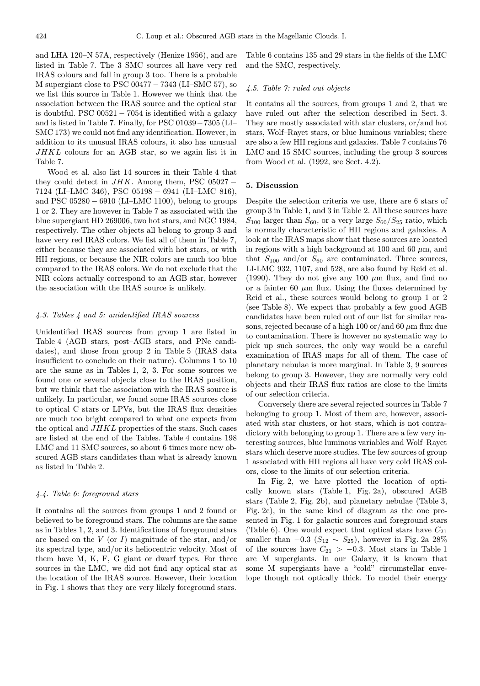and LHA 120–N 57A, respectively (Henize 1956), and are listed in Table 7. The 3 SMC sources all have very red IRAS colours and fall in group 3 too. There is a probable M supergiant close to PSC  $00477 - 7343$  (LI–SMC 57), so we list this source in Table 1. However we think that the association between the IRAS source and the optical star is doubtful. PSC  $00521 - 7054$  is identified with a galaxy and is listed in Table 7. Finally, for PSC 01039−7305 (LI– SMC 173) we could not find any identification. However, in addition to its unusual IRAS colours, it also has unusual JHKL colours for an AGB star, so we again list it in Table 7.

Wood et al. also list 14 sources in their Table 4 that they could detect in  $JHK$ . Among them, PSC 05027 – 7124 (LI–LMC 346), PSC 05198 − 6941 (LI–LMC 816), and PSC  $05280 - 6910$  (LI–LMC 1100), belong to groups 1 or 2. They are however in Table 7 as associated with the blue supergiant HD 269006, two hot stars, and NGC 1984, respectively. The other objects all belong to group 3 and have very red IRAS colors. We list all of them in Table 7, either because they are associated with hot stars, or with HII regions, or because the NIR colors are much too blue compared to the IRAS colors. We do not exclude that the NIR colors actually correspond to an AGB star, however the association with the IRAS source is unlikely.

#### 4.3. Tables 4 and 5: unidentified IRAS sources

Unidentified IRAS sources from group 1 are listed in Table 4 (AGB stars, post–AGB stars, and PNe candidates), and those from group 2 in Table 5 (IRAS data insufficient to conclude on their nature). Columns 1 to 10 are the same as in Tables 1, 2, 3. For some sources we found one or several objects close to the IRAS position, but we think that the association with the IRAS source is unlikely. In particular, we found some IRAS sources close to optical C stars or LPVs, but the IRAS flux densities are much too bright compared to what one expects from the optical and JHKL properties of the stars. Such cases are listed at the end of the Tables. Table 4 contains 198 LMC and 11 SMC sources, so about 6 times more new obscured AGB stars candidates than what is already known as listed in Table 2.

#### 4.4. Table 6: foreground stars

It contains all the sources from groups 1 and 2 found or believed to be foreground stars. The columns are the same as in Tables 1, 2, and 3. Identifications of foreground stars are based on the  $V$  (or  $I$ ) magnitude of the star, and/or its spectral type, and/or its heliocentric velocity. Most of them have M, K, F, G giant or dwarf types. For three sources in the LMC, we did not find any optical star at the location of the IRAS source. However, their location in Fig. 1 shows that they are very likely foreground stars.

Table 6 contains 135 and 29 stars in the fields of the LMC and the SMC, respectively.

#### 4.5. Table 7: ruled out objects

It contains all the sources, from groups 1 and 2, that we have ruled out after the selection described in Sect. 3. They are mostly associated with star clusters, or/and hot stars, Wolf–Rayet stars, or blue luminous variables; there are also a few HII regions and galaxies. Table 7 contains 76 LMC and 15 SMC sources, including the group 3 sources from Wood et al. (1992, see Sect. 4.2).

#### 5. Discussion

Despite the selection criteria we use, there are 6 stars of group 3 in Table 1, and 3 in Table 2. All these sources have  $S_{100}$  larger than  $S_{60}$ , or a very large  $S_{60}/S_{25}$  ratio, which is normally characteristic of HII regions and galaxies. A look at the IRAS maps show that these sources are located in regions with a high background at 100 and 60  $\mu$ m, and that  $S_{100}$  and/or  $S_{60}$  are contaminated. Three sources, LI-LMC 932, 1107, and 528, are also found by Reid et al. (1990). They do not give any 100  $\mu$ m flux, and find no or a fainter 60  $\mu$ m flux. Using the fluxes determined by Reid et al., these sources would belong to group 1 or 2 (see Table 8). We expect that probably a few good AGB candidates have been ruled out of our list for similar reasons, rejected because of a high 100 or/and 60  $\mu$ m flux due to contamination. There is however no systematic way to pick up such sources, the only way would be a careful examination of IRAS maps for all of them. The case of planetary nebulae is more marginal. In Table 3, 9 sources belong to group 3. However, they are normally very cold objects and their IRAS flux ratios are close to the limits of our selection criteria.

Conversely there are several rejected sources in Table 7 belonging to group 1. Most of them are, however, associated with star clusters, or hot stars, which is not contradictory with belonging to group 1. There are a few very interesting sources, blue luminous variables and Wolf–Rayet stars which deserve more studies. The few sources of group 1 associated with HII regions all have very cold IRAS colors, close to the limits of our selection criteria.

In Fig. 2, we have plotted the location of optically known stars (Table 1, Fig. 2a), obscured AGB stars (Table 2, Fig. 2b), and planetary nebulae (Table 3, Fig. 2c), in the same kind of diagram as the one presented in Fig. 1 for galactic sources and foreground stars (Table 6). One would expect that optical stars have  $C_{21}$ smaller than  $-0.3$  ( $S_{12} \sim S_{25}$ ), however in Fig. 2a 28% of the sources have  $C_{21} > -0.3$ . Most stars in Table 1 are M supergiants. In our Galaxy, it is known that some M supergiants have a "cold" circumstellar envelope though not optically thick. To model their energy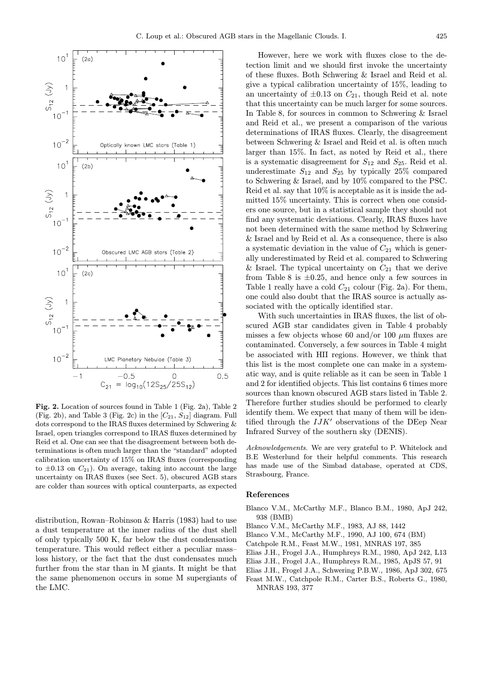

Fig. 2. Location of sources found in Table 1 (Fig. 2a), Table 2 (Fig. 2b), and Table 3 (Fig. 2c) in the  $[C_{21}, S_{12}]$  diagram. Full dots correspond to the IRAS fluxes determined by Schwering & Israel, open triangles correspond to IRAS fluxes determined by Reid et al. One can see that the disagreement between both determinations is often much larger than the "standard" adopted calibration uncertainty of 15% on IRAS fluxes (corresponding to  $\pm 0.13$  on  $C_{21}$ ). On average, taking into account the large uncertainty on IRAS fluxes (see Sect. 5), obscured AGB stars are colder than sources with optical counterparts, as expected

distribution, Rowan–Robinson & Harris (1983) had to use a dust temperature at the inner radius of the dust shell of only typically 500 K, far below the dust condensation temperature. This would reflect either a peculiar mass– loss history, or the fact that the dust condensates much further from the star than in M giants. It might be that the same phenomenon occurs in some M supergiants of the LMC.

However, here we work with fluxes close to the detection limit and we should first invoke the uncertainty of these fluxes. Both Schwering & Israel and Reid et al. give a typical calibration uncertainty of 15%, leading to an uncertainty of  $\pm 0.13$  on  $C_{21}$ , though Reid et al. note that this uncertainty can be much larger for some sources. In Table 8, for sources in common to Schwering & Israel and Reid et al., we present a comparison of the various determinations of IRAS fluxes. Clearly, the disagreement between Schwering & Israel and Reid et al. is often much larger than 15%. In fact, as noted by Reid et al., there is a systematic disagreement for  $S_{12}$  and  $S_{25}$ . Reid et al. underestimate  $S_{12}$  and  $S_{25}$  by typically 25% compared to Schwering & Israel, and by 10% compared to the PSC. Reid et al. say that 10% is acceptable as it is inside the admitted 15% uncertainty. This is correct when one considers one source, but in a statistical sample they should not find any systematic deviations. Clearly, IRAS fluxes have not been determined with the same method by Schwering & Israel and by Reid et al. As a consequence, there is also a systematic deviation in the value of  $C_{21}$  which is generally underestimated by Reid et al. compared to Schwering & Israel. The typical uncertainty on  $C_{21}$  that we derive from Table 8 is  $\pm 0.25$ , and hence only a few sources in Table 1 really have a cold  $C_{21}$  colour (Fig. 2a). For them, one could also doubt that the IRAS source is actually associated with the optically identified star.

With such uncertainties in IRAS fluxes, the list of obscured AGB star candidates given in Table 4 probably misses a few objects whose 60 and/or 100  $\mu$ m fluxes are contaminated. Conversely, a few sources in Table 4 might be associated with HII regions. However, we think that this list is the most complete one can make in a systematic way, and is quite reliable as it can be seen in Table 1 and 2 for identified objects. This list contains 6 times more sources than known obscured AGB stars listed in Table 2. Therefore further studies should be performed to clearly identify them. We expect that many of them will be identified through the  $IJK'$  observations of the DEep Near Infrared Survey of the southern sky (DENIS).

Acknowledgements. We are very grateful to P. Whitelock and B.E Westerlund for their helpful comments. This research has made use of the Simbad database, operated at CDS, Strasbourg, France.

#### References

- Blanco V.M., McCarthy M.F., Blanco B.M., 1980, ApJ 242, 938 (BMB)
- Blanco V.M., McCarthy M.F., 1983, AJ 88, 1442
- Blanco V.M., McCarthy M.F., 1990, AJ 100, 674 (BM)
- Catchpole R.M., Feast M.W., 1981, MNRAS 197, 385
- Elias J.H., Frogel J.A., Humphreys R.M., 1980, ApJ 242, L13
- Elias J.H., Frogel J.A., Humphreys R.M., 1985, ApJS 57, 91
- Elias J.H., Frogel J.A., Schwering P.B.W., 1986, ApJ 302, 675
- Feast M.W., Catchpole R.M., Carter B.S., Roberts G., 1980, MNRAS 193, 377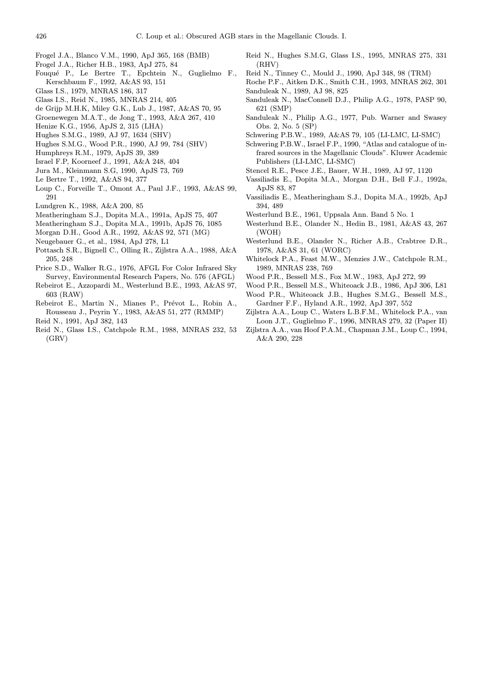- Frogel J.A., Blanco V.M., 1990, ApJ 365, 168 (BMB)
- Frogel J.A., Richer H.B., 1983, ApJ 275, 84
- Fouqu´e P., Le Bertre T., Epchtein N., Guglielmo F., Kerschbaum F., 1992, A&AS 93, 151
- Glass I.S., 1979, MNRAS 186, 317
- Glass I.S., Reid N., 1985, MNRAS 214, 405
- de Grijp M.H.K, Miley G.K., Lub J., 1987, A&AS 70, 95
- Groenewegen M.A.T., de Jong T., 1993, A&A 267, 410
- Henize K.G., 1956, ApJS 2, 315 (LHA)
- Hughes S.M.G., 1989, AJ 97, 1634 (SHV)
- Hughes S.M.G., Wood P.R., 1990, AJ 99, 784 (SHV)
- Humphreys R.M., 1979, ApJS 39, 389
- Israel F.P, Koorneef J., 1991, A&A 248, 404
- Jura M., Kleinmann S.G, 1990, ApJS 73, 769
- Le Bertre T., 1992, A&AS 94, 377
- Loup C., Forveille T., Omont A., Paul J.F., 1993, A&AS 99, 291
- Lundgren K., 1988, A&A 200, 85
- Meatheringham S.J., Dopita M.A., 1991a, ApJS 75, 407
- Meatheringham S.J., Dopita M.A., 1991b, ApJS 76, 1085
- Morgan D.H., Good A.R., 1992, A&AS 92, 571 (MG)
- Neugebauer G., et al., 1984, ApJ 278, L1
- Pottasch S.R., Bignell C., Olling R., Zijlstra A.A., 1988, A&A 205, 248
- Price S.D., Walker R.G., 1976, AFGL For Color Infrared Sky Survey, Environmental Research Papers, No. 576 (AFGL)
- Rebeirot E., Azzopardi M., Westerlund B.E., 1993, A&AS 97, 603 (RAW)
- Rebeirot E., Martin N., Mianes P., Prévot L., Robin A., Rousseau J., Peyrin Y., 1983, A&AS 51, 277 (RMMP)
- Reid N., 1991, ApJ 382, 143
- Reid N., Glass I.S., Catchpole R.M., 1988, MNRAS 232, 53 (GRV)
- Reid N., Hughes S.M.G, Glass I.S., 1995, MNRAS 275, 331 (RHV)
- Reid N., Tinney C., Mould J., 1990, ApJ 348, 98 (TRM)
- Roche P.F., Aitken D.K., Smith C.H., 1993, MNRAS 262, 301 Sanduleak N., 1989, AJ 98, 825
- Sanduleak N., MacConnell D.J., Philip A.G., 1978, PASP 90, 621 (SMP)
- Sanduleak N., Philip A.G., 1977, Pub. Warner and Swasey Obs. 2, No. 5 (SP)
- Schwering P.B.W., 1989, A&AS 79, 105 (LI-LMC, LI-SMC)
- Schwering P.B.W., Israel F.P., 1990, "Atlas and catalogue of infrared sources in the Magellanic Clouds". Kluwer Academic Publishers (LI-LMC, LI-SMC)
- Stencel R.E., Pesce J.E., Bauer, W.H., 1989, AJ 97, 1120
- Vassiliadis E., Dopita M.A., Morgan D.H., Bell F.J., 1992a, ApJS 83, 87
- Vassiliadis E., Meatheringham S.J., Dopita M.A., 1992b, ApJ 394, 489
- Westerlund B.E., 1961, Uppsala Ann. Band 5 No. 1
- Westerlund B.E., Olander N., Hedin B., 1981, A&AS 43, 267 (WOH)
- Westerlund B.E., Olander N., Richer A.B., Crabtree D.R., 1978, A&AS 31, 61 (WORC)
- Whitelock P.A., Feast M.W., Menzies J.W., Catchpole R.M., 1989, MNRAS 238, 769
- Wood P.R., Bessell M.S., Fox M.W., 1983, ApJ 272, 99
- Wood P.R., Bessell M.S., Whiteoack J.B., 1986, ApJ 306, L81
- Wood P.R., Whiteoack J.B., Hughes S.M.G., Bessell M.S., Gardner F.F., Hyland A.R., 1992, ApJ 397, 552
- Zijlstra A.A., Loup C., Waters L.B.F.M., Whitelock P.A., van Loon J.T., Guglielmo F., 1996, MNRAS 279, 32 (Paper II)
- Zijlstra A.A., van Hoof P.A.M., Chapman J.M., Loup C., 1994, A&A 290, 228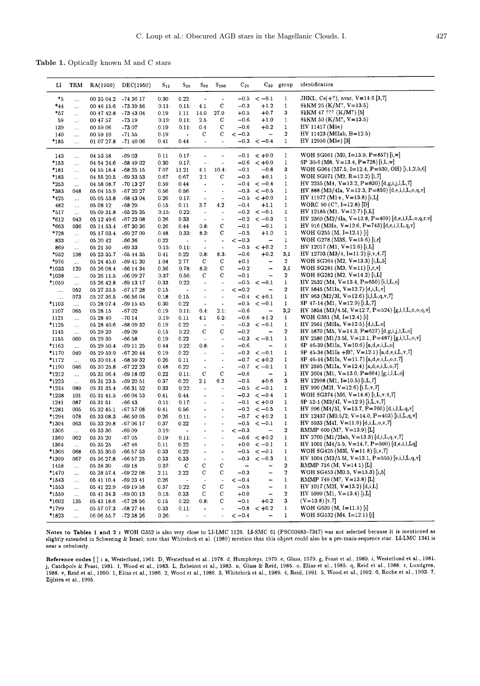Table 1. Optically known M and C stars

| IJ             | TRM             | RA(1950)                 | DEC(1950)             | $S_{12}$      | $\mathrm{S}_{25}$        | $\mathrm{s_{\texttt{60}}}$      | $S_{100}$                    | $C_{21}$         |                                      | $C_{32}$ group                   | identification                                                                                |
|----------------|-----------------|--------------------------|-----------------------|---------------|--------------------------|---------------------------------|------------------------------|------------------|--------------------------------------|----------------------------------|-----------------------------------------------------------------------------------------------|
| $*_{5}$        |                 | 00 35 04.2               | $-743617$             | 0.30          | 0.22                     | $\overline{\phantom{a}}$        | $\ddot{\phantom{1}}$         |                  | $-0.5 < -0.1$                        | $\mathbf{1}$                     | JHKL, $Ce(+?)$ , nvar, $V=14.6$ [3,7]                                                         |
| $*_{44}$       | $\ddotsc$       | 00 46 15.6               | $-733956$             | 0.11:         | 0.11:                    | 4.1                             | $\mathbf C$                  | $-0.3$           | $+1.2$                               | $\mathbf{1}$                     | SkKM 25 $(K/M$ ?, V=13.5)                                                                     |
| *57            | $\cdots$        | 00 47 42.8               | $-734304$             | 0.19          | 1.11                     | 14.0                            | 27.0                         | $+0.5$           | $+0.7$                               | 3                                | SkKM 47 ??? (K/M?) [5]                                                                        |
| 59             | $\ldots$        | 00 47 57                 | $-7319$               | 0.19:         | 0.11:                    | 2.5                             | С                            | $-0.6$           | $+1.0$                               | $\mathbf{1}$                     | SkKM 50 (K/M?, $V=13.5$ )                                                                     |
| 139            | $\ldots$        | 00 59 06                 | $-7307$               | 0.19          | 0.11:                    | 0.4                             | C                            | $-0.6$           | $+0.2$                               | $\mathbf{1}$                     | HV 11417 (M5e)                                                                                |
| 140            | $\cdots$        | 00 59 10                 | $-71.55$              | 0.19          | $\overline{\phantom{a}}$ | С                               | C                            | $<-0.3$          | $\overline{\phantom{m}}$             | $\overline{2}$                   | HV 11423 (M0Iab, B=12.5)                                                                      |
| *185           |                 | 01 07 27.8               | -71 40 06             | 0.41          | 0.44                     | $\blacksquare$                  |                              |                  | $-0.3 < -0.4$                        | $\mathbf{1}$                     | HV 12956 (M5e) [3]                                                                            |
| 143            | $\cdots$        | 04 53 58                 | -6903                 | 0.11          | 0.17:                    | $\bullet$                       |                              |                  | $-0.1 < +0.0$                        | 1                                | WOH SG061 (M0, I=13.9, P=857) [i,w]                                                           |
| *153           | $\ldots$        | 04 54 24 6               | $-684902$             | 0.30          | 0.17:                    | $\blacksquare$                  | $\blacksquare$               | $-0.6$           | $< +0.0$                             | $\mathbf{1}$                     | SP 30-6 (M8, V=13.4, P=728) [i,L,w]                                                           |
| *181           | $\ldots$        | 04 55 18.4               | $-682515$             | 7.07          | 11.21                    | 4.1                             | 10.4:                        | $-0.1$           | $-0.8$                               | 3                                | WOH G064 (M7.5, I=12.4, P=930, OH) [i,1,2,5,6]                                                |
| *183           | $\ldots$        | 04 55 20.5               | $-693353$             | 0.67          | 0.67                     | 2.1:                            | С                            | $-0.3$           | $+0.1$                               | $\mathbf{1}$                     | WOH SG071 (M2, $R=12.2$ ) [i,7]                                                               |
| $*253$         | $\ldots$        | 04 58 08.7               | -70 13 27             | 0.59          | 0.44                     | $\bullet$                       | $\blacksquare$               |                  | $-0.4 < -0.4$                        | $\mathbf{1}$                     | HV 2255 (M4, V=13.2, P=830) [d,g,i,j,l,L,7]                                                   |
| *383           | 048             | 05 04 15.9               | $-672027$             | 0.56          | 0.56                     | $\bullet$                       | $\blacksquare$               |                  | $-0.3 < -0.5$                        | $\mathbf{1}$                     | HV 888 (M3/4Ia, V=12.3, P=850) [d,e,i,l,L,o,q,v]                                              |
| $*_{425}$      | $\ldots$        | 05 05 53.8               | $-684304$             | 0.26          | 0.17:                    | $\overline{\phantom{a}}$<br>3.7 | $\overline{\phantom{a}}$     | $-0.4$           | $-0.5 < +0.0$<br>$+1.1$              | $\mathbf{1}$<br>1                | $HV 11977 (M1+, V=13.8) [i,L]$<br>WORC 90 (C?, $I=12.8$ ) [D]                                 |
| 482<br>*517    | $\ldots$        | 05 08 12<br>05 09 31.8   | $-6829$<br>$-652535$  | 0.15<br>0.15: | 0.11<br>0.22:            | $\overline{\phantom{a}}$        | 4.2<br>$\blacksquare$        |                  | $-0.2 < -0.1$                        | $\mathbf{1}$                     | $HV 12185 (M1, V=12.7) [i,L]$                                                                 |
| $*612$         | $\cdots$<br>043 | 05 12 49.6               | $-672308$             | 0.26          | 0.33                     | $\overline{\phantom{a}}$        | $\blacksquare$               |                  | $-0.2 < -0.3$                        | 1                                | HV 2360 (M2/4Ia, V=13.8, P=409) [d,e,i,l,L,o,q,r,v]                                           |
| $*663$         | 036             | 05 14 53.4               | $-673036$             | 0.26          | 0.44                     | 0.8:                            | C                            | $-0.1$           | $-0.1$                               | $\mathbf{1}$                     | HV 916 (M3Ia, V=12.6, P=743) [d,e,i,l,L,q,v]                                                  |
| *728           | $\ldots$        | 05 17 03.4               | -69 27 09             | 0.48          | 0.33:                    | 8.3:                            | с                            | $-0.5$           | $+1.0$                               | 1                                | WOH G255 $(M, I=12.1)$ [i]                                                                    |
| 833            | $\ldots$        | 05 20 42                 | -66 36                | 0.22          | $\sim$                   | $\blacksquare$                  | $\tilde{\phantom{a}}$        | $<-0.3$          | $\qquad \qquad -$                    | $\mathbf{1}$                     | WOH G278 (M3S, $V=15.6$ ) [i,r]                                                               |
| 869            | $\ldots$        | 05 21 50                 | -6933                 | 0.15:         | 0.11:                    | $\bullet$                       | $\tilde{\phantom{a}}$        | $-0.5$           | $< +0.2$                             | 1                                | HV 12017 (M1, $V=12.6$ ) [i,L]                                                                |
| $*_{932}$      | 108             | 05 23 35.7               | $-654435$             | 0.41          | 0.22                     | 0.8:                            | 8.3:                         | $-0.6$           | $+0.2$                               | 3,1                              | $HV 12793 (M3/4, I=11.2) [i, v, 4, 7]$                                                        |
| *976           | $\ldots$        | 05 24 45.0               | $-694130$             | 1.04          | 2.77                     | C                               | C                            | $+0.1$           | $\qquad \qquad \blacksquare$         | $\mathbf{2}$                     | WOH SG264 (M2, $V=13.3$ ) [i,L,5]                                                             |
| *1033          | 129             | 05 26 08.4               | $-66$ 14 34           | 0.56          | 0.78:                    | 8.3:                            | С                            | $-0.2$           | $\qquad \qquad \blacksquare$         | 3,1                              | WOH SG281 (M3, $V=11$ ) [i,r,v]                                                               |
| *1038          | $\ldots$        | 05 26 11.5               | -66 09 27             | 0.37:         | 0.56:                    | C                               | C                            | $-0.1$           | $\overline{\phantom{0}}$             | $\overline{\mathbf{2}}$          | WOH SG282 (M2, $V=14.2$ ) [i,L]                                                               |
| *1059          | $\ldots$        | 05 26 42.8               | -69 13 17             | 0.33          | 0.22:                    | $\blacksquare$                  | $\blacksquare$               |                  | $-0.5 < -0.1$                        | $\mathbf{1}$                     | HV 2532 (M4, V=13.4, P=650) [i,l,L,o]                                                         |
| $\ldots$       | 052             | 05 27 33.5               | $-671728$             | 0.15          | $\blacksquare$           | $\overline{\phantom{a}}$        | $\overline{a}$               | $<-0.2$          | $\qquad \qquad -$                    | 2                                | HV 5845 (M1Ia, V=12.7) [d,i,L,v]                                                              |
| $\cdots$       | 073             | 05 27 36.5               | $-665604$             | 0.18          | 0.15                     | $\overline{\phantom{a}}$        | $\overline{\phantom{a}}$     |                  | $-0.4 < +0.1$                        | $\mathbf{1}$                     | HV 963 (M2/3I, V=12.6) [i,l,L,q,v,7]                                                          |
| *1103          | $\ldots$        | 05 28 07.4               | -69 15 45             | 0.30          | 0.22                     | $\overline{\phantom{a}}$        | $\blacksquare$               |                  | $-0.5 < -0.1$                        | $\mathbf{1}$                     | SP $47-14$ (M1, V=12.9) [i,L,7]                                                               |
| 1107           | 065             | 05 28 15                 | $-6702$               | 0.19          | 0.11:                    | 0.4:                            | 2.1:                         | $-0.6$           | $\qquad \qquad \blacksquare$         | 3,2                              | HV 5854 (M3/4.5I, V=12.7, P=524) [g,i,l,L,n,o,q,v]                                            |
| 1121           | $\ldots$        | 05 28 40                 | $-7014$               | 0.19:         | 0.11                     | 4.1                             | 6.2:                         | $-0.6$           | $+1.2$                               | $\mathbf{1}$                     | WOH G351 (M, $I=12.4$ ) [i]                                                                   |
| *1125          | $\cdots$        | 05 28 40.6               | $-680932$             | 0.19          | 0.22                     | $\bullet$                       | $\blacksquare$               |                  | $-0.3 < -0.1$                        | $\mathbf{1}$                     | HV 2561 (M0Ia, $V=12.5$ ) [d,i,L,o]                                                           |
| 1145           | $\ldots$        | 05 29 20                 | $-6909$               | 0.15          | 0.22:                    | $\mathbf C$<br>$\blacksquare$   | C<br>$\blacksquare$          | $-0.2$<br>$-0.3$ | $\overline{\phantom{a}}$             | $\mathbf{2}$<br>$\mathbf{1}$     | HV 5870 (M5, V=14.3, P=627) [d,g,i,j,l,L,o]<br>HV 2586 (M1/3.5I, V=13.1, P=487) [g,i,l,L,o,v] |
| 1155<br>*1163  | 069             | 05 29 30<br>05 29 50.4   | $-66.58$<br>-69 11 25 | 0.19<br>0.44  | 0.22<br>0.22:            | 0.8:                            | $\blacksquare$               | $-0.6$           | $<-0.1$<br>$\qquad \qquad -$         | $\mathbf{1}$                     | SP 46-39 (M1Ia, V=10.6) [a,d,e,i,L,o]                                                         |
| *1170          | $\ldots$<br>049 | 05 29 59.9               | -67 20 44             | 0.19          | 0.22                     | $\blacksquare$                  | $\ddot{\phantom{1}}$         | $-0.3$           | $<-0.1$                              | 1                                | SP 45-34 (M1Ia +B <sup>2</sup> , V=12.1) [a,d,e,i,L,v,7]                                      |
| *1172          | $\ddotsc$       | 05 30 01.4               | -68 59 32             | 0.26          | 0.11                     | $\overline{\phantom{a}}$        | $\qquad \qquad \blacksquare$ |                  | $-0.7 < +0.2$                        | 1                                | SP 46-44 (M1Ia, V=11.7) [a,d,e,i,L,o,r,7]                                                     |
| *1190          | 046             | 05 30 25.8               | $-672223$             | 0.48          | 0.22                     | $\blacksquare$                  | $\bullet$                    |                  | $-0.7 < -0.1$                        | 1                                | HV 2595 (M1Ia, V=12.4) [a,d,e,i,L,o,7]                                                        |
| $*1212$        | $\ddotsc$       | 05 31 06.4               | $-691802$             | 0.22          | 0.11:                    | с                               | $\mathbf C$                  | $-0.6$           | $\overline{\phantom{a}}$             | $\mathbf{1}$                     | HV 2604 (M1, V=13.0, P=664) [g,i,l,L,o]                                                       |
| *1223          | $\ldots$        | 05 31 23.5               | $-692051$             | 0.37          | 0.22                     | 2.1                             | 6.2                          | $-0.5$           | $+0.6$                               | 3                                | $HV 12998 (M1, I=10.5) [i,L,7]$                                                               |
| *1234          | 089             | 05 31 35.4               | $-663152$             | 0.33          | 0.22:                    | $\blacksquare$                  | $\overline{\phantom{a}}$     |                  | $-0.5 < -0.1$                        | $\mathbf{1}$                     | HV 990 (M2I, V=12.6) [i,L,v,7]                                                                |
| *1238          | 101             | 05 31 41.5               | -66 04 53             | 0.41          | 0.44                     | $\overline{\phantom{a}}$        | $\blacksquare$               | $-0.3$           | $<-0.4$                              | $\mathbf{1}$                     | WOH SG374 (M6, V=14.8) [i,L,v,4,7]                                                            |
| 1241           | 087             | 05 31 51                 | $-6643$               | 0.11:         | 0.17:                    | ä,                              | $\overline{a}$               |                  | $-0.1 < +0.0$                        | $\mathbf{1}$                     | SP 52-1 (M3/4I, V=12.9) [i,L,v,7]                                                             |
| *1281          | 005             | 05 32 45.1               | $-675708$             | 0.41          | 0.56                     | $\blacksquare$                  | $\bullet$                    |                  | $-0.2 < -0.5$                        | $\mathbf{1}$                     | HV 996 (M4/5I, V=13.7, P=760) [d,i,l,L,q,v]                                                   |
| *1294          | 078             | 05 33 08.3               | $-665005$             | 0.26          | 0.11:                    |                                 |                              |                  | $-0.7 < +0.2$                        | 1                                | HV 12437 (M0.5/2, V=14.0, P=403) [i,l,L,q,v]                                                  |
| *1304          | 063             | 05 33 29.8               | $-670617$             | 0.37          | 0.22                     |                                 | $\overline{\phantom{a}}$     |                  | $-0.5 < -0.1$                        | $\mathbf{1}$                     | HV 5933 (M4I, V=11.9) [d,i,L,o,v,7]                                                           |
| 1306           | $\ddotsc$       | 05 33 30                 | $-6909$               | 0.19:         | $\overline{\phantom{a}}$ |                                 | $\overline{a}$               | $<-0.3$          | $\qquad \qquad -$                    | $\mathbf{2}$                     | RMMP 600 (M?, $V=13.9$ ) [L]                                                                  |
| 1360           | 062             | 05 35 20                 | $-6705$               | 0.19          | 0.11:                    |                                 |                              |                  | $-0.6 < +0.2$                        | 1                                | HV 2700 (M1/2Iab, V=13.3) [d,i,L,q,v,7]                                                       |
| 1364           | $\ldots$        | 05 35 25                 | $-6746$               | 0.11          | 0.22                     |                                 |                              |                  | $+0.0 < -0.1$                        | $\mathbf{1}$                     | HV 1001 (M4/5.5, V=14.7, P=590) [d,e,i,l,Lq]                                                  |
| *1366          | 068             | 05 35 30.0               | -66 57 53             | 0.33          | 0.22                     | $\overline{\phantom{a}}$        |                              |                  | $-0.5 < -0.1$                        | $\mathbf{1}$                     | WOH SG425 (M3I, $V=11.8$ ) [i,v,7]                                                            |
| *1399          | 067             | 05 36 27.8               | -66 57 25             | 0.33          | 0.33                     | $\tilde{\phantom{a}}$           | $\overline{\phantom{a}}$     | $-0.3$           | $<-0.3$                              | $\mathbf{1}$                     | HV 1004 (M3/5.5I, V=13.1, P=555) [e,i,l,L,q,v]                                                |
| 1458           | $\ldots$        | 05 38 30                 | -69 18                | 0.37:         | C                        | С                               | C                            | $\frac{1}{2}$    | -                                    | $\boldsymbol{2}$                 | RMMP 716 (M, $V=14.1$ ) [L]                                                                   |
| *1470          | $\ldots$        | 05 38 57.4               | -69 22 08             | 2.11          | 2.22                     | с                               | $\mathbf C$                  | $-0.3$           | -                                    | $\overline{2}$                   | WOH SG453 (M0.5, V=13.3) [i,5]                                                                |
| *1543          | $\ldots$        | 05 41 10.4               | $-692341$             | 0.26          | $\blacksquare$           | $\bullet$                       | $\ddot{\phantom{a}}$         | $<-0.4$          | -                                    | $\mathbf{1}$                     | RMMP 749 (M?, $V=13.8$ ) [L]                                                                  |
| *1553          | $\ldots$        | 05 41 22.9               | $-691958$             | 0.37          | 0.22:                    | С                               | C                            | $-0.5$           | $\rightarrow$                        | $\mathbf{1}$<br>$\boldsymbol{2}$ | HV 1017 (M2I, V=13.2) [d,i,L]<br>HV 5999 (M1, V=13.4) [i,L]                                   |
| *1559          | $\ldots$        | 05 41 34.3               | $-690013$             | 0.15:         | 0.33                     | C<br>0.8:                       | $\mathbf C$<br>С             | $+0.0$<br>$-0.1$ | $\qquad \qquad -$                    | 3                                | $(V=13.8)$ [v,7]                                                                              |
| *1602<br>*1799 | 135             | 05 43 18.6<br>05 57 07.3 | $-672856$             | 0.15          | 0.22:                    |                                 |                              | $-0.8$           | $+0.2$                               | $\mathbf{1}$                     | WOH G639 (M, $I=11.5$ ) [i]                                                                   |
|                | $\ldots$        | 06 06 55.7               | -68 27 44             | 0.33          | 0.11:                    | ٠                               | $\blacksquare$               |                  | $< +0.2$<br>$\overline{\phantom{0}}$ | $\mathbf{1}$                     | WOH SG532 (M4, $I=12.1$ ) [i]                                                                 |
| *1823          | $\ddotsc$       |                          | $-723826$             | 0.26:         | $\tilde{\phantom{a}}$    | $\blacksquare$                  | $\blacksquare$               | $<-0.4$          |                                      |                                  |                                                                                               |

Notes to Tables 1 and 2: WOH G352 is also very close to LI-LMC 1125. LI-SMC 61 (PSC00483-7347) was not selected because it is mentioned as slightly extend in Schwering & Israel; note that Whitelock et al. (1989) mention th near a nebulosity.

Reference codes []: a, Westerlund, 1961. D, Westerlund et al., 1978. d, Humphreys, 1979. e, Glass, 1979. g, Feast et al., 1980. i, Westerlund et al., 1981.<br>j, Catchpole & Feast, 1981. 1, Wood et al., 1983. L, Rebeirot et a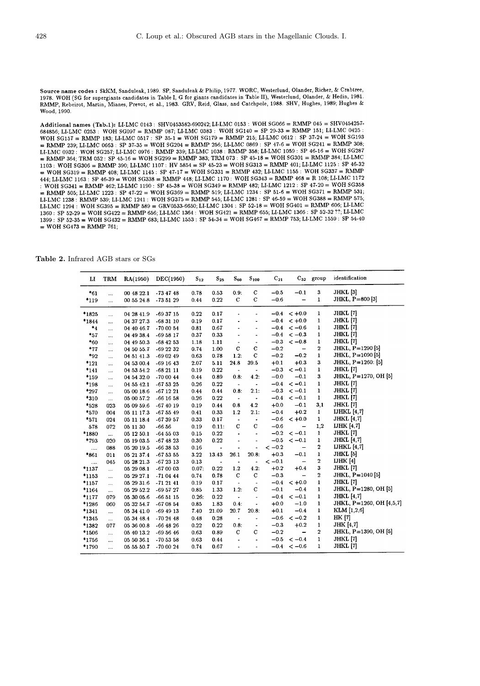Source name codes: SkKM, Sanduleak, 1989. SP, Sanduleak & Philip, 1977. WORC, Westerlund, Olander, Richer, & Crabtree, 1978. WOH (SG for supergiants candidates in Table I, G for giants candidates in Table II), Westerlund, Olander, & Hedin, 1981.<br>1978. WOH (SG for supergiants candidates in Table I, G for giants candidates in Table II), West Wood. 1990.

Additional names (Tab.1): LI-LMC 0143 : SHV0453582-690242; LI-LMC 0153 : WOH SG066 = RMMP 045 = SHV0454257-684856; LI-LMC 0253; WOH SG097 = RMMP 087; LI-LMC 0383; WOH SG140 = SP 29-33 = RMMP 151; LI-LMC 0425; WOH SG157 = RMMP 183; LI-LMC 0517 : SP 35-1 = WOH SG179 = RMMP 215; LI-LMC 0612 : SP 37-24 = WOH SG193  $\frac{1}{2}$  RMMP 239; LI-LMC 0663 : SP 37-35 = WOH SG204 = RMMP 256; LI-LMC 0869 : SP 47-6 = WOH SG241 = RMMP 308; LI-LMC 0932 : WOH SG257; LI-LMC 0976 : RMMP 339; LI-LMC 1038 : RMMP 358; LI-LMC 1059 : SP 46-16 = WOH SG287 = RMMP 364; TRM 052 : SP 45-16 = WOH SG299 = RMMP 383; TRM 073 : SP 45-18 = WOH SG301 = RMMP 384; LI-LMC 1103 : WOH SG306 = RMMP 390; LI-LMC 1107 : HV 5854 = SP 45-23 = WOH SG313 = RMMP 401; LI-LMC 1125 : SP 46-32 = WOH SG319 = RMMP 408; LI-LMC 1145 : SP 47-17 = WOH SG331 = RMMP 432; LI-LMC 1155 : WOH SG337 = RMMP 444; LI-LMC 1163 : SP 46-39 = WOH SG338 = RMMP 448; LI-LMC 1170 : WOH SG343 = RMMP 468 = R 108; LI-LMC 1172 : WOH SG341 = RMMP 462; LI-LMC 1190 : SP 45-38 = WOH SG349 = RMMP 482; LI-LMC 1212 : SP 47-20 = WOH SG358  $=$  RMMP 505; LLLMC 1223 : SP 47-22 = WOH SG369 = RMMP 519; LLLMC 1234 : SP 51-6 = WOH SG371 = RMMP 531; LI-LMC 1238 : RMMP 539; LI-LMC 1241 : WOH SG375 = RMMP 545; LI-LMC 1281 : SP 46-59 = WOH SG388 = RMMP 575; LI-LMC 1294 : WOH SG395 = RMMP 589 = GRV0533-6650; LI-LMC 1304 : SP 52-18 = WOH SG401 = RMMP 606; LI-LMC 1360 : SP 52-29 = WOH SG422 = RMMP 656; LI-LMC 1364 : WOH SG421 = RMMP 655; LI-LMC 1366 : SP 52-32 ??; LI-LMC 1399 : SP 52-35 = WOH SG432 = RMMP 683; LI-LMC 1553 : SP 54-34 = WOH SG467 = RMMP 753; LI-LMC 1559 : SP 54-40  $=$  WOH SG473 = RMMP 761;

Table 2. Infrared AGB stars or SGs

| п        | TRM                  | RA(1950)   | DEC(1950)     | $S_{12}$ | $S_{25}$                 | $S_{60}$                     | $S_{100}$                    | $\mathrm{C}_{21}$ |                          | $C_{32}$ group               | identification                         |
|----------|----------------------|------------|---------------|----------|--------------------------|------------------------------|------------------------------|-------------------|--------------------------|------------------------------|----------------------------------------|
| $*_{61}$ |                      | 00 48 22.1 | $-734748$     | 0.78     | 0.53                     | 0.9.                         | $\mathbf C$                  | $-0.5$            | $-0.1$                   | $\mathbf{3}$                 | JHKL [3]                               |
| *119     | $\ddotsc$            | 00 55 24.8 | -73 51 29     | 0.44     | 0.22                     | $\mathbf C$                  | $\mathbf C$                  | $-0.6$            | $\overline{\phantom{0}}$ | $\mathbf{1}$                 | JHKL, P=800 [3]                        |
|          |                      |            |               |          |                          |                              |                              |                   |                          |                              |                                        |
| *1825    |                      | 04 28 41.9 | -69 37 15     | 0.22     | 0.17                     |                              | $\qquad \qquad \blacksquare$ | $-0.4$            | $< +0.0$                 | $\mathbf{1}$                 | JHKL [7]                               |
| *1844    |                      | 04 37 27.3 | $-683110$     | 0.19     | 0.17                     | ÷                            | $\ddot{\phantom{a}}$         | $-0.4$            | $< +0.0$                 | $\mathbf{1}$<br>$\mathbf{1}$ | JHKL [7]                               |
| $*_{4}$  | $\cdots$             | 04 40 46.7 | $-700054$     | 0.81     | 0.67                     |                              | ä,                           | $-0.4$            | $<-0.6$                  |                              | JHKL [7]<br>JHKL [7]                   |
| $*_{57}$ |                      | 04 49 38.4 | $-695817$     | 0.37     | 0.33                     | ä,                           | $\blacksquare$               | $-0.4$            | $<-0.3$                  | 1                            |                                        |
| $*_{60}$ |                      | 04 49 50.3 | -68 42 53     | 1.18     | 1.11                     | $\overline{\phantom{a}}$     | $\frac{1}{2}$                | $-0.3$            | $<-0.8$                  | $\mathbf{1}$                 | JHKL [7]                               |
| $*77$    |                      | 04 50 55.7 | -69 22 32     | 0.74     | 1.00                     | $\mathbf C$                  | $\mathbf c$                  | $-0.2$            |                          | $\mathbf{2}$<br>$\mathbf 1$  | JHKL, $P=1290$ [5]<br>JHKL, P=1090 [5] |
| $*_{92}$ |                      | 04 51 41.3 | $-690249$     | 0.63     | 0.78                     | 1.2:                         | $\mathbf C$                  | $-0.2$            | $-0.2$                   |                              |                                        |
| $*121$   |                      | 04 53 00.4 | $-691643$     | 2.07     | 5.11                     | 24.8                         | 39.5                         | $+0.1$            | $+0.3$                   | $\mathbf{3}$                 | JHKL, $P=1260: [5]$                    |
| $*141$   |                      | 04 53 54.2 | $-682111$     | 0.19     | 0.22                     | $\blacksquare$               | $\bullet$                    | $-0.3$            | $<-0.1$                  | $\mathbf{1}$                 | <b>JHKL</b> [7]                        |
| *159     | $\ddotsc$            | 04 54 32.0 | $-700044$     | 0.44     | 0.89                     | 0.8:                         | 4.2:                         | $-0.0$            | $-0.1$                   | 3                            | JHKL, P=1270, OH [5]                   |
| *198     | $\ddot{\phantom{a}}$ | 04 55 42.1 | -67 53 25     | 0.26     | 0.22                     | $\overline{\phantom{a}}$     | $\bullet$                    | $-0.4$            | $<-0.1$                  | $\mathbf{1}$                 | JHKL [7]                               |
| *297     |                      | 05 00 18.6 | $-671221$     | 0.44     | 0.44                     | 0.8.                         | 2.1:                         | $-0.3$            | $<-0.1$                  | $\mathbf{1}$                 | JHKL [7]                               |
| *310     | $\cdots$             | 05 00 57.2 | $-66$ 16 58   | 0.26     | 0.22                     | $\overline{\phantom{a}}$     | $\bullet$                    | $-0.4$            | $<-0.1$                  | $\mathbf{1}$                 | JHKL [7]                               |
| *528     | 023                  | 05 09 59.6 | $-674019$     | 0.19     | 0.44                     | 0.8                          | 4.2                          | $+0.0$            | $-0.1$                   | 3,1                          | JHKL [7]                               |
| *570     | 004                  | 05 11 17 3 | $-675549$     | 0.41     | 0.33                     | 1.2                          | 2.1:                         | $-0.4$            | $+0.2$                   | $\mathbf{1}$                 | IJHKL $[4,7]$                          |
| *571     | 024                  | 05 11 18.4 | $-673957$     | 0.33     | 0.17                     | $\frac{1}{2}$                | $\tilde{\phantom{a}}$        | $-0.6$            | $< +0.0$                 | $\mathbf{1}$                 | <b>JHKL</b> [4,7]                      |
| 578      | 072                  | 05 11 30   | $-66.56$      | 0.19     | 0.11:                    | $\mathbf C$                  | С                            | $-0.6$            | $\overline{\phantom{0}}$ | 1,2                          | IJHK [4,7]                             |
| *1880    | $\ddots$             | 05 12 50.1 | $-645503$     | 0.15     | 0.22                     | ÷.                           | $\ddot{\phantom{a}}$         | $-0.2$            | $<-0.1$                  | $\mathbf{1}$                 | JHKL [7]                               |
| *793     | 020                  | 05 19 03.5 | $-674823$     | 0.30     | 0.22                     | L,                           | $\overline{\phantom{a}}$     | $-0.5$            | $<-0.1$                  | $\mathbf{1}$                 | <b>JHKL</b> [4,7]                      |
|          | 088                  | 05 20 19.5 | $-663853$     | 0.16     | $\blacksquare$           | ٠                            | ٠                            | $<-0.2$           | -                        | $\boldsymbol{2}$             | IJHKL $[4,7]$                          |
| *861     | 011                  | 05 21 37.4 | $-675355$     | 3.22     | 13.43                    | 26.1                         | 20.8:                        | $+0.3$            | $-0.1$                   | $\mathbf{1}$                 | JHKL [5]                               |
|          | 045                  | 05 28 21.3 | $-672313$     | 0.13     | $\overline{\phantom{a}}$ | ٠                            | $\overline{a}$               | $<-0.1$           | $\overline{\phantom{m}}$ | $\mathbf{2}$                 | IJHK $[4]$                             |
| *1137    |                      | 05 29 08.1 | $-670003$     | 0.07:    | $\,0.22$                 | 1.2                          | 4.2:                         | $+0.2$            | $+0.4$                   | $\bf 3$                      | JHKL [7]                               |
| *1153    |                      | 05 29 27.1 | $-710444$     | 0.74     | 0.78                     | $\mathbf C$                  | Ċ                            | $-0.3$            | $\overline{\phantom{m}}$ | $\overline{2}$               | JHKL, P=1040 [5]                       |
| *1157    |                      | 05 29 31.6 | $-712141$     | 0.19     | 0.17                     | $\blacksquare$               | $\ddot{\phantom{0}}$         | $-0.4$            | $< +0.0$                 | $\mathbf{1}$                 | JHKL [7]                               |
| *1164    |                      | 05 29 52.2 | -69 57 27     | 0.85     | 1.33                     | 1.2:                         | C                            | $-0.1$            | $-0.4$                   | 1                            | JHKL, P=1280, OH [5]                   |
| *1177    | 079                  | 05 30 05.6 | $-665115$     | 0.26:    | 0.22                     | $\qquad \qquad \blacksquare$ | $\blacksquare$               | $-0.4$            | $<-0.1$                  | $\mathbf{1}$                 | <b>JHKL</b> [4,7]                      |
| *1286    | 060                  | 05 32 54.7 | $-670854$     | 0.85     | 1.83                     | 0.4:                         | $\overline{\phantom{a}}$     | $+0.0$            | $-1.0$                   | $\mathbf{1}$                 | JHKL, P=1260, OH [4,5,7]               |
| *1341    |                      | 05 34 41.0 | -69 49 13     | 7.40     | 21.09                    | 20.7                         | 20.8                         | $+0.1$            | $-0.4$                   | $\mathbf{1}$                 | $KLM$ [1,2,6]                          |
| *1345    |                      | 05 34 48.4 | $-702448$     | 0.48     | 0.28                     | $\bullet$                    | $\blacksquare$               | $-0.6$            | $<-0.2$                  | $\mathbf{1}$                 | HK [7]                                 |
| *1382    | 077                  | 05 36 00.8 | $-66$ 48 $26$ | 0.22     | 0.22                     | 0.8:                         | $\frac{1}{2}$                | $-0.3$            | $+0.2$                   | $\mathbf 1$                  | <b>JHK</b> [4,7]                       |
| *1506    |                      | 05 40 13.2 | -69 56 46     | 0.63     | 0.89                     | $\mathbf C$                  | C                            | $-0.2$            | $\overline{a}$           | $\overline{2}$               | JHKL, $P=1390$ , OH [5]                |
| *1756    |                      | 05 50 36.1 | -70 53 58     | 0.63     | 0.44                     | $\overline{\phantom{a}}$     | $\blacksquare$               | $-0.5$            | $<-0.4$                  | $\mathbf{1}$                 | JHKL [7]                               |
| *1790    | .                    | 05 55 50.7 | -70 00 24     | 0.74     | 0.67                     | $\ddot{\phantom{1}}$         | $\ddot{\phantom{1}}$         | $-0.4$            | $<-0.6$                  | $\mathbf{1}$                 | JHKL [7]                               |
|          |                      |            |               |          |                          |                              |                              |                   |                          |                              |                                        |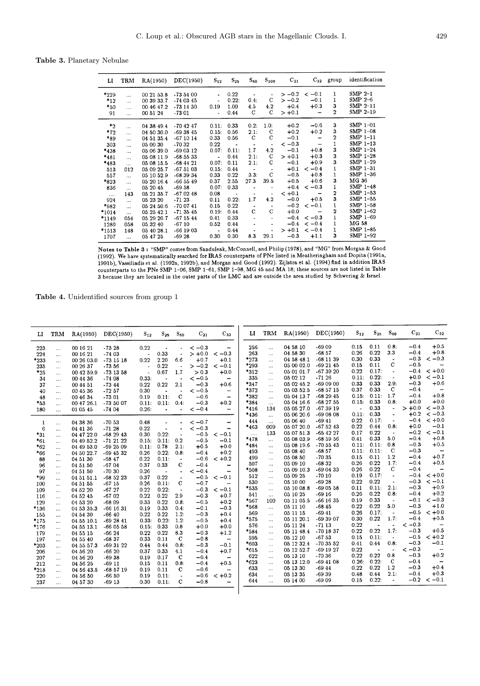Table 3. Planetary Nebulae

| ы                              | TRM                               | RA(1950)                               | DEC(1950)                           | $S_{12}$                            | $S_{25}$              | $S_{60}$    | $S_{100}$      | $C_{21}$          |                                      | $C_{32}$ group | identification                       |
|--------------------------------|-----------------------------------|----------------------------------------|-------------------------------------|-------------------------------------|-----------------------|-------------|----------------|-------------------|--------------------------------------|----------------|--------------------------------------|
| $*229$<br>$*_{12}$<br>$*_{50}$ | $\cdots$<br>$\cdots$<br>$\ddotsc$ | 00 21 53 8<br>00 39 33 7<br>00 46 47.2 | $-735400$<br>$-740345$<br>$-731430$ | $\bullet$<br>$\blacksquare$<br>0.19 | 0.22<br>0.22:<br>1.00 | 0.4:<br>4.5 | C<br>4.2       | $>-0.2$<br>$+0.4$ | $>-0.2$ < $-0.1$<br>$-0.1$<br>$+0.3$ | 1.<br>1<br>3   | $SMP 2-1$<br>SMP $2-6$<br>SMP $2-11$ |
| 91                             | $\ddotsc$                         | 00 51 24                               | $-7301$                             | $\blacksquare$                      | 0.44                  | C           | C              | $> +0.1$          |                                      | $\overline{2}$ | SMP 2-19                             |
| $^*2$                          | $\cdots$                          | 04 38 49.4                             | $-704247$                           | 0.11:                               | 0.33                  | 0.2:        | 1.0:           | $+0.2$            | $-0.6$                               | 3              | $SMP 1-01$                           |
| $*72$                          | $\ddotsc$                         | 04 50 30.0                             | $-693845$                           | 0.15:                               | 0.56                  | 2.1:        | C              | $+0.2$            | $+0.2$                               | 3              | SMP $1-08$                           |
| *89                            | $\dddotsc$                        | 04 51 35.4                             | $-671014$                           | 0.33                                | 0.56                  | C           | $\mathbf C$    | $-0.1$            | $\overline{\phantom{0}}$             | $\overline{2}$ | $SMP 1-11$                           |
| 303                            | $\ddotsc$                         | 05 00 30                               | $-70.32$                            | 0.22                                | $\sim$                | $\bullet$   |                | $<-0.3$           |                                      |                | SMP 1-13                             |
| *438                           | $\ddotsc$                         | 05 06 39.0                             | -69 03 12                           | 0.07:                               | 0.11:                 | 1.7         | 4.2            | $-0.1$            | $+0.8$                               | 3              | SMP $1-24$                           |
| *481                           | $\dddotsc$                        | 05 08 11.9                             | $-685533$                           | $\bullet$                           | 0.44                  | 2.1:        | C              | $> +0.1$          | $+0.3$                               | 3              | SMP 1-28                             |
| *483                           | $\dddotsc$                        | 05 08 15.5                             | $-684421$                           | 0.07:                               | 0.11                  | 2.1:        | C              | $-0.1$            | $+0.9$                               | 3              | SMP 1-29                             |
| 513                            | 012                               | 05 09 25.7                             | $-675103$                           | 0.15:                               | 0.44                  | $\sim$      |                | $+0.1$            | $<-0.4$                              | 1              | SMP 1-31                             |
| 557                            | $\ddotsc$                         | 05 10 52.9                             | $-683934$                           | 0.33                                | 0.22                  | 3.3.        | C              | $-0.5$            | $+0.8$                               | 1              | SMP 1-36                             |
| $*823$                         | $\cdots$                          | 05 20 16.4                             | $-665549$                           | 0.37                                | 2.55                  | 27.3        | 39.5           | $+0.5$            | $+0.6$                               | 3              | MG 36                                |
| 836                            | $\dddotsc$                        | 05 20 45                               | $-6958$                             | 0.07:                               | 0.33                  |             |                | $+0.4$            | $<-0.3$                              | 1              | SMP 1-48                             |
| $\ldots$                       | 143                               | 05 21 35.7                             | $-670248$                           | 0.08                                | $\blacksquare$        | ٠           | $\blacksquare$ | $< +0.1$          |                                      | 2              | $SMP$ 1-53                           |
| 924                            | $\ddotsc$                         | 05 23 20                               | $-7123$                             | 0.11                                | 0.22:                 | 1.7         | 4.2            | $-0.0$            | $+0.5$                               | 3              | SMP 1-55                             |
| *982                           | $\dddotsc$                        | 05 24 50.6                             | $-700741$                           | 0.15                                | 0.22                  |             |                | $-0.2$            | $<-0.1$                              | 1              | SMP 1-58                             |
| $*1014$                        |                                   | 05 25 42.1                             | $-713545$                           | 0.19:                               | 0.44                  | C           | $\mathbf C$    | $+0.0$            |                                      | 2              | SMP 1-62                             |
| *1149                          | 054                               | 05 29 20.7                             | $-671544$                           | 0.41                                | 0.33                  |             |                | $-0.4$            | $<-0.3$                              | 1              | SMP 1-69                             |
| 1280                           | 058                               | 05 32 40                               | $-6710$                             | 0.52                                | 0.44                  |             |                | $-0.4$            | $<-0.4$                              | 1              | MG 58                                |
| $*1513$                        | 148                               | 05 40 28.1                             | $-66$ 1903                          | $\bullet$                           | 0.44                  |             |                | $> +0.1$          | $<-0.4$                              |                | SMP 1-85                             |
| 1707                           | $\ddotsc$                         | 05 47 25                               | $-6928$                             | 0.30                                | 0.30                  | 8.3         | 29.1           | $-0.3$            | $+1.1$                               | 3              | SMP 1-92                             |

Notes to Table 3: "SMP" comes from Sanduleak, McConnell, and Philip (1978), and "MG" from Morgan & Good (1992). We have systematically searched for IRAS counterparts of PNe listed in Meatheringham and Dopita (1991a,<br>1991b), Vassiliadis et al. (1992a, 1992b), and Morgan and Good (1992). Zijlstra et al. (1994) find in addition counterparts to the PNe SMP 1-66, SMP 1-61, SMP 1-98, MG 45 and MA 18; these sources are not listed in Table 3 because they are located in the outer parts of the LMC and are outside the area studied by Schwering & Israel.

Table 4. Unidentified sources from group 1

l,

| LI           | TRM                  | RA(1950)   | DEC(1950)   | $S_{12}$ | $S_{25}$              | $S_{60}$                 | $C_{21}$ | $C_{32}$                     | ы         | <b>TRM</b> | RA(1950)   | DEC(1950)   | $S_{12}$       | $S_{25}$ | $S_{60}$                 | $C_{21}$ | $C_{32}$                 |
|--------------|----------------------|------------|-------------|----------|-----------------------|--------------------------|----------|------------------------------|-----------|------------|------------|-------------|----------------|----------|--------------------------|----------|--------------------------|
| 223          | $\ldots$             | 00 16 21   | $-7328$     | 0.22     |                       |                          | $<-0.3$  | $\qquad \qquad \blacksquare$ | 256       | $\cdots$   | 04 58 10   | $-6909$     | 0.15           | 0.11     | 0.8:                     | $-0.4$   | $+0.5$                   |
| 224          | $\ldots$             | 00 16 21   | $-7403$     |          | 0.33                  |                          | $> +0.0$ | $<-0.3$                      | 263       | $\cdots$   | 04 58 30   | $-6857$     | 0.26           | 0.22     | 3.3                      | $-0.4$   | $+0.8$                   |
| *233         | $\cdots$             | 00 26 03.0 | $-73$ 15 18 | 0.22     | 2.20                  | 6.6                      | $+0.7$   | $+0.1$                       | *273      | $\cdots$   | 04 58 48.1 | $-681139$   | 0.30           | 0.33     |                          | $-0.3$   | $<-0.3$                  |
| 235          | $\cdots$             | 00 26 37   | $-73.56$    |          | 0.22                  | $\ddot{\phantom{1}}$     | $>-0.2$  | $<-0.1$                      | *293      | $\cdots$   | 05 00 02.0 | $-692145$   | 0.15           | 0.11     | C                        | $-0.5$   | $\overline{\phantom{a}}$ |
| $*25$        | $\ddotsc$            | 00 42 59.9 | $-73$ 13 58 |          | 0.67                  | 1.7                      | > 0.3    | $+0.0$                       | $*312$    |            | 05 01 01.7 | -67 39 20   | 0.22           | 0.17:    | $\blacksquare$           | $-0.4$   | $< +0.0$                 |
| 34           | $\ddotsc$            | 00 44 36   | $-7408$     | 0.33:    |                       |                          | $<-0.5$  | $\overline{\phantom{m}}$     | 335       | $\ldots$   | 05 02 12   | $-7126$     | 0.11:          | 0.22:    | $\blacksquare$           | $+0.0$   | $<-0.1$                  |
| 37           | $\ldots$             | 00 44 51   | $-73.44$    | 0.22     | 0.22                  | 2.1                      | $-0.3$   | $+0.6$                       | *347      | $\cdots$   | 05 02 45.2 | $-690900$   | 0.33           | 0.33     | 2.9.                     | $-0.3$   | $+0.6$                   |
| 40           | $\ldots$             | 00 45 36   | $-72.57$    | 0.30     | $\bullet$             |                          | $<-0.5$  | $\qquad \qquad -$            | *372      | $\cdots$   | 05 03 52.5 | -68 57 15   | 0.37           | 0.33     | C                        | $-0.4$   |                          |
| 48           | $\cdots$             | 00 46 34   | $-7301$     | 0.19     | 0.11:                 | $\mathbf{C}$             | $-0.6$   | $\qquad \qquad \blacksquare$ | *382      | $\ddots$   | 05 04 13.7 | $-682945$   | 0.15:          | 0.11:    | 1.7                      | $-0.4$   | $+0.8$                   |
| $*_{53}$     | $\ddotsc$            | 00 47 26.1 | $-735007$   | 0.11:    | 0.11:                 | 0.4:                     | $-0.3$   | $+0.2$                       | *384      | $\cdots$   | 05 04 16.6 | $-682755$   | 0.15:          | 0.33     | 0.8:                     | $+0.0$   | $+0.0$                   |
| 180          |                      | 01 05 45   | $-7404$     | 0.26:    | $\overline{a}$        | $\blacksquare$           | $<-0.4$  | $\qquad \qquad -$            | *416      | 134        | 05 05 27.0 | $-673919$   | $\overline{a}$ | 0.33     |                          | $> +0.0$ | $<-0.3$                  |
|              |                      |            |             |          |                       |                          |          |                              | *436      | $\cdots$   | 05 06 20.6 | $-690808$   | 0.11:          | 0.33     |                          | $+0.2$   | $<-0.3$                  |
| $\mathbf{1}$ | $\ddotsc$            | 04 38 36   | $-70.53$    | 0.48     | $\blacksquare$        |                          | $<-0.7$  | $\overline{\phantom{a}}$     | 444       | $\cdots$   | 05 06 40   | $-69.41$    | 0.22           | 0.17:    |                          | $-0.4$   | $< +0.0$                 |
| 6            | $\cdots$             | 04 41 36   | $-71.28$    | 0.22     | $\ddot{\phantom{a}}$  | $\ddot{\phantom{0}}$     | $<-0.3$  | $\qquad \qquad \blacksquare$ | *463      | 009        | 05 07 20.0 | $-675243$   | 0.22           | 0.44     | 0.8:                     | $+0.0$   | $-0.1$                   |
| $*31$        | $\ldots$             | 04 47 22.0 | $-682943$   | 0.30     | 0.22:                 | $\ddot{\phantom{0}}$     | $-0.5$   | $<-0.1$                      | $\cdots$  | 133        | 05 07 51.3 | -65 42 27   | 0.17           | 0.22     | $\blacksquare$           | $-0.2$   | $<-0.1$                  |
| $*_{61}$     | $\ldots$             | 04 49 52.2 | $-712122$   | 0.15:    | 0.11:                 | 0.2                      | $-0.5$   | $-0.1$                       | *478      | $\ldots$   | 05 08 03.9 | $-685956$   | 0.41           | 0.33     | 5.0                      | $-0.4$   | $+0.8$                   |
| $*_{62}$     | $\ldots$             | 04 49 53.0 | $-692509$   | 0.11:    | 0.78                  | 2.1:                     | $+0.5$   | $+0.0$                       | $*_{484}$ | $\ldots$   | 05 08 19.6 | $-705543$   | 0.11:          | 0.11:    | 0.8                      | $-0.3$   | $+0.5$                   |
| *66          | $\cdots$             | 04 50 22.7 | $-69$ 45 32 | 0.26     | 0.22:                 | 0.8:                     | $-0.4$   | $+0.2$                       | 493       | $\cdots$   | 05 08 40   | $-68.57$    | 0.11:          | 0.11:    | $\mathbf C$              | $-0.3$   | $\qquad \qquad -$        |
| 88           | $\cdots$             | 04 51 30   | $-6847$     | 0.22     | 0.11:                 | $\tilde{\phantom{a}}$    | $-0.6$   | $< +0.2$                     | 499       | $\ldots$   | 05 08 50   | $-70.35$    | 0.15           | 0.11     | 1.2                      | $-0.4$   | $+0.7$                   |
| 96           | $\cdots$             | 04 51 50   | $-6704$     | 0.37     | 0.33                  | с                        | $-0.4$   | $\overline{\phantom{m}}$     | 507       | $\ddotsc$  | 05 09 10   | $-6832$     | 0.26           | 0.22     | 1.7:                     | $-0.4$   | $+0.5$                   |
| 97           | $\ldots$             | 04 51 50   | $-70.30$    | 0.26     | $\tilde{\phantom{a}}$ | $\bullet$                | $<-0.4$  | $\overline{\phantom{0}}$     | *508      | $\cdots$   | 05 09 10.3 | $-690433$   | 0.26           | 0.22     | C                        | $-0.4$   |                          |
| *99          |                      | 04 51 51.1 | $-685223$   | 0.37     | 0.22                  | $\overline{\phantom{a}}$ | $-0.5$   | $<-0.1$                      | 512       | $\ldots$   | 05 09 25   | $-7010$     | 0.19           | 0.17:    | $\bullet$                | $-0.4$   | $< +0.0$                 |
| 100          | $\ldots$<br>$\ldots$ | 04 51 55   | $-6715$     | 0.26     | 0.11:                 | C                        | $-0.7$   | $\qquad \qquad -$            | 530       | $\ldots$   | 05 10 00   | $-6928$     | 0.22           | 0.22     |                          | $-0.3$   | $<-0.1$                  |
| 109          | $\ddotsc$            | 04 52 20   | $-6727$     | 0.22     | 0.22:                 | $\overline{\phantom{a}}$ | $-0.3$   | $<-0.1$                      | *535      | $\cdots$   | 05 10 08.8 | $-690558$   | 0.11           | 0.11:    | 2.1:                     | $-0.3$   | $+0.9$                   |
| 116          | $\cdots$             | 04 52 45   | $-6702$     | 0.22     | 0.22                  | 2.9                      | $-0.3$   | $+0.7$                       | 541       | $\ldots$   | 05 10 25   | $-6916$     | 0.26           | 0.22     | 0.8:                     | $-0.4$   | $+0.2$                   |
| 129          | $\cdots$             | 04 53 20   | $-6809$     | 0.33     | 0.22                  | 0.8                      | $-0.5$   | $+0.2$                       | *567      | 100        | 05 11 05.5 | $-66$ 16 35 | 0.19           | 0.33     | $\blacksquare$           | $-0.1$   | $<-0.3$                  |
| *136         | $\ldots$             | 04 53 35.3 | $-66$ 16 31 | 0.19     | 0.33                  | 0.4:                     | $-0.1$   | $-0.3$                       | *568      | $\ldots$   | 05 11 10   | $-6845$     | 0.22           | 0.22     | 5.0                      | $-0.3$   | $+1.0$                   |
| 155          | $\cdots$             | 04 54 30   | $-6640$     | 0.22     | 0.22                  | 1.2:                     | $-0.3$   | $+0.4$                       | 569       | $\cdots$   | 05 11 15   | $-6941$     | 0.26           | 0.17:    | $\blacksquare$           | $-0.5$   | $< +0.0$                 |
| $*175$       | $\cdots$             | 04 55 10.1 | $-692841$   | 0.33:    | 0.22:                 | 1.2:                     | $-0.5$   | $+0.4$                       | *575      | $\ldots$   | 05 11 20.1 | -69 39 07   | 0.30           | 0.22     | 1.7:                     | $-0.4$   | $+0.5$                   |
| *176         | $\cdots$             | 04 55 13.1 | $-660558$   | 0.15:    | 0.33                  | 0.8                      | $+0.0$   | $+0.0$                       | 576       | $\cdots$   | 05 11 24   | $-7113$     | 0.22           |          |                          | $<-0.3$  |                          |
| 179          | $\ldots$             | 04 55 15   | $-6624$     | 0.22     | 0.22                  | 8.3                      | $-0.3$   | $+1.2$                       | *584      | $\ldots$   | 05 11 48.4 | $-701837$   | 0.22           | 0.22     | 1.7:                     | $-0.3$   | $+0.5$                   |
| 197          | $\cdots$             | 04 55 40   | $-6837$     | 0.33     | 0.11                  | C                        | $-0.8$   | $\overline{\phantom{m}}$     | 595       | $\ldots$   | 05 12 10   | $-6753$     | 0.15           | 0.11:    | $\overline{\phantom{a}}$ | $-0.5$   | $< +0.2$                 |
| $*203$       | $\cdots$             | 04 55 57.3 | $-693122$   | 0.44     | 0.44                  | 0.8:                     | $-0.3$   | $-0.1$                       | $*603$    | $\ldots$   | 05 12 32.4 | $-703552$   | 0.41           | 0.44     | 0.8:                     | $-0.3$   | $-0.1$                   |
| 206          | $\cdots$             | 04 56 20   | $-6620$     | 0.37     | 0.33                  | 4.1                      | $-0.4$   | $+0.7$                       | $*615$    | $\ldots$   | 05 12 52.7 | -69 19 27   | 0.22           |          |                          | $<-0.3$  |                          |
| 207          | $\ldots$             | 04 56 20   | $-6938$     | 0.19     | 0.17                  | C                        | $-0.4$   | $\overline{\phantom{m}}$     | 622       | $\ldots$   | 05 13 10   | $-70.36$    | 0.22           | 0.22     | 0.8                      | $-0.3$   | $+0.2$                   |
| 212          | $\cdots$             | 04 56 25   | $-6911$     | 0.15     | 0.11                  | 0.8                      | $-0.4$   | $+0.5$                       | $*623$    | $\ddotsc$  | 05 13 12.0 | $-694108$   | 0.26.          | 0.22:    | C                        | $-0.4$   |                          |
| $*_{218}$    | $\ddotsc$            | 04 56 43.5 | -68 57 19   | 0.19     | 0.11                  | c                        | $-0.6$   | $-$                          | 633       | $\ldots$   | 05 13 30   | $-6944$     | 0.22           | 0.22     | 1.2                      | $-0.3$   | $+0.4$                   |
| 220          | $\ddots$             | 04 56 50   | $-6650$     | 0.19     | 0.11:                 | $\blacksquare$           | $-0.6$   | $< +0.2$                     | 634       | $\cdots$   | 05 13 35   | $-6939$     | 0.48           | 0.44     | 2.1:                     | $-0.4$   | $+0.3$                   |
| 237          | $\cdots$             | 04 57 30   | $-6913$     | 0.30     | 0.11:                 | $\mathbf C$              | $-0.8$   |                              | 644       | $\cdots$   | 05 14 00   | $-6909$     | 0.15           | 0.22:    | $\blacksquare$           | $-0.2$   | $<-0.1$                  |
|              |                      |            |             |          |                       |                          |          |                              |           |            |            |             |                |          |                          |          |                          |
|              |                      |            |             |          |                       |                          |          |                              |           |            |            |             |                |          |                          |          |                          |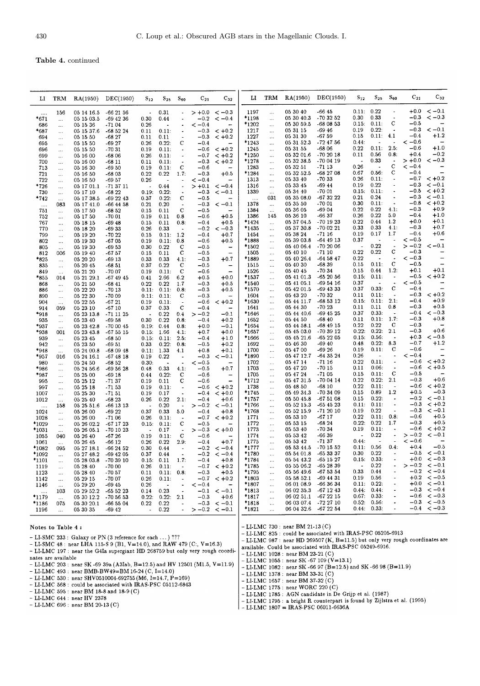### Table 4. continued

| ы                | TRM                  | RA(1950)             | DEC(1950)            | $\mathrm{s}_{12}$    | $\mathbf{S_{25}}$        | $S_{60}$                 | $C_{21}$  | $C_{32}$                 | и       | TRM                   | RA(1950)              | DEC(1950)     | $S_{12}$                 | $S_{25}$             | $S_{60}$             | $C_{21}$   | $C_{32}$                 |
|------------------|----------------------|----------------------|----------------------|----------------------|--------------------------|--------------------------|-----------|--------------------------|---------|-----------------------|-----------------------|---------------|--------------------------|----------------------|----------------------|------------|--------------------------|
| $\cdots$         | 156                  | 05 14 16 5           | $-662156$            | $\bullet$            | 0.31                     |                          |           | $> +0.0 < -0.3$          | 1197    | $\ldots$              | 05 30 40              | -66 45        | 0.11: 0.22               |                      | $\blacksquare$       | $+0.0$     | $<-0.1$                  |
| *671             | $\ldots$             | 05 15 03 5           | -69 42 36            | 0.30                 | 0.44                     |                          | $-0.2$    | $<-0.4$                  | *1198   | $\ldots$              | 05 30 40.3            | $-703252$     | 0.30                     | 0.33                 | $\blacksquare$       | $-0.3$     | $<-0.3$                  |
| 686              | $\cdots$             | 05 15 36             | -71 04               | 0.26                 |                          |                          | $<-0.4$   |                          | $*1202$ | $\ldots$              | 05 30 59.5            | $-680853$     | 0.15:                    | 0.11:                | $\mathbf c$          | $-0.5$     |                          |
| *687             | $\ddotsc$            | 05 15 37 6           | $-685224$            | 0.11                 | 0.11:                    |                          | $-0.3$    | $< +0.2$                 | 1217    | $\ldots$              | 05 31 15              | -69 46        | 0.19                     | 0.22:                |                      | $-0.3$     | $<-0.1$                  |
| 694              | $\ldots$             | 05 15 50             | $-6827$              | 0.11                 | 0.11                     | $\tilde{\phantom{a}}$    | $-0.3$    | $< +0.2$                 | 1227    | $\ldots$              | 05 31 30              | $-6759$       | 0.15                     | 0.11:                | 4.1                  | $-0.4$     | $+1.2$                   |
| 695              | $\cdots$             | 05 15 50             | -69 27               | 0.26                 | 0.22:                    | С                        | $-0.4$    |                          | *1243   | $\cdots$              | 05 31 52.3            | -72 47 56     | 0.44:                    | $\blacksquare$       |                      | $<-0.6$    |                          |
| 696              |                      | 05 15 50             | $-70.31$             | 0.19                 | 0.11:                    | $\bullet$                | $-0.6$    | $< +0.2$                 | 1245    | $\ldots$              | 05 31 55              | -68 06        | 0.22                     | 0.11:                | 2.5:                 | $-0.6$     | $+1.0$                   |
| 699              | $\cdots$             | 05 16 00             | $-6806$              | 0.26                 | 0.11:                    | $\blacksquare$           | $-0.7$    | $< +0.2$                 | $*1250$ | $\ldots$              | 05 32 01.6            | $-702018$     | 0.11                     | 0.56                 | 0.8:                 | $+0.4$     | $-0.2$                   |
| 700              | $\ddotsc$            | 05 16 00             | $-6811$              | 0.11                 | 0.11:                    | $\blacksquare$           | $-0.3$    | $< +0.2$                 | $*1278$ | $\ddotsc$             | 05 32 38.5            | -70 04 19     | $\overline{\phantom{a}}$ | 0.33                 |                      | $> +0.0$   | $<-0.3$                  |
| 713              | $\cdots$             | 05 16 30             | $-6950$              | 0.19                 | 0.11:                    | с                        | $-0.6$    |                          | 1283    | $\ldots$              | 05 32 51              | -71 13        | 0.26                     | $\ddot{\phantom{a}}$ | $\mathbf C$          | $<-0.4$    |                          |
| 721              | $\cdots$             | 05 16 50             | -68 03               | 0.22                 | 0.22                     | 1.7:                     | $-0.3$    | $+0.5$                   | *1284   | $\ldots$              | 05 32 52.5            | $-682708$     | 0.67                     | 0.56:                | C                    | $-0.4$     |                          |
| 722              | $\cdots$             | 05 16 50             | -69 57               | 0.26                 |                          | $\overline{\phantom{a}}$ | $<-0.4$   |                          | 1313    | $\ldots$              | 05 33 40              | -70 33        | 0.26                     | 0.11:                |                      | $-0.7$     | $< +0.2$                 |
| *726             | $\cdots$             | 05 17 01.1           | $-713711$            | $\ddot{\phantom{0}}$ | 0.44                     | $\overline{\phantom{a}}$ | $> +0.1$  | $<-0.4$                  | 1316    | $\ldots$              | 05 33 45              | $-69.44$      | 0.19                     | 0.22                 | $\blacksquare$       | $-0.3$     | $<-0.1$                  |
| 730              | $\ldots$             | 05 17 10             | $-6822$              | 0.19:                | 0.22:                    | $\tilde{\phantom{a}}$    | $-0.3$    | $<-0.1$                  | 1339    | $\ldots$              | 05 34 40              | -70 01        | 0.15:                    | 0.11:                | $\ddot{\phantom{a}}$ | $-0.5$     | $< +0.2$                 |
| *742             | $\cdots$             | 05 17 38 5           | $-692243$            | 0.37                 | 0.22:                    | С                        | $-0.5$    |                          |         | 031                   | 05 35 08.0            | -67 32 22     | 0.21                     | 0.24                 |                      | $-0.3$     | $\lt -0.1$               |
|                  | $\cdots$<br>083      | 05 17 41.0           | $-664458$            | 0.21                 | 0.20                     | $\ddot{\phantom{a}}$     | $-0.3$    | $<-0.1$                  | 1378    | $\ldots$              | 05 35 50              | -70 01        | 0.30                     | 0.11:                | $\ddot{\phantom{a}}$ | $-0.8$     | $< +0.2$                 |
| <br>751          |                      | 05 17 50             | $-6852$              | 0.15                 | 0.11                     | C                        | $-0.5$    |                          | 1384    | $\ddots$              | 05 36 05              | -69 04        | 0.22                     | 0.22                 | 4.1:                 | $-0.3$     | $+0.9$                   |
| 752              | $\cdots$             | 05 17 50             | $-7001$              | 0.19                 | 0.11                     | 0.8                      | $-0.6$    | $+0.5$                   | 1386    | 145                   | 05 36 10              | -66 37        | 0.26                     | 0.22                 | 5.0                  | $-0.4$     | $+1.0$                   |
| 767              | $\ldots$             | 05 18 15             | $-69.48$             | 0.15                 | 0.11                     | 0.8:                     | $-0.4$    | $+0.5$                   | *1424   | $\cdots$              | 05 37 04.5            | -70 19 23     | 0.22                     | 0.44                 | 1.2                  | $+0.0$     | $+0.1$                   |
| 770              | $\ddotsc$            | 05 18 20             | $-6933$              | 0.26                 | 0.33                     | $\overline{\phantom{a}}$ | $-0.2$    | $<-0.3$                  | *1435   |                       | 05 37 30.8            | $-700221$     | 0.33                     | 0.33                 | 4.1:                 | $-0.3$     | $+0.7$                   |
| 799              | $\cdots$             | 05 19 20             | $-7022$              | 0.15                 | 0.11:                    | 1.2                      | $-0.4$    | $+0.7$                   | 1454    |                       | 05 38 24              | -71 16        | 0.19                     | 0.17                 | 1.7                  | $-0.4$     | $+0.6$                   |
| 802              | $\ldots$             | 05 19 30             | $-6705$              | 0.19                 | 0.11:                    | 0.8                      | $-0.6$    | $+0.5$                   | *1888   | $\ldots$              | 05 39 03.8            | $-64$ 49 13   | 0.37                     |                      |                      | $<-0.5$    |                          |
|                  | $\ddotsc$            |                      |                      | 0.30                 | 0.22                     | с                        | $-0.5$    |                          | *1502   | $\ldots$              | 05 40 06.4            | $-702006$     | $\overline{\phantom{a}}$ | 0.22                 |                      | $>-0.2$    | $<-0.1$                  |
| 805<br>812       | $\ldots$<br>006      | 05 19 30<br>05 19 40 | $-69.53$<br>$-67.57$ | 0.15                 | 0.11                     | С                        | $^{+0.5}$ | $\overline{\phantom{0}}$ | 1505    | $\cdots$<br>$\ldots$  | 05 40 10              | -71 10        | 0.22                     | 0.22                 | с                    | $-0.3$     |                          |
|                  |                      |                      |                      | 0.33                 | 0.33                     | 4.1:                     | $-0.3$    | $+0.7$                   | *1889   |                       | 05 40 26.4            | $-645847$     | 0.22                     |                      | $\sim$               | $<-0.3$    |                          |
| *825             | $\sim$               | 05 20 20             | $-6913$              |                      | 0.22                     |                          | $-0.5$    |                          | 1515    | $\cdots$              | 05 40 30              | $-6839$       | 0.15                     | 0.11:                | $\mathbf C$          | $-0.5$     | $\overline{\phantom{0}}$ |
| 835              | $\ldots$             | 05 20 45<br>05 21 20 | $-6851$              | 0.37                 | 0.11:                    | С<br>С                   | $-0.6$    |                          | 1526    | $\ddotsc$             | 05 40 45              | -70 34        | 0.15                     | 0.44                 | 1.2:                 | $+0.1$     | $+0.1$                   |
| 849              | $\ldots$             |                      | $-7007$              | 0.19                 | 2.66                     | 6.2                      | $+0.5$    | $+0.0$                   | *1537   | $\ddotsc$             | 05 41 01.3            | $-652056$     | 0.15:                    | 0.11:                |                      | $-0.5$     | $< +0.2$                 |
| *855             | 014                  | 05 21 29.1           | -67 49 45            | 0.41                 |                          |                          | $-0.3$    |                          | *1540   | $\ldots$              | 05 41 05.1            | $-695416$     | 0.37                     | $\blacksquare$       | $\bullet$            | $<-0.5$    |                          |
| 868<br>886       | $\ddotsc$            | 05 21 50<br>05 22 20 | $-6841$<br>$-7013$   | 0.22                 | 0.22<br>0.11: 0.11:      | 1.7<br>0.8:              | $-0.3$    | $+0.5$<br>$+0.5$         | *1570   | $\cdots$<br>$\ddots$  | 05 42 01.5            | $-694333$     | 0.37                     | 0.33:                | С                    | $-0.4$     |                          |
| 890              | $\ldots$             | 05 22 30             | $-7009$              |                      | 0.11: 0.11:              | С                        | $-0.3$    |                          | 1604    |                       | 05 43 20              | $-70.32$      | 0.11                     | 0.11:                | $\sim$               | $-0.3$     | $< +0.2$                 |
| 904              | $\ddotsc$            | 05 22 55             | $-6721$              | 0.19                 | 0.11:                    | $\blacksquare$           | $-0.6$    | $< +0.2$                 | *1630   | $\ldots$<br>$\ddotsc$ | 05 44 11.7            | $-685312$     | 0.15:                    | 0.11:                | 2.1:                 | $-0.4$     | $+0.9$                   |
| 914              | $\cdots$<br>059      | 05 23 10             | $-6710$              | 0.37                 | 0.33                     | $\mathbf c$              | $-0.4$    |                          | 1641    | $\cdots$              | 05 44 30              | $-7023$       | 0.11                     | 0.11                 | 0.8                  | $-0.3$     | $+0.5$                   |
| *918             |                      | 05 23 13.8           | $-71$ 11 $25$        |                      | 0.22                     | 0.4                      | $>-0.2$   | $-0.1$                   | *1646   | $\cdots$              | 05 44 40.6            | $-694525$     | 0.37                     | 0.33:                |                      | $-0.4$     | $\lt -0.3$               |
| 935              | $\ldots$             | 05 23 40             | $-6958$              | 0.30                 | 0.22                     | 0.8:                     | $-0.4$    | $+0.2$                   | 1652    | $\ldots$              | 05 44 50              | -68 40        | 0.11                     | 0.11:                | 1.7:                 | $-0.3$     | $+0.8$                   |
| *937             | $\ldots$             | 05 23 42.8           | $-700045$            | 0.19:                | 0.44                     | 0.8:                     | $+0.0$    | $-0.1$                   | *1654   | $\cdots$              | 05 44 58.1            | $-684915$     | 0.22                     | 0.22                 | с                    | $-0.3$     |                          |
| *938             | $\cdots$<br>001      | 05 23 43.8           | $-67515$             | 0.15:                | 1.66                     | 4.1:                     | $+0.7$    | $+0.0$                   | $*1657$ | $\cdots$              | 05 45 03.0            | -70 39 12     | 0.22:                    | 0.22:                | 2.1                  | $-0.3$     | $+0.6$                   |
| 939              |                      | 05 23 45             | $-6850$              | 0.15:                | 0.11:                    | 2.5:                     | $-0.4$    | $+1.0$                   | *1666   | $\ldots$              | 05 45 21.6            | $-652205$     | 0.15:                    | 0.56:                |                      | $+0.3$     | $\lt -0.5$               |
| 942              | $\ldots$<br>$\ldots$ | 05 23 50             | $-6951$              | 0.33                 | 0.22:                    | 0.8:                     | $-0.5$    | $+0.2$                   | 1692    | $\ldots$              | 05 46 30              | -69 40        | 0.48                     | 0.22:                | 8.3                  | $-0.7$     | $+1.2$                   |
| *948             | $\ldots$             | 05 24 00.8           | $-680948$            | 0.11: 1.33           |                          | 4.1                      | $+0.8$    | $+0.1$                   | 1700    | $\ldots$              | 05 47 00              | -69 26        | 0.19                     | 0.11:                | C                    | $-0.6$     |                          |
| *957             | 016                  | 05 24 16.1           | $-674818$            | 0.19                 | 0.22                     | $\ddot{\phantom{0}}$     | $-0.3$    | $<-0.1$                  | *1890   | $\ldots$              | 05 47 12.7            | $-643524$     | 0.26                     | $\blacksquare$       |                      | $\lt -0.4$ |                          |
| 980              | $\ldots$             | 05 24 50             | $-6852$              | 0.30:                |                          | $\tilde{\phantom{a}}$    | $<-0.5$   |                          | 1702    | $\cdots$              | 05 47 14              | $-7116$       | 0.22                     | 0.11:                | $\bullet$            | $-0.6$     | $< +0.2$                 |
| *986             | $\cdots$             | 05 24 56.6           | $-695628$            | 0.48                 | 0.33                     | 4.1:                     | $-0.5$    | $+0.7$                   | 1703    | $\ldots$              | 05 47 20              | -70 15        | 0.11                     | 0.06:                |                      | $-0.6$     | $< +0.5$                 |
| *987             |                      | 05 25 00             | $-6918$              | 0.44                 | 0.22:                    | с                        | $-0.6$    |                          | 1705    | $\cdots$              | 05 47 24              | $-7105$       | 0.15                     | 0.11:                | $\mathbf c$          | $-0.5$     |                          |
| 995              | $\ldots$<br>$\ldots$ | 05 25 12             | $-71.37$             | 0.19                 | 0.11                     | С                        | $-0.6$    |                          | *1712   | $\ldots$              | 05 47 31 5            | $-700414$     | 0.22                     | 0.22:                | 2.1                  | $-0.3$     | $+0.6$                   |
| 997              | $\ldots$             | 05 25 18             | $-71.53$             | 0.19                 | 0.11:                    | $\bullet$                | $-0.6$    | $< +0.2$                 | 1738    | $\ldots$              | 05 48 50              | $-6810$       | 0.22                     | 0.11:                |                      | $-0.6$     | $< +0.2$                 |
| 1007             | $\ldots$             | 05 25 30             | $-71.51$             | 0.19                 | 0.17                     | $\blacksquare$           | $-0.4$    | $< +0.0$                 | *1745   | $\cdots$              | 05 49 34.3            | $-703409$     | 0.15                     | 0.89                 | $1.2\,$              | $+0.5$     | $-0.3$                   |
| 1012             | $\cdots$             | 05 25 40             | $-6823$              | 0.26                 | 0.22                     | 2.1:                     | $-0.4$    | $+0.6$                   | *1757   | $\ddotsc$             | 05 50 45.8            | $-675108$     | 0.15                     | 0.22:                |                      | $-0.2$     | $<-0.1$                  |
| $\cdots$         | 158                  | 05 25 51 6           | -66 13 13            | $\cdot$              | 0.20                     | $\tilde{\phantom{a}}$    | $>-0.2$   | $<-0.1$                  | *1766   | $\ddotsc$             | 05 52 15.3            | $-65$ 45 $23$ | 0.11:                    | 0.11:                |                      | $-0.3$     | $< +0.2$                 |
| 1024             | $\ldots$             | 05 26 00             | $-6922$              | 0.37                 | 0.33                     | 5.0                      | $-0.4$    | $+0.8$                   | *1768   | $\ldots$              | 05 52 15.9            | $-712010$     | 0.19                     | 0.22                 |                      | $-0.3$     | $<-0.1$                  |
| 1028             | $\ddotsc$            | 05 26 00             | $-7106$              | 0.26                 | 0.11:                    | $\overline{\phantom{a}}$ | $-0.7$    | $< +0.2$                 | 1771    | $\ddotsc$             | 05 53 10              | -67 17        | 0.22                     | 0.11:                | 0.8:                 | $-0.6$     | $+0.5$                   |
| *1029            | $\ldots$             | 05 26 02 2           | $-671723$            | 0.15:                | 0.11:                    | С                        | $-0.5$    |                          | 1772    | $\cdots$              | 05 53 15              | $-6824$       | 0.22:                    | 0.22                 | 1.7                  | $^{-0.3}$  | $+0.5$                   |
| *1031            | $\ldots$             | 05 26 05.1           | -70 10 23            |                      | 0.17                     | $\overline{\phantom{a}}$ | $>-0.3$   | $< +0.0$                 | 1773    | $\cdots$              | 05 53 40              | -7034         | 0.19                     | 0.11:                |                      | -0.6       | $<+0.2\,$                |
| 1055             | 040                  | 05 26 40             | -67 26               | 0.19                 | 0.11:                    | $\mathbf C$              | $-0.6$    |                          | 1774    | $\ddotsc$             | 05 53 42              | $-6639$       | $\overline{a}$           | 0.22                 |                      | $>-0.2$    | $<-0.1$                  |
| 1061             | $\ldots$             | 05 26 45             | $-6612$              | 0.26                 | 0.22                     | 2.9:                     | $-0.4$    | $+0.7$                   | 1775    | $\ldots$              | 05 53 42              | $-7137$       | 0.44:                    |                      |                      | $<-0.6$    |                          |
| *1082            | 095                  | 05 27 18.1           | -66 24 52            | 0.30                 | 0.44                     |                          | $-0.2$    | $<-0.4$                  | *1777   |                       | 05 53 44.5            | -70 15 52     | 0.11:                    | 0.56                 | 0.4:                 | $+0.4$     | $\boldsymbol{-0.5}$      |
| *1092            | $\ldots$             | 05 27 48.2           | -69 42 05            | 0.37                 | 0.44                     | $\tilde{\phantom{a}}$    | $-0.2$    | $<-0.4$                  | *1780   | $\cdots$              | 05 54 01.8 -65 33 37  |               | 0.30 <sub>1</sub>        | 0.22                 |                      |            | $-0.5 < -0.1$            |
| *1101            | $\ldots$             | 05 28 03.8           | $-703910$            | 0.15:                | 0.11                     | 1.7:                     | $-0.4$    | $+0.8$                   | *1784   | $\cdots$              | 05 54 43.2            | $-651527$     |                          | 0.15: 0.33.          |                      |            | $+0.0 < -0.3$            |
| 1119             | $\ldots$             | 05 28 40             | $-7000$              | 0.26                 | 0.11:                    | $\blacksquare$           |           | $-0.7 < +0.2$            | *1785   | $\ldots$              | 05 55 06.2            | $-652839$     | $\overline{\phantom{a}}$ | 0.22                 |                      |            | $>-0.2 < -0.1$           |
| 1123             | $\cdots$             | 05 28 40             | -70 57               | 0.11                 | 0.11: 0.8:               |                          | $-0.3$    | $+0.5$                   | *1795   | $\ldots$              | 05 56 49.6            | $-675354$     | 0.33                     | 0.44                 |                      | $-0.2$     | $<-0.4$                  |
| 1142             | $\ldots$             | 05 29 15             | $-7007$              | 0.26                 | 0.11:                    | $\blacksquare$           |           | $-0.7 < +0.2$            | *1803   | $\ldots$              | 05 58 52.1            | $-694431$     | 0.19                     | 0.56                 |                      |            | $+0.2$ < $-0.5$          |
| 1146             | $\sim$               | 05 29 20             | $-69.45$             | 0.26                 | $\overline{\phantom{a}}$ |                          | $<-0.4$   |                          | *1807   | $\ldots$              | 06 01 08.9            | $-663634$     |                          | 0.11: 0.22:          |                      |            | $+0.0 < -0.1$            |
|                  | 103                  | 05 29 52.2           | $-655223$            | 0.14                 | 0.23                     |                          |           | $-0.1$ < $-0.1$          | *1813   | $\cdots$              | 06 02 35.3 -67 12 43  |               |                          | 0.44: 0.44:          |                      |            | $-0.3 < -0.4$            |
| $\dots$<br>*1179 | $\ldots$             | 05 30 12.2           | $-705653$            | 0.22:                | 0.22:                    | 2.1                      | $-0.3$    | $+0.6$                   | $*1817$ | $\ddotsc$             | 06 02 51.1 -67 22 15  |               |                          | 0.67: 0.33:          |                      |            | $-0.6 < -0.3$            |
| *1186            | 075                  | 05 30 20.1           | -66 55 04            | 0.22                 | 0.22                     |                          |           | $-0.3 < -0.1$            | *1818   |                       | 06 03 07.4 - 72 27 10 |               |                          | 0.52: 0.56:          |                      |            | $-0.3 < -0.5$            |
| 1196             | $\ldots$             | 05 30 35             | -6942                | $\blacksquare$       | 0.22                     |                          |           | $>-0.2 < -0.1$           | *1821   | $\ldots$              | 06 04 32.6 -67 22 54  |               |                          | 0.44: 0.33:          |                      |            | $-0.4 < -0.3$            |
|                  |                      |                      |                      |                      |                          |                          |           |                          |         |                       |                       |               |                          |                      |                      |            |                          |

Notes to Table 4:

- LI-SMC 233: Galaxy or PN (3 reference for each ...) ???

- LI-SMC 48 : near LHA 115-S 9 (B1, V=14.0), and RAW 479 (C:, V=16.3)

- LI-LMC 197 : near the G4Ia supergiant HD 268759 but only very rough coordinates are available

- LI-LMC 203 : near SK-69 39a (A3Iab, B=12.5) and HV 12501 (M1.5, V=11.9)<br>- LI-LMC 493 : near BMB-BW49=BM 16-24 (C, I=14.0)

- LI-LMC 530: near SHV0510004-692755 (M6, I=14.7, P=169)

 $-$  LI-LMC 568 : could be associated with IRAS-PSC 05112-6843

- LI-LMC 595 : near BM 18-8 and 18-9 (C)<br>- LI-LMC 644 : near HV 2378

- LI-LMC 696: near BM 20-13 (C)

 $-LI-LMC$  730 : near BM 21-13(C)

-LI-LMC 825 : could be associated with IRAS-PSC 05205-6913<br>- LI-LMC 937 : near HD 269507 (K, B=11.5) but only very rough coordinates are available. Could be associated with IRAS-PSC 05249-6916.

 $-$  LI-LMC 1028 : near BM 23-21 (C)<br>- LI-LMC 1055 : near SK -67 109 (V=13.1)

- LI-LMC 1082: near SK-66 97 (B=12.5) and SK-66 98 (B=11.9)

- LI-LMC 1378 : near BM 33-31 (C)

- LI-LMC 1657: near BM 37-32 $(C)$ 

- LI-LMC 1775 : near WORC 220 $(C)$ 

- LI-LMC 1785 : AGN candidate in De Grijp et al. (1987)

- LI-LMC 1795 : a bright R counterpart is found by Zijlstra et al. (1995)

 $-LI-LMC 1807 = IRAS-PSC 06011-6636A$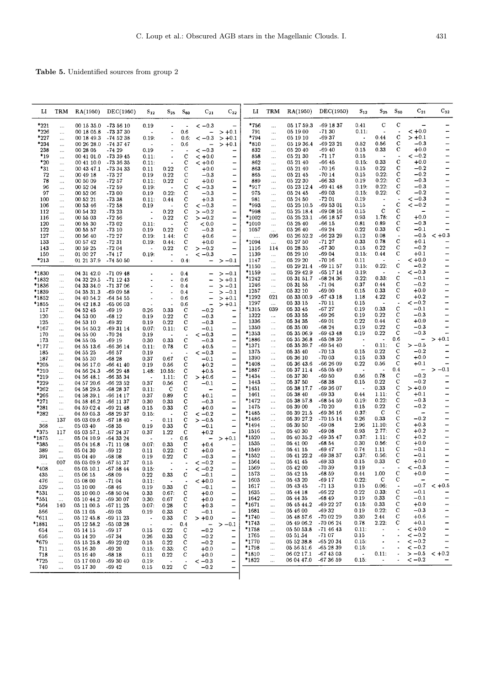Table 5. Unidentified sources from group 2

| Ы                | TRM                   | RA(1950)                 | DEC(1950)                | $S_{12}$                       | $S_{25}$                 | $S_{60}$                   | $C_{21}$                 | $C_{32}$                               | ы                | TRM                   | RA(1950)                 | DEC(1950)                | $S_{12}$       | $S_{25}$                              | $S_{60}$                 | $C_{21}$                 | $C_{32}$                      |
|------------------|-----------------------|--------------------------|--------------------------|--------------------------------|--------------------------|----------------------------|--------------------------|----------------------------------------|------------------|-----------------------|--------------------------|--------------------------|----------------|---------------------------------------|--------------------------|--------------------------|-------------------------------|
| $*221$           | $\ldots$              | 00 15 35.0               | $-735610$                | 0.19                           | $\tilde{\phantom{a}}$    |                            | $<-0.3$                  | $\overline{\phantom{0}}$               | *756             | $\ldots$              | 05 17 59.3               | $-691837$                | 0.41           | $\mathbf C$                           | c                        |                          |                               |
| $*226$           | $\ldots$              | 00 18 05.8               | -73 37 30                | $\overline{\phantom{a}}$       | $\bullet$                | 0.6                        | ÷.                       | $> +0.1$                               | 791              | $\cdots$              | 05 19 00                 | $-7130$                  | 0.11:          | ÷.                                    | $\bullet$                | $< +0.0$                 |                               |
| *227             | $\ldots$              | 00 18 49.3               | -74 52 38                | 0.19:                          | $\overline{\phantom{a}}$ | 0.6:                       | $<-0.3$                  | $> +0.1$                               | *794             | $\cdots$              | 05 19 10                 | $-6937$                  | $\bullet$      | 0.44                                  | с                        | $> +0.1$                 |                               |
| $*234$           | $\cdots$              | 00 26 28.0               | $-743747$                | $\blacksquare$                 |                          | 0.6                        | $\overline{\phantom{0}}$ | $> +0.1$                               | *810             | $\ddotsc$             | 05 19 36.4               | -69 23 21                | 0.52           | 0.56                                  | с<br>с                   | $-0.3$                   | $\rightarrow$                 |
| 238<br>*19       | $\ldots$              | 00 28 05                 | -74 29<br>$-733945$      | 0.19                           | $\blacksquare$           | C                          | $<-0.3$                  |                                        | 832<br>858       | $\cdots$              | 05 20 40<br>05 21 30     | $-69.40$<br>$-7117$      | 0.15<br>0.15   | 0.33<br>$\bullet$                     |                          | $+0.0$<br>$<-0.2$        | -                             |
| $*_{20}$         | $\ldots$              | 00 41 01.0<br>00 41 10.0 | -73 36 35                | 0.11:<br>0.11:                 | $\sim$                   | $\mathbf c$                | $< +0.0$<br>$< +0.0$     |                                        | 862              | $\ldots$<br>$\ldots$  | 05 21 40                 | $-6645$                  | 0.15:          | 0.33                                  | C                        | $+0.0$                   | -                             |
| *31              | $\ldots$<br>$\cdots$  | 00 43 47.1               | $-733433$                | 0.11                           | 0.22                     | C                          | $+0.0$                   |                                        | 863              | $\ldots$              | 05 21 40                 | $-7016$                  | 0.15           | 0.22                                  | с                        | $-0.2$                   | $\qquad \qquad -$             |
| 72               | $\cdots$              | 00 49 18                 | -73 27                   | 0.19                           | 0.22                     | $\mathbf C$                | $-0.3$                   | -                                      | 865              | $\cdots$              | 05 21 45                 | $-7014$                  | 0.15           | 0.22:                                 | $\mathbf C$              | $-0.2$                   | $\rightarrow$                 |
| 78               | $\cdots$              | 00 50 09                 | -72 57                   | 0.11:                          | 0.22                     | $\mathbf C$                | $+0.0$                   | $\overline{\phantom{0}}$               | 889              | $\cdots$              | 05 22 30                 | $-6633$                  | 0.19           | 0.22:                                 | C                        | $-0.3$                   | $\overline{\phantom{0}}$      |
| 96               | $\ldots$              | 00 52 04                 | $-72.59$                 | 0.19:                          | $\blacksquare$           | $\mathbf C$                | $<-0.3$                  | $\overline{\phantom{a}}$               | $*_{917}$        | $\ldots$              | 05 23 12.4               | $-694148$                | 0.19:          | 0.22:                                 | $\mathbf C$              | $-0.3$                   | -                             |
| 97               | $\cdots$              | 00 52 06                 | $-7300$                  | 0.19                           | 0.22:                    | C                          | $-0.3$                   |                                        | 975              | $\ldots$              | 05 24 45                 | $-6903$                  | 0.15:          | 0.22:                                 | С                        | $-0.2$                   | -                             |
| 100              | $\cdots$              | 00 52 21                 | $-73.38$                 | 0.11:                          | 0.44                     | $\mathbf C$                | $+0.3$                   | $\overline{\phantom{0}}$               | 981              | $\ldots$              | 05 24 50                 | $-7201$                  | 0.19           | $\bullet$<br>$\overline{\phantom{a}}$ | C                        | $<-0.3$<br>$<-0.2$       |                               |
| 106<br>112       | $\ldots$              | 00 53 46<br>00 54 32     | $-72.58$<br>$-7323$      | 0.19<br>$\ddot{\phantom{a}}$   | 0.22                     | C<br>$\mathbf c$           | $<-0.3$<br>$>-0.2$       | $\qquad \qquad -$<br>$\qquad \qquad -$ | *993<br>*998     | $\ldots$              | 05 25 10.5<br>05 25 18.4 | -69 53 01<br>$-690816$   | 0.15<br>0.15   | $\mathbf C$                           | с                        |                          |                               |
| 116              | $\cdots$<br>$\cdots$  | 00 55 03                 | $-72.56$                 | $\ddot{\phantom{a}}$           | 0.22                     | C                          | $>-0.2$                  |                                        | *1002            | $\ldots$<br>$\ldots$  | 05 25 23.1               | $-66$ 18 57              | 0.93           | 1.78:                                 | C                        | $+0.0$                   |                               |
| 120              | $\cdots$              | 00 55 30                 | $-7302$                  | 0.11:                          |                          | $\mathbf C$                | < 0.0                    | $\overline{\phantom{m}}$               | $*1010$          | $\ldots$              | 05 25 40                 | $-6615$                  | 0.81           | 0.89                                  | $\mathbf C$              | $-0.3$                   |                               |
| 122              | $\cdots$              | 00 55 57                 | $-7310$                  | 0.19                           | $0.22\,$                 | С                          | $-0.3$                   | $\qquad \qquad \blacksquare$           | 1057             | $\ldots$              | 05 26 40                 | $-6924$                  | 0.22           | 0.33                                  | с                        | $-0.1$                   |                               |
| 127              | $\ldots$              | 00 56 40                 | $-7227$                  | 0.19:                          | 1.44:                    | $\mathbf c$                | $+0.6$                   | $\overline{\phantom{0}}$               |                  | 096                   | 05 26 52.2               | -66 23 29                | 0.12           | 0.08                                  | $\overline{\phantom{a}}$ | $-0.5$                   | $< +0.3$                      |
| 133              | $\ldots$              | 00 57 42                 | $-7231$                  | 0.19:                          | 0.44:                    | C                          | $+0.0$                   | $\qquad \qquad$                        | *1094            | $\cdots$              | 05 27 50                 | -71 27                   | 0.33           | 0.78                                  | $\mathbf C$              | $+0.1$                   |                               |
| 143<br>150       | $\ldots$              | 00 59 25<br>01 00 27     | $-7204$<br>$-74$ 17      | $\overline{a}$                 | 0.22                     | с                          | $>-0.2$<br>$<-0.3$       | -<br>$\qquad \qquad -$                 | 1116<br>1139     | 114                   | 05 28 35<br>05 29 10     | $-6730$<br>$-6904$       | 0.15<br>0.15:  | 0.22<br>0.44                          | С<br>C                   | $-0.2$<br>$+0.1$         |                               |
| *213             | $\cdots$<br>$\cdots$  | 01 21 37.9               | $-745050$                | 0.19:<br>$\tilde{\phantom{a}}$ | $\bullet$                | 0.4:                       | -                        | $>-0.1$                                | 1147             | $\cdots$<br>$\ldots$  | 05 29 20                 | $-7016$                  | 0.11           | $\bullet$                             | $\overline{\phantom{a}}$ | $< +0.0$                 | $\qquad \qquad -$             |
|                  |                       |                          |                          |                                |                          |                            |                          |                                        | *1150            | $\ddotsc$             | 05 29 21.4               | $-691157$                | 0.15:          | 0.22:                                 | C                        | $-0.2$                   |                               |
| *1830            | $\cdots$              | 04 31 42.0               | -71 09 48                |                                | $\bullet$                | 0.4                        |                          | $>-0.1$                                | *1159            | $\cdots$              | 05 29 42.9               | -65 17 14                | 0.19:          | $\bullet$                             |                          | $<-0.3$                  | -                             |
| *1832            | $\ldots$              | 04 32 29 5               | $-711243$                |                                | $\tilde{\phantom{a}}$    | 0.6                        |                          | $> +0.1$                               | $*1242$          | $\ldots$              | 05 31 51 7               | -68 24 36                | 0.22:          | 0.33:                                 | c                        | $-0.1$                   | -                             |
| *1836            | $\cdots$              | 04 33 34.0               | $-713706$                |                                | $\blacksquare$           | 0.4                        |                          | $> -0.1$                               | 1246             | $\ldots$              | 05 31 55                 | $-7104$                  | 0.37           | 0.44                                  | C<br>C                   | $-0.2$<br>$+0.0$         | -<br>-                        |
| *1839            | $\cdots$              | 04 35 31 3               | $-690958$                |                                |                          | 0.4                        |                          | $>-0.1$                                | 1257<br>*1292    | $\cdots$<br>021       | 05 32 10<br>05 33 00.9   | $-6900$<br>$-674318$     | 0.15<br>1.18   | 0.33<br>4.22                          | с                        | $+0.2$                   | -                             |
| *1852<br>*1855   | $\cdots$<br>$\ldots$  | 04 40 54 2<br>04 42 18.3 | $-645455$<br>-65 06 03   |                                | $\blacksquare$<br>ä,     | 0.6<br>0.6                 | -<br>$\overline{a}$      | $> +0.1$<br>$> +0.1$                   | 1297             | $\ldots$              | 05 33 15                 | $-7011$                  | 0.15           | $\blacksquare$                        | $\overline{\phantom{a}}$ | $<-0.2$                  | -                             |
| 117              | $\cdots$              | 04 52 45                 | -69 19                   | 0.26                           | 0.33                     | $\mathbf C$                | $-0.2$                   | -                                      | *1315            | 039                   | 05 33 45                 | $-6727$                  | 0.19           | 0.33                                  | С                        | $-0.1$                   | -                             |
| 120              |                       | 04 53 00                 | $-6812$                  | 0.19                           | 0.22                     | $\mathbf C$                | $-0.3$                   |                                        | 1322             | $\ddotsc$             | 05 33 55                 | $-6926$                  | 0.19           | 0.22                                  | $\mathbf C$              | $-0.3$                   | -                             |
| 125              |                       | 04 53 10                 | $-6932$                  | 0.19                           | 0.22                     | $\mathbf C$                | $-0.3$                   | -                                      | 1336             | $\ldots$              | 05 34 35                 | -69 01                   | 0.22<br>0.19   | 0.44<br>0.22                          | $\mathbf C$<br>С         | $+0.0$<br>$-0.3$         | —<br>—                        |
| $*167$           |                       | 04 54 50.2               | $-693114$                | 0.07.                          | 0.11:                    | C                          | $-0.1$                   |                                        | 1350<br>$*1353$  | $\ldots$<br>$\ldots$  | 05 35 00<br>05 35 06.9   | $-6824$<br>$-694348$     | 0.19           | 0.22                                  | $\mathbf C$              | $-0.3$                   |                               |
| 170<br>173       | <br>                  | 04 55 00<br>04 55 05     | $-70.24$<br>-69 19       | 0.19<br>0.30                   | 0.33                     | с                          | $<-0.3$<br>$-0.3$        | -<br>$\overline{\phantom{0}}$          | $*1886$          | $\ldots$              | 05 35 36.8               | $-650839$                | $\bullet$      | $\blacksquare$                        | 0.6                      | $\overline{\phantom{0}}$ | $> +0.1$                      |
| *177             |                       | 04 55 13.6               | $-663614$                | 0.11:                          | 0.78                     | с                          | $+0.5$                   | -                                      | *1371            | $\ldots$              | 05 35 39 7               | $-695440$                |                | 0.11:                                 | C                        | $>-0.5$                  |                               |
| 185              |                       | 04 55 25                 | -66 57                   | 0.19                           |                          |                            | $<-0.3$                  | -                                      | 1375             | $\cdots$              | 05 35 40                 | $-7013$                  | 0.15           | 0.22                                  | $\mathbf C$              | $-0.2$                   |                               |
| 187              |                       | 04 55 30                 | $-6828$                  | 0.37                           | 0.67                     | C                          | $-0.1$                   | -                                      | 1390<br>*1408    | $\ldots$              | 05 36 10<br>05 36 43.6   | $-7003$<br>$-662609$     | 0.15<br>0.22   | 0.33<br>0.56                          | С<br>$\mathbf C$         | $+0.0$<br>$+0.1$         |                               |
| *205<br>*210     |                       | 04 56 17.0<br>04 56 24.3 | $-66$ 41 40<br>$-662948$ | 0.19<br>1.48:                  | 0.56<br>10.55:           | с<br>C                     | $+0.2$<br>$+0.5$         | —<br>$\overline{\phantom{a}}$          | *1887            | $\ldots$<br>$\cdots$  | 05 37 11.4               | $-650549$                |                |                                       | 0.4                      | $\overline{\phantom{0}}$ | $>-0.1$                       |
| $*_{219}$        | <br>                  | 04 56 48.1               | $-663534$                |                                | 1.11:                    | $\mathbf C$                | $> +0.6$                 |                                        | *1434            | $\ldots$              | 05 37 30                 | $-69.50$                 | 0.56           | 0.78                                  | С                        | $-0.2$                   |                               |
| *229             |                       | 04 57 20.6               | $-662352$                | 0.37                           | 0.56                     | C                          | $-0.1$                   | -                                      | 1443             | $\ldots$              | 05 37 50                 | $-6838$                  | 0.15           | 0.22                                  | С                        | $-0.2$                   |                               |
| *262             |                       | 04 58 29.5               | $-682837$                | 0.11:                          | C                        | С                          |                          | -                                      | *1451            | $\ldots$              | 05 38 17.7               | -69 36 07                |                | 0.33                                  | C                        | $> +0.0$                 |                               |
| *266             | $\ldots$              | 04 58 39.1               | -66 14 17                | 0.37                           | 0.89                     | $\mathbf C$<br>$\mathbf C$ | $+0.1$                   | —                                      | 1461<br>*1472    | $\ldots$              | 05 38 40<br>05 38 57.8   | -6933<br>$-685459$       | 0.44<br>0.19:  | 1.11:<br>0.22.                        | $\mathbf C$<br>С         | $+0.1$<br>$-0.3$         | -<br>$\overline{\phantom{0}}$ |
| *271<br>$*281$   |                       | 04 58 46.2<br>04 59 02.4 | -66 11 37<br>$-692148$   | 0.30<br>0.15                   | 0.33<br>0.33             | $\mathbf C$                | $-0.3$<br>$+0.0$         | -                                      | 1475             | $\cdots$<br>$\cdots$  | 05 39 00                 | $-7020$                  | 0.15           | 0.22                                  | C                        | $-0.2$                   | $\overline{\phantom{0}}$      |
| *282             | $\cdots$<br>$\cdots$  | 04 59 05.3               | $-682937$                | 0.15:                          | $\overline{\phantom{a}}$ | C                          | $<-0.2$                  | -                                      | *1485            | $\ldots$              | 05 39 21.5               | $-693616$                | 0.37:          | C                                     | $\mathbf C$              | $\overline{\phantom{0}}$ | -                             |
| $\cdots$         | 137                   | 05 03 09.6               | $-671840$                | $\hat{\phantom{a}}$            | 0.11                     | C                          | $>-0.5$                  |                                        | *1486            | $\cdots$              | 05 39 27.2               | $-701514$                | 0.26           | 0.33                                  | $\mathbf C$              | $-0.2$                   | -                             |
| 368              | $\cdots$              | 05 03 40                 | -68 35                   | 0.19                           | 0.33                     | c                          | $-0.1$                   |                                        | *1494            | $\cdots$              | 05 39 50                 | $-6908$                  | 2.96           | 11.10:                                | $\mathbf C$              | $+0.3$                   | -                             |
| *375             | 117                   | 05 03 57.1               | -67 24 37                | 0.37                           | 1.22                     | С                          | $+0.2$                   | $\overline{\phantom{0}}$               | 1516<br>*1520    |                       | 05 40 30<br>05 40 35.2   | $-6908$<br>$-693547$     | 0.93<br>0.37:  | 2.77:<br>1.11:                        | С<br>С                   | $+0.2$<br>$+0.2$         | -<br>-                        |
| *1875<br>$^*385$ | $\ldots$              | 05 04 10.9<br>05 04 16.8 | $-643324$<br>$-71$ 11 08 | $\ddot{\phantom{0}}$<br>0.07:  | 0.33                     | 0.6<br>с                   | -<br>$+0.4$              | $> +0.1$                               | 1535             | <br>                  | 05 41 00                 | $-68.54$                 | 0.30           | 0.56:                                 | $\mathbf C$              | $+0.0$                   | -                             |
| 389              | $\ldots$<br>$\ldots$  | 05 04 30                 | $-6912$                  | 0.11                           | 0.22:                    | C                          | $+0.0$                   |                                        | 1549             |                       | 05 41 15                 | $-69.47$                 | 0.74           | 1.11                                  | C                        | $-0.1$                   | -                             |
| 391              | $\ddotsc$             | 05 04 40                 | $-6808$                  | 0.19                           | 0.22                     | с                          | $-0.3$                   |                                        | *1552            | $\cdots$              | 05 41 22.2               | -69 38 37                | 0.37:          | 0.56.                                 | С                        | $-0.1$                   | -                             |
|                  | 007                   | 05 05 09.9               | -67 51 37                | 0.15                           |                          |                            | $<-0.2$                  | -                                      | 1564             | $\cdots$              | 05 41 45                 | -69 33                   | 0.15           | 0.33                                  | С                        | $+0.0$                   | -                             |
| *408             | $\cdots$              | 05 05 10.1               | $-675844$                | 0.15:                          |                          |                            | $<-0.2$                  |                                        | 1569<br>1573     |                       | 05 42 00<br>05 42 15     | $-70.39$<br>$-68.59$     | 0.19<br>0.44   | 1.00                                  | C                        | $\lt -0.3$<br>$+0.0$     | -                             |
| 435<br>476       | $\ldots$<br>          | 05 06 15<br>05 08 00     | $-6809$<br>$-7104$       | 0.22<br>0.11:                  | 0.33                     | C                          | $-0.1$<br>$< +0.0$       | -<br>-                                 | 1603             | $\ldots$<br>$\cdots$  | 05 43 20                 | $-6917$                  | 0.22:          | C                                     | C                        |                          |                               |
| 529              | $\ldots$              | 05 10 00                 | $-6846$                  | 0.19                           | 0.33                     | c                          | $-0.1$                   | $\overline{\phantom{0}}$               | 1617             | $\cdots$              | 05 43 45                 | $-7113$                  | 0.15           | 0.06:                                 |                          | $-0.7$                   | $< +0.5$                      |
| $*_{531}$        | $\ldots$              | 05 10 00.0               | -68 50 04                | 0.33                           | 0.67:                    | $\mathbf C$                | $+0.0$                   | $\overline{\phantom{0}}$               | 1635             |                       | 05 44 18                 | $-6622$                  | 0.22           | 0.33:                                 | C                        | $-0.1$                   |                               |
| *551             | $\ldots$              | 05 10 44.2               | -69 30 07                | 0.30:                          | 0.67                     | с                          | $+0.0$                   | $\overline{\phantom{0}}$               | 1642             |                       | 05 44 35                 | $-6849$                  | 0.19           | 0.33                                  | C<br>C                   | $-0.1$                   | -                             |
| $*_{564}$        | 140                   | 05 11 00.5               | $-671125$                | 0.07:                          | 0.28                     | C                          | $+0.3$                   | -                                      | *1671<br>1681    | $\ldots$              | 05 45 44.2<br>05 46 00   | -69 22 27<br>$-6932$     | 0.15:<br>0.19  | 0.33<br>0.22:                         | С                        | $+0.0$<br>$-0.3$         | -<br>-                        |
| 566<br>*611      | $\ldots$              | 05 11 05<br>05 12 45.8   | $-6903$<br>$-69$ 11 23   | 0.19<br>$\bullet$              | 0.33<br>0.33             | C<br>$\mathbf C$           | $-0.1$<br>$> +0.0$       | -<br>-                                 | *1740            | $\ldots$<br>          | 05 48 57.6               | -70 02 29                | 0.30           | 2.44                                  | С                        | $+0.6$                   | -                             |
| *1881            | $\ldots$<br>$\cdots$  | 05 12 58.2               | -65 03 28                | ÷,                             |                          | 0.4                        | $\overline{\phantom{m}}$ | $>-0.1$                                | *1743            |                       | 05 49 06.2               | -70 06 24                | 0.78           | 2.22:                                 | с                        | $+0.1$                   | -                             |
| 654              | $\ldots$              | 05 14 15                 | $-6917$                  | 0.15                           | 0.22                     | C                          | $-0.2$                   | $\overline{ }$                         | *1758            |                       | 05 50 53.8               | $-714643$                | 0.11:          |                                       |                          | $< +0.0$                 | -                             |
| 656              | $\ldots$              | 051420                   | $-6734$                  | 0.26                           | 0.33                     | C                          | $-0.2$                   | —                                      | 1765             |                       | 05 51 54                 | $-7107$                  | 0.15           | $\ddot{\phantom{1}}$                  |                          | $<-0.2$                  | -                             |
| $*679$           | $\cdots$              | 05 15 25.8               | $-692202$                | 0.15                           | 0.22                     | C                          | $-0.2$                   | —                                      | *1770            | $\ddotsc$             | 05 52 38.8<br>05 56 51.6 | $-652034$                | 0.15:<br>0.15: | $\ddot{\phantom{a}}$                  |                          | $\lt -0.2$<br>$<-0.2$    | -                             |
| 711<br>718       | $\ldots$              | 05 16 30<br>05 16 40     | $-6920$<br>$-6818$       | 0.15:<br>0.11                  | 0.33:<br>0.22            | C<br>C                     | $+0.0$<br>$+0.0$         | -<br>$\qquad \qquad -$                 | *1798<br>$*1810$ | $\cdots$<br>$\ddotsc$ | 06 02 17.1               | $-652839$<br>$-67$ 43 03 | $\bullet$      | 0.11:                                 |                          | $>-0.5$                  | $< +0.2$                      |
| *725             | $\cdots$<br>$\ddotsc$ | 05 17 00.0               | $-693040$                | 0.19:                          | $\overline{\phantom{a}}$ | $\ddot{\phantom{0}}$       | $<-0.3$                  | $\overline{\phantom{0}}$               | *1822            | $\ddotsc$             | 06 04 47.0               | $-673659$                | 0.15:          | $\blacksquare$                        |                          | $\lt -0.2$               |                               |
| 740              |                       | 05 17 30                 | -69 42                   | 0.15                           | 0.22                     | C                          | $-0.2$                   | -                                      |                  |                       |                          |                          |                |                                       |                          |                          |                               |
|                  |                       |                          |                          |                                |                          |                            |                          |                                        |                  |                       |                          |                          |                |                                       |                          |                          |                               |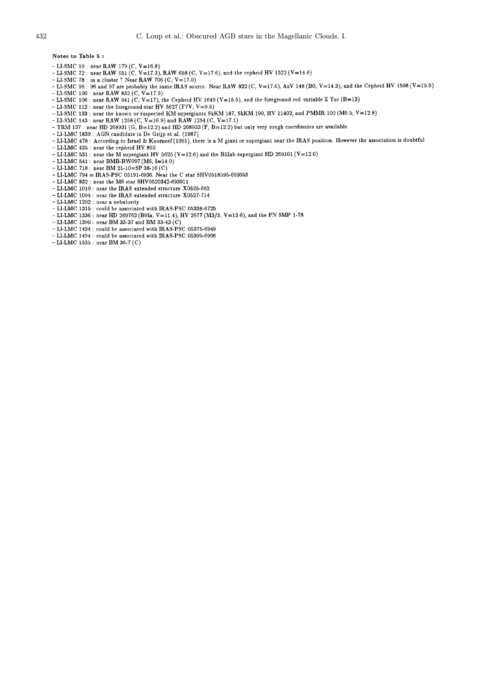Notes to Table 5:

- 
- LI-SMC 19 : near RAW 179 (C, V=16.8)<br>- LI-SMC 72 : near RAW 651 (C, V=17.3), RAW 658 (C, V=17.6), and the cepheid HV 1522 (V=14.6)
- LI-SMC 78 : in a cluster ? Near RAW 706 (C,  $V=17.0$ )
- -LI-SMC 96: 96 and 97 are probably the same IRAS source. Near RAW 822 (C, V=17.6), AzV 148 (B0, V=14.3), and the Cepheid HV 1598 (V=15.9)
- 
- -LI-SMC 100: near RAW 832 (C, V=17.3)<br>- LI-SMC 106: near RAW 832 (C, V=17.3)<br>- LI-SMC 106: near RAW 941 (C, V=17), the Cepheid HV 1649 (V=15.5), and the foreground red variable Z Tuc (B=13)
- 
- LI-SMC 112 : near the foreground star HV 5627 (F7V, V=9.5)<br>- LI-SMC 133 : near the known or suspected KM supergiants SkKM 187, SkKM 190, HV 11402, and PMMR 100 (M0.5, V=12.8)
- LI-SMC 143: near RAW 1258 (C,  $V=16.9$ ) and RAW 1254 (C, V=17.1)
- TRM 137: near HD 268931 (G, B=12.2) and HD 268933 (F, B=12.2) but only very rough coordinates are available
- LI-LMC 1839 : AGN candidate in De Grijp et al. (1987)
- -LI-LMC 478 : According to Israel & Koorneef (1991), there is a M giant or supergiant near the IRAS position. However the association is doubtful
- LI-LMC 435 : near the cepheid HV 893
- LI-LMC 433 : near the cepheid HV 893<br>- LI-LMC 531 : near the M supergiant HV 5625 (V=12.6) and the B5Iab supergiant HD 269101 (V=12.0)
- LI-LMC 541 : near BMB-BW097 (M6, I=14.0)
- LI-LMC 718 : near BM 21-10=SP 38-16 (C)
- LI-LMC 794 = IRAS-PSC 05191-6936. Near the C star SHV0518595-693653
- $\sim$  LI-LMC 832 : near the M6 star SHV0520342-693911
- -LI-LMC 1010 : near the IRAS extended structure X0525-662 - LI-LMC 1094 : near the IRAS extended structure X0527-714
- LI-LMC 1292 : near a nebulosity
- LI-LMC 1315 : could be associated with IRAS-PSC 05338-6725
- **ELLIMC 1336**: near HD 269762 (B9Ia, V=11.4), HV 2677 (M3/5, V=13.6), and the PN SMP 1-78<br>- LI-LMC 1390: near BM 33-37 and BM 33-43 (C)
- 
- LI-LMC 1434 : could be associated with IRAS-PSC 05375-6949
- LI-LMC 1494 : could be associated with IRAS-PSC 05399-6906
- $-LI-LMC$  1535: near BM 36-7(C)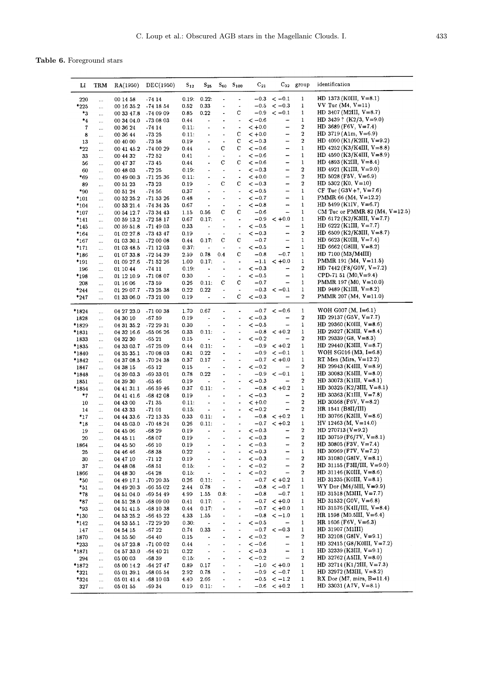Table 6. Foreground stars

| Ы                | TRM                  | RA(1950)                            | DEC(1950)              | $S_{12}$          | $S_{25}$                     |                              | $S_{60}$ $S_{100}$                         | $C_{21}$             |                                | $C_{32}$ group        | identification                                               |
|------------------|----------------------|-------------------------------------|------------------------|-------------------|------------------------------|------------------------------|--------------------------------------------|----------------------|--------------------------------|-----------------------|--------------------------------------------------------------|
| 220              | $\cdots$             | 00 14 58                            | $-7414$                | 0.19:             | 0.22:                        | $\overline{\phantom{a}}$     | $\blacksquare$                             | $-0.3$               | $<-0.1$                        | 1                     | HD 1373 (KOIII, $V=8.1$ )                                    |
| $*225$           | $\cdots$             | 00 16 35.2                          | $-74$ 18 54            | 0.52              | 0.33                         | $\blacksquare$               | $\overline{\phantom{a}}$                   | $-0.5$               | $<-0.3$                        | $\mathbf{1}$          | $VV$ Tuc $(M4, V=11)$                                        |
| *3               | $\cdots$             | 00 33 47.8                          | -74 09 09              | 0.85              | 0.22                         |                              | С                                          | $-0.9$               | $<-0.1$                        | 1                     | HD 3407 (M2III, $V=8.7$ )                                    |
| *4               | .                    | 00 34 04.0                          | $-730803$              | 0.44              | $\overline{\phantom{a}}$     |                              | $\overline{\phantom{a}}$                   | $<-0.6$              | -                              | $\mathbf 1$           | HD 3439? (K2/3, V=9.0)                                       |
| 7                | $\cdots$             | 00 36 24                            | $-7414$                | 0.11:             |                              |                              | $\overline{\phantom{a}}$                   | $< +0.0$             | $\overline{\phantom{0}}$       | $\boldsymbol{2}$      | HD 3689 (F6V, V=7.4)                                         |
| 8                | $\cdots$             | 00 36 44                            | $-73.25$               | 0.11:             | $\ddot{\phantom{0}}$         | ٠                            | С                                          | $< +0.0$             | -                              | 2<br>2                | HD 3719 (A1m, $V=6.9$ )<br>HD 4090 (K1/K2III, V=9.2)         |
| 13               |                      | 00 40 00                            | $-73.58$               | 0.19              | $\bullet$                    | $\ddot{\phantom{0}}$<br>С    | с<br>С                                     | $<-0.3$<br>$<-0.6$   | -<br>-                         | 1                     | HD $4252$ (K3/K4III, V=8.8)                                  |
| *22<br>33        | $\cdots$<br>$\cdots$ | 00 41 45.2<br>00 44 32              | $-740029$<br>$-72.52$  | 0.44<br>0.41      | $\ddot{\phantom{1}}$         | $\ddot{\phantom{a}}$         | $\bullet$                                  | $<-0.6$              | -                              | 1                     | HD $4590$ (K3/K4III, V=8.9)                                  |
| 56               | $\ldots$             | 00 47 37                            | -73 45                 | 0.44              |                              | c                            | С                                          | $\rm < -0.6$         | -                              | 1                     | HD 4893 (K2III, $V=8.4$ )                                    |
| 60               | $\cdots$             | 00 48 03                            | $-7225$                | 0.19.             | $\blacksquare$               | $\overline{a}$               | $\bullet$                                  | $<-0.3$              | -                              | $\boldsymbol{2}$      | HD $4921$ (K1III, V=9.0)                                     |
| $*_{69}$         | $\cdots$             | 00 49 00.3                          | $-712536$              | 0.11:             |                              | $\blacksquare$               | $\bullet$                                  | $< +0.0$             | -                              | 2                     | HD 5028 (F5V, V=6.9)                                         |
| 89               | $\cdots$             | 00 51 23                            | $-7323$                | 0.19              | $\overline{\phantom{a}}$     | C                            | с                                          | $<-0.3$              | -                              | 2                     | HD $5302$ (K0, V=10)                                         |
| *90              |                      | 00 51 24                            | $-74.56$               | 0.37              |                              | $\blacksquare$               | $\overline{\phantom{a}}$                   | $<-0.5$              | -                              | $\mathbf 1$           | CF Tuc $(G3V+?, V=7.6)$                                      |
| *101             | $\ldots$             | 00 52 25.2 - 71 53 26               |                        | 0.48              | $\bullet$                    | $\overline{\phantom{a}}$     | $\blacksquare$                             | $<-0.7$              | -                              | $\mathbf 1$           | PMMR 66 (M4, $V=12.2$ )<br>HD 5499 (K1IV, $V=6.7$ )          |
| *104             | $\ldots$             | 00 53 21.4                          | -74 34 35              | 0.67              | $\bullet$                    | $\blacksquare$<br>c          | $\overline{\phantom{a}}$<br>с              | $\lt -0.8$<br>$-0.6$ | -<br>-                         | 1<br>$\mathbf 1$      | CM Tuc or PMMR 82 (M4, $V=12.5$ )                            |
| *107<br>*141     | $\ldots$             | 00 54 12.7 - 73 34 43<br>00 59 13.2 | -72 58 17              | 1.15<br>0.67      | 0.56<br>0.17:                | $\blacksquare$               | $\ddot{\phantom{1}}$                       | $-0.9$               | $< +0.0$                       | 1                     | HD $6172$ (K2/K3III, V=7.7)                                  |
| *145             | $\ldots$<br>$\cdots$ | 00 59 51.8                          | -71 49 03              | 0.33              | $\blacksquare$               | $\qquad \qquad \blacksquare$ | $\tilde{\phantom{a}}$                      | $<-0.5$              |                                | 1                     | HD $6222$ (K1III, V=7.7)                                     |
| *164             | $\cdots$             | 01 02 27.8                          | -73 43 47              | 0.19              | $\tilde{\phantom{a}}$        | $\overline{a}$               | $\overline{\phantom{a}}$                   | $<-0.3$              | -                              | $\boldsymbol{2}$      | HD 6509 (K2/K3III, $V=8.7$ )                                 |
| *167             | $\cdots$             | 01 03 30.1                          | $-720008$              | 0.44              | 0.17:                        | С                            | с                                          | $-0.7$               | -                              | 1                     | $HD 6623 (KOIII, V=7.4)$                                     |
| *171             | $\cdots$             | 01 03 48.5                          | -71 12 03              | 0.37 <sub>1</sub> | $\ddot{\phantom{0}}$         |                              | $\overline{\phantom{a}}$                   | $<-0.5$              | $\qquad \qquad \blacksquare$   | 1                     | HD $6662$ (G8III, V=8.2)                                     |
| *186             |                      | 01 07 33.8                          | -72 54 39              | 2.59              | 0.78                         | 0.4                          | с                                          | $-0.8$               | $-0.7$                         | 1                     | HD $7100 (M3/M4III)$                                         |
| *191             |                      | 01 09 27.6 - 71 52 26               |                        | 1.00              | 0.17:                        | $\frac{1}{2}$                | $\bullet$                                  | $-1.1$               | $-$ +0.0                       | 1                     | PMMR 191 (M4, $V=11.5$ )                                     |
| 196              | $\ldots$             | 01 10 44                            | $-7411$                | 0.19:             | $\blacksquare$               | $\ddot{\phantom{0}}$         | $\overline{\phantom{a}}$                   | $<-0.3$              | -                              | $\boldsymbol{2}$<br>1 | HD $7442$ (F8/G0V, V=7.2)<br>CPD-71 51 $(M0, V=9.4)$         |
| *198             | $\cdots$             | 01 12 10.9                          | $-710807$              | 0.30<br>0.26      | $\blacksquare$<br>0.11:      | $\blacksquare$<br>с          | $\overline{\phantom{a}}$<br>с              | $<-0.5$<br>$-0.7$    | -<br>-                         | $\mathbf{1}$          | PMMR 197 (M0, $V=10.0$ )                                     |
| 208<br>$*244$    |                      | 01 16 06<br>01 29 07.7 - 73 25 38   | $-73.59$               | 0.22              | 0.22                         | $\qquad \qquad \blacksquare$ | $\bullet$                                  | $-0.3$               | $<-0.1$                        | 1                     | HD $9489$ (K1III, V=8.2)                                     |
| *247             | $\ldots$<br>$\cdots$ | 01 33 06.0                          | -73 21 00              | 0.19              | $\blacksquare$               | $\blacksquare$               | C                                          | $<-0.3$              | $\overline{\phantom{0}}$       | 2                     | PMMR 207 (M4, $V=11.0$ )                                     |
|                  |                      |                                     |                        |                   |                              |                              |                                            |                      |                                |                       |                                                              |
| *1824            | $\ldots$             | 04 27 23.0                          | $-710038$              | 1.70<br>0.19      | 0.67<br>$\blacksquare$       | $\blacksquare$               | $\bullet$<br>$\overline{a}$                | $-0.7$<br>$<-0.3$    | $<-0.6$<br>$\qquad \qquad$     | 1<br>2                | WOH G007 $(M, I=6.1)$<br>HD 29137 (G5V, $V = 7.7$ )          |
| 1828<br>*1829    | $\ldots$             | 04 30 10<br>04 31 35.2              | $-6759$<br>-72 29 31   | 0.30              | $\overline{\phantom{a}}$     | $\qquad \qquad \bullet$      | $\blacksquare$                             | $<-0.5$              | $\qquad \qquad -$              | 1                     | HD 29360 (K0III, $V=8.6$ )                                   |
| *1831            | $\cdots$<br>$\ldots$ | 04 32 16.6                          | $-650626$              | 0.33              | 0.11:                        | $\overline{a}$               |                                            | $-0.8$               | $< +0.2$                       | 1                     | HD 29327 (K3III, $V=8.4$ )                                   |
| 1833             | $\ldots$             | 04 32 30                            | $-6521$                | 0.15              | $\blacksquare$               | ٠                            | $\overline{a}$                             | $<-0.2$              | $\qquad \qquad -$              | 2                     | HD $29339$ (G8, V=8.3)                                       |
| *1835            |                      | 04 33 03.7                          | $-672509$              | 0.44              | 0.11:                        | ٠                            | $\overline{a}$                             | $-0.9$               | $< +0.2$                       | 1                     | HD 29440 (K3III, $V=8.7$ )                                   |
| *1840            | $\cdots$             | 04 35 35.1                          | $-700803$              | 0.81              | 0.22                         | ٠                            | $\overline{\phantom{a}}$                   | $-0.9$               | $<-0.1$                        | 1                     | WOH SG016 $(M3, I=6.8)$                                      |
| *1842            | $\ldots$             | 04 37 08.5                          | $-702438$              | 0.37              | 0.17                         |                              | $\overline{\phantom{a}}$                   | $-0.7$               | $< +0.0$                       | 1                     | $RT$ Men (Mira, $V=12.2$ )                                   |
| 1847             | $\cdots$             | 04 38 15                            | $-6512$                | 0.15              | $\sim$                       | $\blacksquare$               | $\bullet$                                  | $<-0.2$              | $\qquad \qquad$                | 2                     | HD 29943 (K4III, $V=8.9$ )                                   |
| *1848            | $\cdots$             | 04 39 03.3                          | $-693301$              | 0.78<br>0.19      | 0.22<br>$\blacksquare$       |                              | $\blacksquare$<br>$\overline{\phantom{a}}$ | $-0.9$<br>$<-0.3$    | $<-0.1$                        | $\mathbf{1}$<br>2     | HD 30083 (K5III, $V=8.0$ )<br>HD 30073 (K1III, $V=8.1$ )     |
| 1851<br>*1854    | $\ldots$<br>$\cdots$ | 04 39 30<br>04 41 31.1              | -65 46<br>$-665946$    | 0.37              | 0.11:                        | $\qquad \qquad \blacksquare$ | $\blacksquare$                             | $-0.8$               | $< +0.2$                       | 1                     | HD 30325 (K2/3III, $V=8.1$ )                                 |
| $^{\ast}7$       | $\cdots$             | 04 41 41 6                          | $-68$ 42 08            | 0.19              | $\blacksquare$               |                              | $\overline{a}$                             | $<-0.3$              | -                              | 2                     | HD 30363 (K1III, $V=7.8$ )                                   |
| 10               | $\ldots$             | 04 43 00                            | $-7135$                | 0.11:             | $\overline{\phantom{a}}$     |                              | ٠                                          | $< +0.0$             | -                              | 2                     | HD 30568 (F6V, V=8.2)                                        |
| 14               | $\ldots$             | 04 43 33                            | $-7101$                | 0.15:             | $\blacksquare$               |                              | $\ddot{\phantom{0}}$                       | $<-0.2$              | $\qquad \qquad$                | 2                     | HR $1541$ (B8II/III)                                         |
| *17              | $\cdots$             | 04 44 33.6                          | -72 13 35              | 0.33              | 0.11:                        | $\ddot{\phantom{0}}$         | $\overline{\phantom{a}}$                   | $-0.8$               | $-5 + 0.2$                     | 1                     | HD 30766 (K3III, $V=8.6$ )                                   |
| *18              | $\cdots$             | 04 45 03.0                          | $-704824$              | 0.26              | 0.11:                        |                              | $\bullet$                                  | $-0.7$               | $< +0.2$                       | 1                     | $HV 12463 (M, V=14.0)$                                       |
| 19               | $\ldots$             | 04 45 06                            | $-6829$                | 0.19              | $\sim$                       | $\blacksquare$               | ٠                                          | $<-0.3$<br>$<-0.3$   | -                              | 2                     | HD 270713 ( $V=9.2$ )<br>HD 30759 (F6/7V, V=8.1)             |
| 20               | $\ldots$             | 04 45 11<br>04 45 50                | $-6807$<br>$-6610$     | 0.19<br>0.19      |                              |                              |                                            | $\lt -0.3$           |                                | 2<br>2                | HD 30805 (F3V, $V=7.4$ )                                     |
| 1864<br>25       | $\cdots$<br>$\cdots$ | 04 46 46                            | $-6838$                | 0.22              |                              |                              |                                            | $<-0.3$              | -                              | $\mathbf{1}$          | HD 30969 (F7V, $V=7.2$ )                                     |
| 30               | $\ldots$             | 04 47 10                            | $-7112$                | 0.19              |                              |                              | $\overline{a}$                             | $<-0.3$              | -                              | 2                     | HD 31080 (G8IV, $V = 8.1$ )                                  |
| 37               | $\ldots$             | 04 48 08                            | $-68.51$               | 0.15              | $\blacksquare$               |                              | ٠                                          | $<-0.2$              | -                              | 2                     | HD 31155 (F3II/III, $V=9.0$ )                                |
| 1866             | $\ldots$             | 04 48 30                            | $-6428$                | 0.15:             | $\qquad \qquad \blacksquare$ |                              | ۰                                          | $<-0.2$              | -                              | 2                     | HD 31146 (KOIII, $V=8.6$ )                                   |
| *50              |                      | 04 49 17.1                          | -70 20 35              | 0.26              | 0.11:                        | $\frac{1}{2}$                | $\overline{a}$                             | $-0.7$               | $< +0.2$                       | $\mathbf{1}$          | HD 31335 (KOIII, $V=8.1$ )                                   |
| $*_{51}$         | $\cdots$             | 04 49 20.3                          | $-665502$              | 2.44              | 0.78                         | $\overline{\phantom{a}}$     | $\overline{\phantom{a}}$                   | $-0.8$               | $<-0.7$                        | 1                     | $WY$ Dor (M4/5III, V=9.9)                                    |
| $*78$            | $\cdots$             | 04 51 04.0                          | $-695449$              | 4.99              | 1.55                         | 0.8:                         | $\overline{\phantom{a}}$                   | $-0.8$               | $-0.7$                         | 1                     | HD 31518 (M3III, $V = 7.7$ )                                 |
| $*_{87}$         | $\ldots$             | 04 51 28.0                          | $-680900$              | 0.41              | 0.17:                        | $\overline{\phantom{a}}$     | ٠                                          | $-0.7$<br>$-0.7$     | $< +0.0$<br>$< +0.0$           | 1<br>1                | HD 31532 (G0V, $V=6.8$ )<br>HD 31576 (K4II/III, $V=8.4$ )    |
| $*_{93}$<br>*130 | $\ldots$             | 04 51 41.5<br>04 53 25.2            | $-681038$<br>$-664522$ | 0.44<br>4.33      | 0.17:<br>1.55                | $\bullet$                    | $\blacksquare$<br>٠                        | $-0.8$               | $<-1.0$                        | 1                     | HR 1598 (M0.5III, $V=6.4$ )                                  |
| *142             | $\cdots$<br>$\ldots$ | 04 53 55.1                          | -72 29 20              | 0.30:             | $\blacksquare$               | ٠                            | $\overline{\phantom{a}}$                   | $<-0.5$              | $\qquad \qquad \blacksquare$   | 1                     | HR 1606 (F6V, V=6.3)                                         |
| 147              | $\ldots$             | 04 54 15                            | $-6722$                | 0.74              | 0.33                         |                              | $\overline{\phantom{a}}$                   | $-0.7$               | $<-0.3$                        | 1                     | HD 31907 (M1III)                                             |
| 1870             | $\cdots$             | 04 55 50                            | $-64.40$               | 0.15              | $\blacksquare$               | $\qquad \qquad \blacksquare$ | $\bullet$                                  | $<-0.2$              | -                              | 2                     | HD 32108 (G8IV, $V=9.1$ )                                    |
| $*_{233}$        | $\ldots$             | 04 57 23.8                          | -71 00 02              | 0.44              |                              |                              | $\overline{\phantom{a}}$                   | $<-0.6$              | —                              | $\mathbf{1}$          | HD 32415 (G8/K0III, $V=7.2$ )                                |
| *1871            | $\cdots$             | 04 57 33.0                          | $-64$ 40 21            | 0.22              | $\bullet$                    | $\overline{a}$               | $\overline{\phantom{a}}$                   | $<-0.3$              | -                              | $\mathbf{1}$          | HD 32339 (K3III, $V=9.1$ )                                   |
| 294              | $\cdots$             | 05 00 03                            | $-6839$                | 0.15:             | $\centerdot$                 |                              |                                            | $<-0.2$              | $\qquad \qquad -$              | $\boldsymbol{2}$      | HD 32762 (A5III, $V=8.0$ )                                   |
| *1872            | $\sim$               | 05 00 14.2                          | -64 27 47              | 0.89              | 0.17                         |                              | $\frac{1}{2}$<br>$\overline{\phantom{a}}$  |                      | $-1.0 < +0.0$<br>$-0.9 < -0.7$ | 1<br>1                | HD 32714 (K1/2III, $V=7.3$ )<br>HD 32972 (M3III, $V = 8.2$ ) |
| *321<br>$*324$   | <br>                 | 05 01 39.1<br>05 01 41.4            | $-680554$<br>$-681003$ | 2.92<br>4.40      | 0.78<br>2.66                 |                              | $\overline{\phantom{a}}$                   |                      | $-0.5 < -1.2$                  | 1                     | RX Dor (M7, mira, $B=11.4$ )                                 |
| 327              | $\ldots$             | 05 01 55                            | $-6934$                | 0.19              | 0.11:                        | $\overline{\phantom{a}}$     | $\overline{\phantom{a}}$                   |                      | $-0.6 < +0.2$                  | 1                     | HD 33031 (A7V, $V=8.1$ )                                     |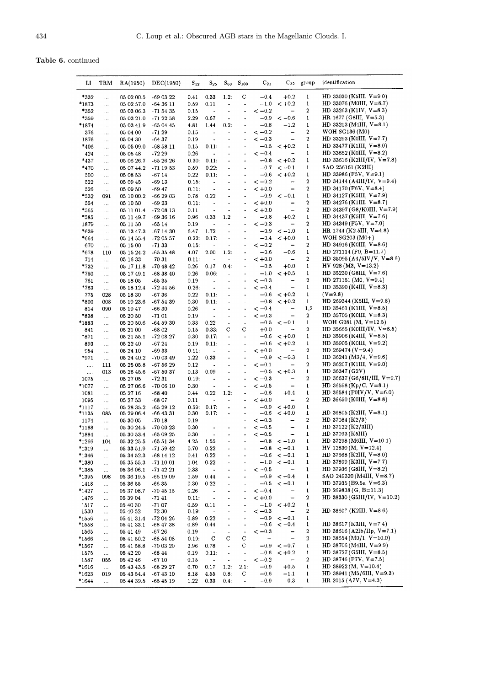|  | Table 6. continued |
|--|--------------------|
|--|--------------------|

| Ы        | TRM       | RA(1950)   | DEC(1950)   | $S_{12}$ | $S_{25}$                 | $S_{60}$                     | $S_{100}$                | $C_{21}$   |                              | $C_{32}$ group   | identification                                      |
|----------|-----------|------------|-------------|----------|--------------------------|------------------------------|--------------------------|------------|------------------------------|------------------|-----------------------------------------------------|
|          |           |            |             |          |                          |                              |                          |            |                              |                  |                                                     |
| *332     |           | 05 02 00.5 | -69 03 22   | 0.41     | 0.33                     | 1.2:                         | С                        | $-0.4$     | $+0.2$                       | 1                | HD 33030 (K5III, $V=9.0$ )                          |
| $*1873$  |           | 05 02 57.0 | $-643611$   | 0.59     | 0.11                     | $\overline{\phantom{a}}$     | $\overline{a}$           | $-1.0$     | $< +0.2$                     | 1                | HD 33076 (MOIII, $V = 8.7$ )                        |
|          |           |            |             |          |                          |                              | ٠                        | $<-0.2$    | $\overline{\phantom{m}}$     | $\boldsymbol{2}$ | HD 33263 (K1IV, $V=8.3$ )                           |
| *352     |           | 05 03 06.3 | $-715435$   | 0.15     | $\blacksquare$           | $\overline{\phantom{0}}$     |                          |            |                              |                  |                                                     |
| *359     |           | 05 03 21.0 | $-712258$   | 2.29     | 0.67                     | $\overline{\phantom{a}}$     | $\ddot{\phantom{0}}$     | $-0.9$     | $<-0.6$                      | 1                | HR 1677 (G8III, $V=5.3$ )                           |
| *1874    | $\cdots$  | 05 03 41.9 | $-650445$   | 4.81     | 1.44                     | 0.2:                         | ٠                        | $-0.8$     | $-1.2$                       | $\,1$            | HD 33213 (M4III, $V=8.1$ )                          |
| 376      | $\ddotsc$ | 05 04 00   | $-7129$     | 0.15     | $\blacksquare$           | $\blacksquare$               | $\blacksquare$           | $<-0.2$    | —                            | 2                | <b>WOH SG136 (M0)</b>                               |
| 1876     | $\cdots$  | 05 04 30   | $-64.37$    | 0.19     | $\ddot{\phantom{0}}$     |                              |                          | $<-0.3$    |                              | $\boldsymbol{2}$ | HD 33293 (K0III, $V = 7.7$ )                        |
| *406     | $\cdots$  | 05 05 09.0 | $-685811$   | 0.15     | 0.11:                    | $\hbox{\small -}$            | ٠                        | $-0.5$     | $< +0.2$                     | 1                | HD 33477 (K1III, $V=8.0$ )                          |
| 424      |           | 05 05 48   | $-7229$     | 0.26     | $\blacksquare$           |                              |                          | $\lt -0.4$ | $\overline{\phantom{0}}$     | $\mathbf{1}$     | HD 33652 (KOIII, $V=8.2$ )                          |
| *437     | .         | 05 06 26.7 | $-652626$   | 0.30:    | 0.11:                    | $\bullet$                    | $\blacksquare$           | $-0.8$     | $< +0.2$                     | 1                | HD 33616 (K2III/IV, $V=7.8$ )                       |
| *470     |           | 05 07 44.2 | -71 19 53   | 0.59     | 0.22:                    | ä,                           | ÷                        | $-0.7$     | $\lt -0.1$                   | 1                | SAO 256161 (K2III)                                  |
| 500      |           | 05 08 53   | -67 14      | 0.22     | 0.11:                    | ۰                            | ٠                        | $-0.6$     | $< +0.2$                     | 1                | HD 33986 (F5V, $V=9.1$ )                            |
| 522      | .         | 05 09 45   | $-6913$     | 0.15:    | $\blacksquare$           |                              | ٠                        | $<-0.2$    | -                            | 2                | HD 34144 (A4III/IV, $V=9.4$ )                       |
| 526      |           | 05 09 50   | -69 47      | 0.11:    | $\overline{a}$           |                              |                          | $< +0.0$   | -                            | $\boldsymbol{2}$ | HD 34170 (F6V, $V=8.4$ )                            |
|          | $\ldots$  |            |             |          | 0.22                     |                              |                          | $-0.9$     | $<-0.1$                      | $\mathbf 1$      | HD 34127 (K5III, $V=7.9$ )                          |
| *532     | 091       | 05 10 00.2 | $-662903$   | 0.78     |                          | $\qquad \qquad \blacksquare$ |                          |            |                              | $\boldsymbol{2}$ |                                                     |
| 554      | $\ldots$  | 05 10 50   | $-6923$     | 0.11:    | $\overline{a}$           | ä,                           | $\bullet$                | $< +0.0$   |                              |                  | HD 34276 (K1III, $V=8.7$ )                          |
| *565     | $\ddotsc$ | 05 11 01.4 | $-720813$   | 0.11     | ٠                        | $\overline{a}$               | ٠                        | $< +0.0$   | -                            | $\bf 2$          | HD 34397 (G8/K0III, $V=7.9$ )                       |
| *585     |           | 05 11 49.7 | $-693616$   | 0.96     | 0.33                     | 1.2                          | $\blacksquare$           | $-0.8$     | $+0.2$                       | $\mathbf 1$      | HD 34437 (K5III, $V=7.6$ )                          |
| 1879     |           | 05 11 50   | $-6514$     | 0.19     | Ĭ.                       |                              | $\overline{\phantom{a}}$ | $\,< -0.3$ | $\qquad \qquad -$            | $\boldsymbol{2}$ | HD 34349 (F5V, V=7.0)                               |
| *639     |           | 05 13 47.3 | -67 14 30   | 6.47     | 1.72                     |                              |                          | $-0.9$     | $<-1.0$                      | $\mathbf{1}$     | HR 1744 (K2.5III, $V=4.8$ )                         |
| *664     |           | 05 14 55.4 | $-720557$   | 0.22:    | 0.17:                    |                              | $\blacksquare$           | $-0.4$     | $< +0.0$                     | $\mathbf{1}$     | WOH SG203 $(M0+)$                                   |
| 670      | $\cdots$  | 05 15 00   | $-7133$     | 0.15:    | $\frac{1}{2}$            | ٠                            |                          | $<-0.2$    | $\qquad \qquad -$            | $\boldsymbol{2}$ | HD 34916 (K0III, $V=8.6$ )                          |
| *678     | 110       | 05 15 24.2 | $-653548$   | 4.07     | 2.00                     | 1.2:                         | ÷                        | $-0.6$     | $-0.6$                       | $\mathbf{1}$     | HD $271114$ (F0, B=11.7)                            |
| 714      | $\ddotsc$ | 05 16 33   | $-7031$     | 0.11:    | $\ddot{\phantom{0}}$     | ٠                            | ÷,                       | $< +0.0$   | $\qquad \qquad \blacksquare$ | $\boldsymbol{2}$ | HD 35095 (A4/5IV/V, V=8.6)                          |
| *732     |           | 05 17 11.8 | $-704842$   | 0.26     | 0.17                     | 0.4:                         |                          | $-0.5$     | $+0.0$                       | 1                | HV 928 (M3, $V=13.2$ )                              |
| *750     |           | 05 17 49.1 | $-683840$   | 0.26     | 0.06:                    |                              | ٠                        | $-1.0$     | $< +0.5$                     | 1                | HD 35230 (G8III, $V=7.6$ )                          |
|          | Ш,        | 05 18 05   |             |          | $\ddot{\phantom{1}}$     |                              | ٠                        | $<-0.3$    |                              | 2                | HD 271151 (M0, $V=9.4$ )                            |
| 761      |           |            | $-6535$     | 0.19     |                          |                              |                          |            | $\overline{\phantom{0}}$     | 1                |                                                     |
| *763     | $\ddotsc$ | 05 18 12.4 | $-724456$   | 0.26:    | $\bullet$                | $\blacksquare$               | $\overline{\phantom{a}}$ | $<-0.4$    |                              |                  | HD 35390 (K4III, $V=8.3$ )                          |
| 775      | 028       | 05 18 30   | $-6736$     | 0.22     | 0.11:                    |                              |                          | $-0.6$     | $< +0.2$                     | $\mathbf{1}$     | $(V=9.8)$                                           |
| *800     | 008       | 05 19 23.6 | $-675439$   | 0.30     | 0.11:                    | $\blacksquare$               | $\overline{\phantom{a}}$ | $-0.8$     | $< +0.2$                     | 1                | HD 269344 (K5III, $V=9.8$ )                         |
| 814      | 090       | 05 19 47   | $-6630$     | 0.26     | $\blacksquare$           |                              | ٠                        | $<-0.4$    | -                            | 1,2              | HD 35461 (K1III, $V=8.5$ )                          |
| *838     | $\ldots$  | 05 20 50   | $-7101$     | 0.19     | $\bullet$                |                              | $\overline{\phantom{a}}$ | $<-0.3$    | —                            | 2                | HD 35705 (K0III, $V=8.3$ )                          |
| *1883    | $\ddotsc$ | 05 20 50.6 | $-645930$   | 0.33     | 0.22                     | $\blacksquare$               | $\overline{\phantom{a}}$ | $-0.5$     | $\lt -0.1$                   | 1                | WOH G281 (M, $V=12.5$ )                             |
| 841      |           | 05 21 00   | $-6802$     | 0.15     | 0.33:                    | с                            | c                        | $+0.0$     | ÷                            | $\boldsymbol{2}$ | HD 35665 (K0III/IV, $V = 8.5$ )                     |
| *871     |           | 05 21 55.1 | -72 08 27   | 0.30     | 0.17:                    | $\overline{\phantom{0}}$     | $\ddot{\phantom{1}}$     | $-0.6$     | $< +0.0$                     | 1                | HD 35906 (K4III, $V=8.5$ )                          |
| 893      |           | 05 22 40   | $-6724$     | 0.19     | 0.11:                    | $\overline{a}$               | ٠                        | $-0.6$     | $< +0.2$                     | 1                | HD 35905 (K0III, $V=9.2$ )                          |
| 954      | $\ddotsc$ | 05 24 10   | $-6933$     | 0.11:    | $\blacksquare$           | ۰                            | $\overline{\phantom{a}}$ | $< +0.0$   | $\qquad \qquad$              | $\boldsymbol{2}$ | HD 269474 ( $V=9.4$ )                               |
| *971     | $\ldots$  | 05 24 40.2 | $-700349$   | 1.22     | 0.33                     |                              | $\ddot{\phantom{0}}$     | $-0.9$     | $<-0.3$                      | $\mathbf{1}$     | HD 36241 (M3/4, V=9.6)                              |
|          | 111       | 05 25 05.8 | -67 56 29   | 0.12     | $\ddot{\phantom{0}}$     | $\overline{a}$               | $\tilde{\phantom{a}}$    | $<-0.1$    |                              | $\boldsymbol{2}$ | HD 36207 (K1III, $V=9.0$ )                          |
| $\cdots$ | 013       | 05 26 45.6 | -67 50 37   | 0.13     | 0.09                     |                              |                          | $-0.5$     | $<-10.3$                     | 1                | HD 36347 (G2V)                                      |
| $\cdots$ |           |            |             |          |                          |                              |                          | $<-0.3$    |                              | $\boldsymbol{2}$ | HD 36637 (G6/8II/III, V=9.7)                        |
| 1075     | $\cdots$  | 05 27 05   | -72 31      | 0.19:    | $\overline{a}$           | -                            | $\ddot{\phantom{0}}$     |            |                              |                  |                                                     |
| *1077    | $\ddotsc$ | 05 27 06.6 | $-700610$   | 0.30     | $\ddot{\phantom{0}}$     |                              |                          | $<-0.5$    | $\overline{\phantom{0}}$     | 1                | HD 36598 (Kp/C, V=8.1)                              |
| 1081     | $\ddotsc$ | 05 27 16   | $-6840$     | 0.44     | 0.22                     | 1.2:                         | $\overline{\phantom{a}}$ | $-0.6$     | $+0.4$                       | $\mathbf{1}$     | HD 36584 (F0IV/V, V=6.0)                            |
| 1095     | $\ldots$  | 05 27 53   | $-6807$     | 0.11     | $\blacksquare$           |                              | ٠                        | $< +0.0$   |                              | $\boldsymbol{2}$ | HD 36650 (K0III, $V=8.8$ )                          |
| *1117    | $\cdots$  | 05 28 35.2 | $-652912$   | 0.59:    | 0.17:                    | $\overline{a}$               |                          | $-0.9$     | $< +0.0$                     | $\mathbf 1$      |                                                     |
| *1135    | 085       | 05 29 06.4 | $-66$ 43 31 | 0.30     | 0.17:                    | $\blacksquare$               | $\blacksquare$           | $-0.6$     | $< +0.0$                     | 1                | HD 36805 (K2III, $V=8.1$ )                          |
| 1174     | $\ddotsc$ | 05 30 05   | -70 18      | 0.19     |                          |                              |                          | $<-0.3$    |                              | 2                | HD 37084 $(K2/3)$                                   |
| *1188    | $\ddotsc$ | 05 30 24.5 | $-700023$   | 0.30     | $\frac{1}{2}$            | -                            |                          | $<-0.5$    | -                            | 1                | HD $37122$ (K2/3III)                                |
| *1884    | $\cdots$  | 05 30 53.4 | $-650925$   | 0.30     |                          |                              |                          | $<-0.5$    |                              | 1                | HD 37093 (K5III)                                    |
| *1266    | 104       | 05 32 25.5 | $-655134$   | 4.25     | 1.55                     |                              | -                        |            | $-0.8 < -1.0$                | $\mathbf{1}$     | HD 37298 (M6III, $V=10.1$ )                         |
| *1319    | $\cdots$  | 05 33 51.9 | -71 59 42   | 0.70     | 0.22                     | ÷,                           | ٠                        |            | $-0.8 < -0.1$                | 1                | HV 12830 (M, $V=12.4$ )                             |
| *1346    | $\ldots$  | 05 34 52.3 | $-681412$   | 0.41     | 0.22                     | $\overline{\phantom{0}}$     |                          | $-0.6$     | $<-0.1$                      | 1                | HD 37668 (K2III, $V=8.0$ )                          |
| *1380    | $\cdots$  | 05 35 55.3 | -71 10 01   | 1.04     | 0.22                     | $\qquad \qquad \blacksquare$ | $\blacksquare$           | $-1.0$     | $<-0.1$                      | 1                | HD 37899 (K3III, $V = 7.7$ )                        |
| *1385    | $\ldots$  | 05 36 06.1 | -71 42 21   | 0.33     | $\bullet$                |                              | $\centerdot$             | $<-0.5$    | -                            | 1                | HD 37936 (G8III, $V=8.2$ )                          |
| *1395    | 098       | 05 36 19.5 | -66 19 09   | 1.59     | 0.44                     | ٠                            | $\overline{\phantom{a}}$ | $-0.9$     | $<-0.4$                      | 1                | SAO 249320 (M4III, $V=8.7$ )                        |
|          |           |            |             |          |                          |                              |                          |            |                              |                  |                                                     |
| 1418     | $\ldots$  | 05 36 55   | $-6635$     | 0.30     | 0.22                     | $\ddot{\phantom{a}}$         | ٠                        | $-0.5$     | $\lt -0.1$                   | 1                | HD 37935 (B9.5e, $V=6.3$ )<br>HD 269838 (G, B=11.3) |
| *1427    | $\cdots$  | 05 37 08.7 | $-704515$   | 0.26     | $\sim$ $\sim$            | ٠                            | $\frac{1}{2}$            | $\lt -0.4$ | $\qquad \qquad -$            | 1                |                                                     |
| 1476     | $\ldots$  | 05 39 04   | $-7141$     | 0.11:    | $\hat{\phantom{a}}$      | $\overline{\phantom{0}}$     | $\blacksquare$           | $< +0.0$   | $\qquad \qquad -$            | 2                | HD 38330 (G5III/IV, $V=10.2$ )                      |
| 1517     | $\cdots$  | 05 40 30   | $-7107$     | 0.59     | 0.11                     | ۰                            | $\overline{\phantom{a}}$ | $-1.0$     | $< +0.2$                     | 1                |                                                     |
| 1530     |           | 05 40 52   | -72 30      | 0.19:    | $\bullet$                | $\overline{\phantom{a}}$     | ÷,                       | $<-0.3$    | $\qquad \qquad -$            | 2                | HD 3860? (K2III, $V=8.6$ )                          |
| $*1556$  | $\cdots$  | 05 41 31 4 | $-720426$   | 0.89     | 0.22                     | ٠                            |                          | $-0.9$     | $\lt -0.1$                   | 1                |                                                     |
| *1558    | $\cdots$  | 05 41 33.1 | -68 47 38   | 0.89     | 0.44                     | $\overline{\phantom{a}}$     | $\hat{\phantom{a}}$      | $-0.6$     | $<-0.4$                      | 1                | HD 38617 (K3III, $V = 7.4$ )                        |
| 1565     | $\ldots$  | 05 41 49   | $-6726$     | 0.19     | $\overline{\phantom{a}}$ | $\overline{\phantom{a}}$     | $\hat{\phantom{a}}$      | $<-0.3$    | $\qquad \qquad \blacksquare$ | $\boldsymbol{2}$ | HD 38616 (A2Ib/IIp, $V=7.1$ )                       |
| *1566    | $\cdots$  | 05 41 50.2 | -68 54 08   | 0.19:    | C                        | с                            | С                        |            | -                            | 2                | HD 38654 (M0/1, $V=10.0$ )                          |
| *1567    | $\ldots$  | 05 41 58 8 | -70 03 20   | 2.96     | 0.78                     | $\hat{\bullet}$              | С                        | $-0.9$     | $<-0.7$                      | 1                | HD 38706 (M4III, $V=9.9$ )                          |
| 1575     | $\ldots$  | 05 42 20   | $-6844$     | 0.19     | 0.11:                    | $\bullet$                    | $\overline{\phantom{a}}$ | $-0.6$     | $< +0.2$                     | 1                | HD $38727$ (G5III, V=8.5)                           |
| 1587     | 055       | 05 42 46   | $-6710$     | 0.15     | $\blacksquare$           | $\downarrow$                 | $\hat{\phantom{a}}$      | $<-0.2$    | $\overline{\phantom{m}}$     | 2                | HD 38746 (F7V, $V=7.5$ )                            |
| *1616    | $\ldots$  | 05 43 43 5 | $-682927$   | 0.70     | 0.17                     | 1.2:                         | 2.1:                     | $-0.9$     | $+0.5$                       | 1                | HD 38922 (M, $V=10.4$ )                             |
| *1623    | 019       | 05 43 54 4 | $-674310$   | 8.18     | 4.55                     | 0.8:                         | С                        | $-0.6$     | $-1.1$                       | 1                | HD 38941 (M5/6III, V=9.3)                           |
|          |           |            |             |          | 0.33                     | 0.4:                         | $\blacksquare$           | $-0.9$     | $-0.3$                       | $\mathbf{1}$     | HR 2015 (A7V, $V=4.3$ )                             |
| $*1644$  | $\ldots$  | 05 44 39 5 | $-654519$   | 1.22     |                          |                              |                          |            |                              |                  |                                                     |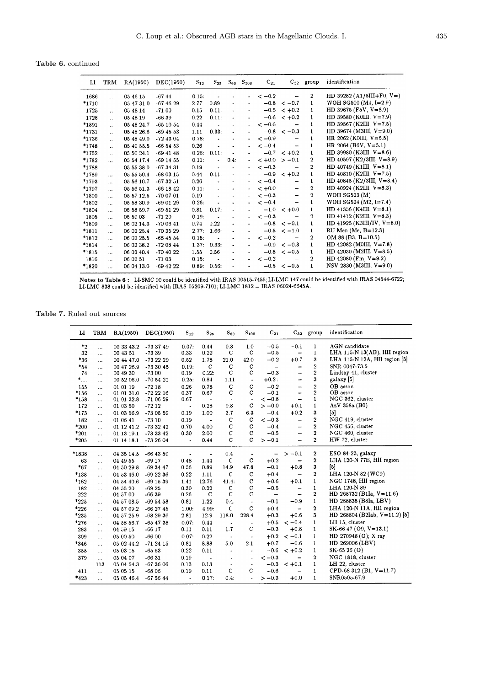Table 6. continued

| LI      | TRM          | RA(1950)   | DEC(1950)   | $S_{12}$ | $S_{25}$ | $S_{60}$       | $S_{100}$                | $C_{21}$ | $C_{32}$      | group                   | identification                |
|---------|--------------|------------|-------------|----------|----------|----------------|--------------------------|----------|---------------|-------------------------|-------------------------------|
| 1686    | $\mathbf{r}$ | 05 46 15   | $-6744$     | 0.15:    |          |                |                          | $<-0.2$  |               | $\overline{2}$          | HD 39282 (A1/5III+F0, $V=$ )  |
| *1710   | $\ddotsc$    | 05 47 31.0 | $-674629$   | 2.77     | 0.89     |                |                          | $-0.8$   | $<-0.7$       | 1                       | WOH SG500 $(M4, I=2.9)$       |
| 1725    | $\ddotsc$    | 05 48 14   | $-7100$     | 0.15     | 0.11:    |                |                          | $-0.5$   | $< +0.2$      | 1                       | HD 39675 (F5V, $V = 8.9$ )    |
| 1728    | $\ddotsc$    | 05 48 19   | $-6639$     | 0.22     | 0.11:    |                |                          | $-0.6$   | $< +0.2$      | 1                       | HD 39580 (K0III, $V=7.9$ )    |
| *1891   | $\ddotsc$    | 05 48 24.7 | $-651054$   | 0.44     |          |                |                          | $<-0.6$  |               | 1                       | HD 39567 (K2III, $V=7.5$ )    |
| *1731   | $\ddotsc$    | 05 48 26.6 | $-694553$   | 1.11     | 0.33:    | ٠              |                          |          | $-0.8 < -0.3$ | 1                       | HD 39674 (M3III, $V=9.0$ )    |
| *1736   | $\ddotsc$    | 05 48 49.0 | $-724304$   | 0.78:    |          |                |                          | $<-0.9$  |               | 1                       | HR 2062 (K0III, $V=6.5$ )     |
| *1748   | $\cdots$     | 05 49 55.5 | $-665453$   | 0.26     |          |                |                          | $<-0.4$  |               | 1                       | HR 2064 (B6V, $V=5.1$ )       |
| *1752   | $\ddotsc$    | 05 50 24.1 | $-694148$   | 0.26:    | 0.11:    |                |                          |          | $-0.7 < +0.2$ | $\mathbf{1}$            | HD 39980 (K3III, $V=8.6$ )    |
| *1782   | $\cdots$     | 05 54 17.4 | -69 14 55   | 0.11:    |          | 0.4:           |                          | $< +0.0$ | $>-0.1$       | 2                       | HD 40597 (K2/3III, $V=8.9$ )  |
| *1788   | $\ddotsc$    | 05 55 38 0 | $-673431$   | 0.19     |          |                |                          | $<-0.3$  |               | $\overline{\mathbf{2}}$ | HD $40749$ (K1III, $V=8.1$ )  |
| *1789   | $\ddotsc$    | 05 55 50.4 | $-680315$   | 0.44     | 0.11:    | $\blacksquare$ |                          |          | $-0.9 < +0.2$ | 1                       | HD 40810 (K2III, $V = 7.5$ )  |
| *1793   | $\cdots$     | 05 56 10 7 | $-673251$   | 0.26     |          |                |                          | $<-0.4$  |               | 1                       | HD 40845 (K2/3III, $V=8.4$ )  |
| *1797   | $\cdots$     | 05 56 51.3 | $-661842$   | 0.11:    |          |                |                          | $< +0.0$ |               | 2                       | HD 40924 (K2III, $V=8.3$ )    |
| *1800   | $\cdots$     | 05 57 12.5 | $-700701$   | 0.19     |          |                | ٠                        | $<-0.3$  |               | $\overline{2}$          | WOH SG523 $(M)$               |
| *1802   | $\cdots$     | 05 58 30.9 | $-690129$   | 0.26:    |          |                |                          | $<-0.4$  |               | 1                       | WOH SG524 $(M2, I=7.4)$       |
| *1804   | .            | 05 58 59.7 | $-695129$   | 0.81     | 0.17:    |                |                          | $-1.0$   | $< +0.0$      | 1                       | HD 41356 (K4III, $V=8.1$ )    |
| 1805    | $\cdots$     | 05 59 03   | $-7120$     | 0.19:    |          |                | $\overline{\phantom{0}}$ | $<-0.3$  |               | $\overline{2}$          | HD 41412 (K2III, $V=8.3$ )    |
| *1809   | $\cdots$     | 06 02 14.3 | $-700641$   | 0.74     | 0.22     |                |                          | $-0.8$   | $<-0.1$       | 1                       | HD 41925 (K3III/IV, $V=8.0$ ) |
| $*1811$ | $\cdots$     | 06 02 25.4 | -70 35 29   | 2.77.    | 1.66:    |                |                          | $-0.5$   | $\le -1.0$    | 1                       | RU Men (Me, B=12.3)           |
| $*1812$ | $\cdots$     | 06 02 25.5 | $-664554$   | 0.15:    |          |                |                          | $<-0.2$  |               | 2                       | $OM 88 (B3, B=10.5)$          |
| *1814   | $\cdots$     | 06 02 38.2 | $-720844$   | 1.37:    | 0.33:    |                |                          | $-0.9$   | $<-0.3$       | 1.                      | HD 42082 (M0III, $V=7.8$ )    |
| *1815   | $\cdots$     | 06 02 40.4 | $-704022$   | 1.55     | 0.56     |                |                          | $-0.8$   | $<-0.5$       | 1                       | HD 42030 (M2III, $V=8.5$ )    |
| 1816    | $\cdots$     | 06 02 51   | $-7103$     | 0.15:    |          |                |                          | $<-0.2$  |               | 2                       | HD 42080 (Fm, $V=9.2$ )       |
| *1820   | $\cdots$     | 06 04 13.0 | $-69$ 42 22 | 0.89:    | 0.56:    |                |                          |          | $-0.5 < -0.5$ | 1                       | NSV 2830 (M3III, V=9.0)       |

Notes to Table 6: LI-SMC 90 could be identified with IRAS 00515-7455; LI-LMC 147 could be identified with IRAS 04544-6722; LI-LMC 338 could be identified with IRAS 04544-6722;

Table 7. Ruled out sources

| п         | TRM        | RA(1950)   | DEC(1950)   | $S_{12}$                 | $S_{25}$                     | $S_{60}$                 | $S_{100}$                    | $C_{21}$                 |                          | $C_{32}$ group          | identification                |
|-----------|------------|------------|-------------|--------------------------|------------------------------|--------------------------|------------------------------|--------------------------|--------------------------|-------------------------|-------------------------------|
| $*_{2}$   | $\cdots$   | 00 33 43.2 | $-733749$   | 0.07:                    | 0.44                         | 0.8                      | 1.0                          | $+0.5$                   | $-0.1$                   | $\mathbf{1}$            | AGN candidate                 |
| 32        | $\cdots$   | 00 43 51   | $-73.39$    | 0.33                     | 0.22                         | $\mathbf C$              | $\mathbf C$                  | $-0.5$                   | $\qquad \qquad$          | 1                       | LHA 115-N 13(AB), HII region  |
| $*36$     | $\cdots$   | 00 44 47.0 | -73 22 29   | 0.52                     | 1.78                         | 21.0                     | 42.0                         | $+0.2$                   | $+0.7$                   | 3                       | LHA 115-N 12A, HII region [5] |
| $*_{54}$  | $\cdots$   | 00 47 26.9 | $-733045$   | 0.19:                    | $\mathbf C$                  | $\mathbf C$              | $\mathbf C$                  | $\overline{\phantom{m}}$ | -                        | $\overline{2}$          | SNR 0047-73.5                 |
| 74        | $\ddotsc$  | 00 49 30   | $-7300$     | 0.19                     | 0.22:                        | С                        | C                            | $-0.3$                   | -                        | $\overline{2}$          | Lindsay 41, cluster           |
| $^{*}$    | $\cdots$   | 00 52 06.0 | $-705421$   | 0.25:                    | 0.84                         | 1.11                     | $\bullet$                    | $+0.2:$                  | -                        | 3                       | galaxy [5]                    |
| 155       | $\dddotsc$ | 01 01 19   | $-7218$     | 0.26                     | 0.78                         | $\mathbf C$              | $\mathcal{C}$                | $+0.2$                   | -                        | $\overline{2}$          | OB assoc.                     |
| $*156$    | $\cdots$   | 01 01 31.0 | $-722216$   | 0.37                     | 0.67                         | $\mathbf C$              | $\mathbf C$                  | $-0.1$                   | -                        | $\overline{2}$          | OB assoc.                     |
| $*158$    | $\cdots$   | 01 01 32.8 | $-710659$   | 0.67                     | $\qquad \qquad \blacksquare$ | $\overline{\phantom{a}}$ | $\bullet$                    | $<-0.8$                  | -                        | $\mathbf{1}$            | NGC 362, cluster              |
| 172       | $\cdots$   | 01 03 50   | $-7212$     | $\overline{\phantom{a}}$ | 0.28                         | 0.8                      | C                            | $> +0.0$                 | $+0.1$                   | $\mathbf{1}$            | AzV 358a (B0)                 |
| *173      |            | 01 03 56.9 | $-730559$   | 0.19                     | 1.00                         | 3.7                      | 6.3                          | $+0.4$                   | $+0.2$                   | 3                       | $[5]$                         |
| 182       | $\cdots$   | 01 06 41   | $-7310$     | 0.19                     | $\overline{\phantom{a}}$     | $\mathbf C$              | $\mathbf C$                  | $<-0.3$                  | -                        | $\boldsymbol{2}$        | NGC 419, cluster              |
| *200      | $\ddotsc$  | 01 12 41.2 | -73 32 42   | 0.70                     | 4.00                         | $\mathbf C$              | $\mathbf C$                  | $+0.4$                   | —                        | $\overline{2}$          | NGC 456, cluster              |
| $*_{201}$ | $\cdots$   | 01 13 19.1 | -73 33 42   | 0.30                     | 2.00                         | $\mathbf C$              | $\mathbf C$                  | $+0.5$                   | -                        | $\bf 2$                 | NGC 460, cluster              |
| $*205$    | $\cdots$   | 01 14 18.1 | -73 26 04   | $\blacksquare$           | 0.44                         | $\mathbf C$              | $\mathbf C$                  | $> +0.1$                 | -                        | $\overline{2}$          | HW 72, cluster                |
| *1838     |            | 04 35 14.5 | $-664359$   |                          |                              | 0.4                      | $\blacksquare$               | -                        | $>-0.1$                  | $\boldsymbol{2}$        | $ESO$ 84-23, galaxy           |
| 63        | $\cdots$   | 04 49 55   | $-6917$     | 0.48                     | 1.44                         | $\mathbf C$              | $\mathbf C$                  | $+0.2$                   |                          | $\overline{\mathbf{2}}$ | LHA 120-N 77E, HII region     |
| $*67$     |            | 04 50 29.8 | $-693447$   | 0.56                     | 0.89                         | 14.9                     | 47.8                         | $-0.1$                   | $+0.8$                   | $\mathbf{3}$            | $[5]$                         |
| *138      | $\cdots$   | 04 53 46.0 | $-692236$   | 0.22                     | 1.11                         | $\mathbf C$              | $\mathbf C$                  | $+0.4$                   |                          | $\boldsymbol{2}$        | LHA 120-N 82 (WC9)            |
| *162      | $\cdots$   | 04 54 40.6 | $-691539$   | 1.41                     | 12.76                        | 41.4:                    | $\mathbf C$                  | $+0.6$                   | $+0.1$                   | $\mathbf{1}$            | NGC 1748, HII region          |
| 182       | $\cdots$   | 04 55 20   | $-6925$     | 0.30                     | 0.22                         | $\mathbf C$              | $\mathbf C$                  | $-0.5$                   | —                        | $\mathbf{1}$            | LHA 120-N 89                  |
| 222       | $\cdots$   | 04 57 00   | $-6639$     | 0.26                     | $\mathbf C$                  | $\mathbf C$              | $\mathbf C$                  | $\overline{\phantom{0}}$ | $\overline{\phantom{0}}$ | $\overline{2}$          | HD $268732$ (B1Ia, $V=11.6$ ) |
| $*225$    | $\cdots$   | 04 57 08.5 | $-695458$   | 0.81                     | 1.22                         | 0.4.                     | $\qquad \qquad \blacksquare$ | $-0.1$                   | $-0.9$                   | $\mathbf{1}$            | HD 268835 (B8Ia, LBV)         |
| $*226$    | $\cdots$   | 04 57 09.2 | $-662745$   | 1.00:                    | 4.99:                        | $\mathbf C$              | $\mathbf C$                  | $+0.4$                   | $\overline{a}$           | $\boldsymbol{2}$        | LHA 120-N 11A, HII region     |
| $*235$    | .          | 04 57 25.9 | $-682936$   | 2.81                     | 12.9                         | 118.0                    | 228.4                        | $+0.3$                   | $+0.6$                   | $\bf{3}$                | HD 268804 (B2Iab, V=11.2) [5] |
| *276      | .          | 04 58 56.7 | $-65$ 47 38 | 0.07:                    | 0.44                         | $\bullet$                | $\blacksquare$               | $+0.5$                   | $<-0.4$                  | $\mathbf{1}$            | LH 15, cluster                |
| 283       | $\cdots$   | 04 59 15   | $-6617$     | 0.11                     | 0.11                         | 1.7                      | $\mathbf C$                  | $-0.3$                   | $+0.8$                   | $\mathbf{1}$            | $SK-6647(09, V=13.1)$         |
| 309       | $\cdots$   | 05 00 50   | $-6600$     | 0.07:                    | 0.22                         | $\overline{\phantom{a}}$ | $\overline{\phantom{a}}$     | $+0.2$                   | $<-0.1$                  | 1                       | HD 270948 (O); X ray          |
| *346      | $\cdots$   | 05 02 44.2 | $-712415$   | 0.81                     | 8.88                         | 5.0                      | 2.1                          | $+0.7$                   | $-0.6$                   | $\mathbf{1}$            | HD 269006 (LBV)               |
| 355       | $\cdots$   | 05 03 15   | $-6553$     | 0.22                     | 0.11                         | $\blacksquare$           | ٠                            | $-0.6$                   | $< +0.2$                 | 1                       | SK-65 26 (O)                  |
| 379       | $\ddotsc$  | 05 04 07   | $-6631$     | 0.19                     | $\tilde{\phantom{a}}$        | ٠                        | $\overline{\phantom{a}}$     | $<-0.3$                  |                          | $\overline{2}$          | NGC 1818, cluster             |
| $\ldots$  | 113        | 05 04 54.3 | $-673606$   | 0.13                     | 0.13                         | $\blacksquare$           | $\blacksquare$               | $-0.3$                   | $< +0.1$                 | $\mathbf{1}$            | LH 22, cluster                |
| 411       | $\cdots$   | 05 05 15   | $-6806$     | 0.19                     | 0.11                         | $\mathbf C$              | $\mathbf C$                  | $-0.6$                   |                          | $\mathbf{1}$            | CPD-68 312 (B1, $V=11.7$ )    |
| $*423$    | .          | 05 05 46.4 | $-675644$   | $\blacksquare$           | 0.17:                        | 0.4:                     | $\ddot{\phantom{0}}$         | $>-0.3$                  | $+0.0$                   | $\mathbf{1}$            | SNR0505-67.9                  |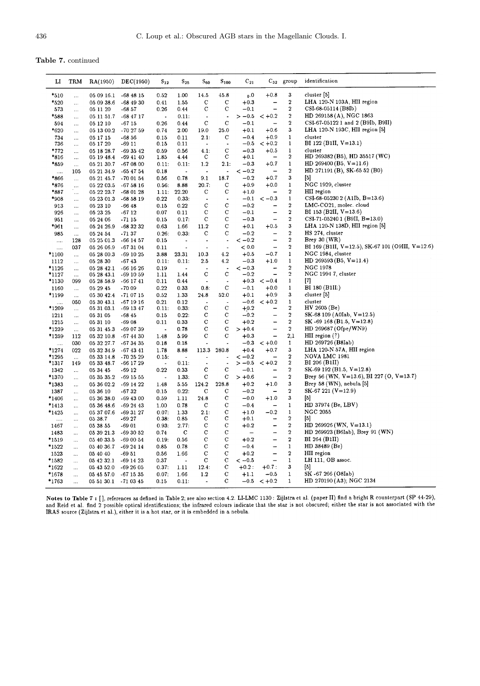Table 7. continued

| ы          | TRM                  | RA(1950)                 | DEC(1950)              | $\mathrm{S}_{12}$        | $\mathrm{S}_{25}$        | $\mathrm{s_{60}}$        | $S_{100}$            | $C_{21}$                 |                          | $C_{32}$ group          | identification                                   |
|------------|----------------------|--------------------------|------------------------|--------------------------|--------------------------|--------------------------|----------------------|--------------------------|--------------------------|-------------------------|--------------------------------------------------|
| $*_{510}$  | $\ddotsc$            | 05 09 16.1               | -68 48 15              | 0.52                     | 1.00                     | 14.5                     | 45.8                 | $_{0.0}$                 | $+0.8$                   | 3                       | cluster [5]                                      |
| *520       | $\ddotsc$            | 05 09 38.6               | $-684930$              | 0.41                     | 1.55                     | C                        | $\mathbf C$          | $+0.3$                   |                          | $\boldsymbol{2}$        | LHA 120-N 103A, HII region                       |
| 573        | $\ddotsc$            | 05 11 20                 | $-6857$                | 0.26                     | 0.44                     | $\mathbf C$              | с                    | $-0.1$                   |                          | $\bf 2$                 | CSI-68-05114 (B8Ib)                              |
| *588       | $\ddotsc$            | 05 11 51.7               | -68 47 17              | $\blacksquare$           | 0.11:                    | $\blacksquare$           | $\ddot{\phantom{0}}$ | $>-0.5$                  | $< +0.2$                 | $\overline{\mathbf{2}}$ | HD 269158 (A), NGC 1863                          |
| 594        | $\ddotsc$            | 05 12 10                 | $-6715$                | 0.26                     | 0.44                     | $\mathbf C$              | $\mathbf C$          | $-0.1$                   |                          | $\boldsymbol{2}$        | CSI-67-05122 1 and 2 (B9Ib, B9II)                |
| *620       | $\ddotsc$            | 05 13 00.2               | $-702759$              | 0.74                     | 2.00                     | 19.0                     | 25.0                 | $+0.1$                   | $+0.6$                   | 3                       | LHA 120-N 193C, HII region [5]                   |
| 734        | $\ddotsc$            | 05 17 15                 | $-6856$                | 0.15                     | 0.11                     | 2.1:                     | С                    | $-0.4$                   | $+0.9$                   | $\mathbf 1$             | cluster                                          |
| 736        | $\ddotsc$            | 05 17 20                 | -69 11                 | 0.15                     | 0.11                     | $\blacksquare$           | $\ddot{\phantom{a}}$ | $-0.5$                   | $< +0.2$                 | $\mathbf{1}$            | BI 122 (B1II, $V=13.1$ )                         |
| $*772$     | $\cdots$             | 05 18 28.7               | $-693542$              | 0.59                     | 0.56                     | 4.1:                     | $\mathbf C$          | $-0.3$                   | $+0.5$                   | $\mathbf{1}$            | cluster                                          |
| *816       | $\ldots$             | 05 19 48.4               | $-694140$              | 1.85                     | 4.44                     | С                        | с                    | $+0.1$                   |                          | $\overline{2}$          | HD $269382$ (B5), HD $35517$ (WC)                |
| *859       | $\ldots$             | 05 21 30 7               | $-670800$              | 0.11:                    | 0.11:                    | 1.2                      | 2.1:                 | $-0.3$                   | $+0.7$                   | $\mathbf{1}$            | HD 269400 (B5, $V=11.6$ )                        |
| $\ldots$   | 105                  | 05 21 34.9               | -65 47 54              | 0.18                     | ٠.                       | $\cdot$                  |                      | $<-0.2$                  |                          | $\boldsymbol{2}$        | HD 271191 (B), SK-65 52 (B0)                     |
| *866       | $\ddot{\cdot}$       | 05 21 45.7               | -70 01 54              | 0.56                     | 0.78                     | 9.1                      | 18.7                 | $-0.2$                   | $+0.7$                   | $\bf{3}$                | $[5]$                                            |
| *876       | $\ddotsc$            | 05 22 03.5               | $-675816$              | 0.56:                    | 8.88                     | 20.7:                    | C                    | $+0.9$                   | $+0.0$                   | $\mathbf{1}$            | NGC 1929, cluster                                |
| *887       | $\ddotsc$            | 05 22 23.7               | $-680128$              | 1.11:                    | 22.20                    | С                        | С                    | $+1.0$                   |                          | $\boldsymbol{2}$        | HII region                                       |
| *908       | $\cdots$             | 05 23 01.3               | $-685819$              | 0.22                     | 0.33:                    | ÷,                       |                      | $-0.1$                   | $<-0.3$                  | $\mathbf{1}$            | CSI-68-05230 2 (A1Ib, B=13.6)                    |
| 913        | $\ldots$             | 05 23 10                 | $-6648$                | 0.15                     | 0.22                     | $\mathbf C$              | $\mathbf C$          | $-0.2$                   |                          | $\bf 2$                 | LMC-CO21, molec. cloud                           |
| 926        | $\cdots$             | 05 23 25                 | -67 12                 | 0.07                     | 0.11                     | C                        | C                    | $-0.1$                   | $\overline{\phantom{0}}$ | $\overline{\mathbf{2}}$ | BI 153 (B2II, $V=13.6$ )                         |
| 951        | $\ddotsc$            | 05 24 06                 | $-7115$                | 0.15                     | 0.17:                    | C                        | C                    | $-0.3$                   | L,                       | $\boldsymbol{2}$        | $CSI-71-052401$ (B9II, B=13.0)                   |
| *961       | $\ldots$             | 05 24 26.9               | $-683232$              | 0.63                     | 1.66                     | 11.2                     | C                    | $+0.1$                   | $+0.5$                   | 3                       | LHA 120-N 138D, HII region [5]                   |
| 985        | $\cdots$             | 05 24 54                 | $-7137$                | 0.26:                    | 0.33:                    | С                        | С                    | $-0.2$                   |                          | $\bf 2$                 | HS 274, cluster                                  |
|            | 128                  | 05 25 01.3               | $-66$ 14 57            | 0.15                     | $\ddot{\phantom{1}}$     | $\hat{\phantom{a}}$      | ÷,                   | $<-0.2$                  |                          | $\bf 2$                 | Brey $30 (WR)$                                   |
| $\cdots$   | 037                  | 05 26 06.9               | $-673104$              | 0.11                     | $\ddot{\phantom{1}}$     |                          | $\overline{a}$       | < 0.0                    | $\rightarrow$            | $\boldsymbol{2}$        | BI 169 (B1II, V=12.5), SK-67 101 (O9III, V=12.6) |
| *1100      | $\ldots$             | 05 28 00.3               | $-691025$              | 3.88                     | 23.31                    | 10.3                     | 4.2                  | $+0.5$                   | $-0.7$                   | $\mathbf{1}$            | NGC 1984, cluster                                |
| 1112       | $\ldots$             | 05 28 30                 | -6743                  | 0.11:                    | 0.11:                    | $2.5\,$                  | 4.2                  | $-0.3$                   | $+1.0$                   | $\mathbf{1}$            | HD 269593 (B5, $V=11.4$ )                        |
| *1126      | $\ldots$             | 05 28 42.1               | $-66$ 16 $26$          | 0.19                     | $\overline{\phantom{a}}$ |                          | ÷.                   | $<-0.3$                  | -                        | $\overline{2}$          | NGC 1978                                         |
| *1127      | $\ldots$             | 05 28 43.1               | -69 10 59              | 1.11                     | 1.44                     | $\mathbf C$              | С                    | $-0.2$                   |                          | $\boldsymbol{2}$<br>1   | NGC 1994 7, cluster                              |
| *1130      | 099                  | 05 28 58.9               | $-66$ 1741             | 0.11                     | 0.44                     | $\overline{\phantom{a}}$ | $\downarrow$<br>C    | $+0.3$                   | $<-0.4$<br>$+0.0$        | $\mathbf{1}$            | $^{[7]}$<br>BI 180 (B1II)                        |
| 1160       | $\ldots$             | 05 29 45                 | $-7009$                | 0.22                     | 0.33                     | 0.8:                     | 52.0                 | $-0.1$                   | $+0.9$                   | 3                       | cluster [5]                                      |
| *1199      | $\ddotsc$            | 05 30 42.4               | -71 07 15              | 0.52                     | 1.33                     | 24.8<br>$\overline{a}$   |                      | $+0.1$<br>$-0.6$         |                          | $\mathbf{1}$            | cluster                                          |
| .<br>*1209 | 050                  | 05 30 43.1<br>05 31 03.1 | $-671916$<br>-69 13 47 | 0.21<br>0.11:            | 0.12<br>0.33:            | $\mathbf C$              | C                    | $+0.2$                   | $< +0.2$                 | $\boldsymbol{2}$        | HV 2605 (Be)                                     |
| 1211       | $\ldots$             | 05 31 05                 | $-68.45$               | 0.15                     | 0.22:                    | $\mathbf{C}$             | $\mathbf C$          | $-0.2$                   | $\overline{\phantom{0}}$ | $\overline{\mathbf{2}}$ | $SK-68109 (A0Iab, V=12.5)$                       |
| 1215       | $\ldots$<br>$\ldots$ | 05 31 10                 | $-6908$                | 0.11                     | 0.33                     | $\mathbf C$              | C                    | $+0.2$                   | -                        | $\bf 2$                 | SK -69 168 (B1.5, $V=12.8$ )                     |
| *1239      |                      | 05 31 45.3               | -69 07 39              | $\ddot{\phantom{a}}$     | 0.78                     | C                        | $\mathbf C$          | $> +0.4$                 | -                        | $\bf 2$                 | HD 269687 (Ofpe/WN9)                             |
| *1259      | $\cdots$<br>112      | 05 32 10.8               | -67 44 30              | 1.48                     | 5.99                     | $\mathbf C$              | $\mathbf C$          | $+0.3$                   | $\overline{\phantom{0}}$ | 2,1                     | HII region $(?)$                                 |
|            | 030                  | 05 32 27.7               | -67 34 35              | 0.18                     | 0.18                     | $\overline{a}$           | ä,                   | $-0.3$                   | $< +0.0$                 | $\mathbf{1}$            | HD 269726 (B8Iab)                                |
| <br>*1274  | 022                  | 05 32 34.9               | $-674341$              | 1.78                     | 8.88                     | 113.3                    | 280.8                | $+0.4$                   | $+0.7$                   | $\bf{3}$                | LHA 120-N 57A, HII region                        |
| *1295      | $\ddotsc$            | 05 33 14.8               | -70 25 29              | 0.15:                    | $\overline{\phantom{a}}$ |                          | ٠                    | $<-0.2$                  |                          | $\boldsymbol{2}$        | NOVA LMC 1981                                    |
| *1317      | 149                  | 05 33 48.7               | -66 17 29              | $\overline{\phantom{a}}$ | 0.11:                    | $\ddot{\phantom{0}}$     |                      | $>-0.5$                  | $< +0.2$                 | $\bf 2$                 | BI 206 (B1II)                                    |
| 1342       | $\ddotsc$            | 05 34 45                 | $-6912$                | 0.22                     | 0.33                     | $\mathbf C$              | С                    | $-0.1$                   |                          | $\bf 2$                 | $SK-69192(B1.5, V=12.8)$                         |
| *1370      | $\ddotsc$            | 05 35 35.2               | -69 15 55              | $\overline{\phantom{a}}$ | 1.33 <sup>2</sup>        | C                        | С                    | $> +0.6$                 | $\overline{\phantom{0}}$ | $\boldsymbol{2}$        | Brey 56 (WN, V=13.6), BI 227 (O, V=13.7)         |
| *1383      | $\ldots$             | 05 36 02.2               | -69 14 22              | 1.48                     | 5.55                     | 124.2                    | 228.8                | $+0.2$                   | $+1.0$                   | $\bf 3$                 | Brey 58 (WN), nebula [5]                         |
| 1387       | $\ddotsc$            | 05 36 10                 | $-6732$                | 0.15                     | 0.22:                    | c                        | с                    | $-0.2$                   |                          | $\boldsymbol{2}$        | SK-67 221 (V=12.9)                               |
| *1406      | $\ldots$             | 05 36 38.0               | $-69$ 43 00            | 0.59                     | 1.11                     | 24.8                     | с                    | $-0.0$                   | $+1.0$                   | 3                       | $[5]$                                            |
| *1413      | $\ddotsc$            | 05 36 48.6               | -69 24 43              | 1.00                     | 0.78                     | c                        | С                    | $-0.4$                   |                          | $\mathbf{1}$            | HD 37974 (Be, LBV)                               |
| *1425      | $\ddotsc$            | 05 37 07.6               | $-693127$              | 0.07:                    | 1.33                     | 2.1:                     | С                    | $+1.0$                   | $-0.2$                   | $\mathbf 1$             | NGC 2055                                         |
| .          | $\cdots$             | 05 38.7                  | -69 27                 | 0.38:                    | 0.85                     | с                        | C                    | $+0.1$                   | -                        | $\overline{2}$          | $[5]$                                            |
| 1467       | $\cdots$             | 05 38 55                 | $-6901$                | 0.93:                    | 2.77:                    | $\mathbf C$              | C                    | $+0.2$                   | -                        | $\bf{2}$                | HD 269926 (WN, $V=13.1$ )                        |
| 1483       | $\cdots$             | 05 39 21.3               | $-693052$              | 0.74                     | $\mathbf C$              | $\mathbf C$              | $\mathbf C$          | $\overline{\phantom{0}}$ | -                        | $\bf 2$                 | HD 269923 (B6Iab), Brey 91 (WN)                  |
| *1519      | $\cdots$             | 05 40 33.5               | $-690054$              | 0.19:                    | 0.56                     | $\mathbf C$              | $\mathbf C$          | $+0.2$                   | $\overline{\phantom{0}}$ | $\overline{\mathbf{2}}$ | BI 264 (B1II)                                    |
| *1522      | $\ldots$             | 05 40 36.7               | $-692414$              | 0.85                     | 0.78                     | $\mathbf C$              | с                    | $-0.4$                   | -                        | $\mathbf{1}$            | HD 38489 (Be)                                    |
| 1523       |                      | 05 40 40                 | $-6951$                | 0.56                     | 1.66                     | $\mathbf C$              | $\mathbf C$          | $+0.2$                   | $\overline{\phantom{0}}$ | $\boldsymbol{2}$        | HII region                                       |
| *1582      | $\cdots$             | 05 42 32.1               | -69 14 23              | 0.37                     | $\ddot{\phantom{0}}$     | С                        | С                    | $<-0.5$                  |                          | 1                       | LH 111, OB assoc.                                |
| *1622      | $\ldots$             | 05 43 52.0               | $-692605$              | 0.37:                    | 1.11                     | 12.4:                    | с                    | $+0.2:$                  | $+0.7$ :                 | 3                       | [5]                                              |
| *1678      | $\ldots$             | 05 45 57.0               | $-67\ 15\ 35$          | 0.07:                    | 1.66                     | 1.2                      | с                    | $+1.1$                   | $-0.5$                   | $\mathbf{1}$            | SK -67 266 (O8Iab)                               |
| *1763      | $\ddotsc$            | 05 51 30.1 - 71 03 45    |                        | 0.15                     | 0.11:                    | $\overline{\phantom{a}}$ | C                    |                          | $-0.5 < +0.2$            | $\mathbf{1}$            | HD 270190 (A3); NGC 2134                         |
|            |                      |                          |                        |                          |                          |                          |                      |                          |                          |                         |                                                  |

Notes to Table 7 : [], references as defined in Table 2; see also section 4.2. LL-LMC 1130: Zijlstra et al. (paper II) find a bright R counterpart (SP 44-29), and Reid et al. find 2 possible optical identifications; the in